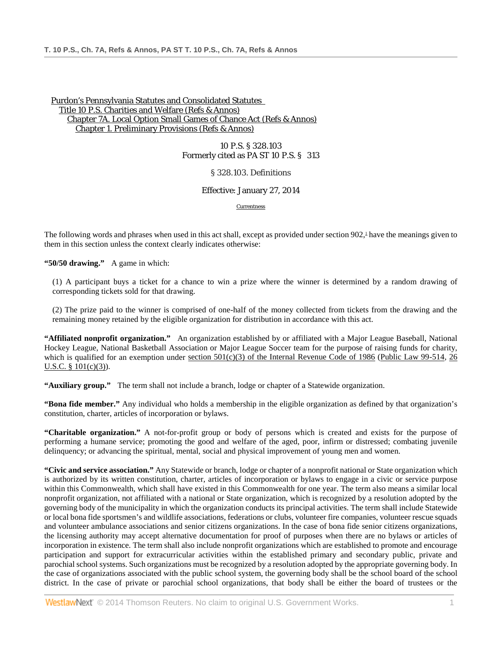10 P.S. § 328.103 Formerly cited as PA ST 10 P.S. § 313

§ 328.103. Definitions

Effective: January 27, 2014

Currentness

The following words and phrases when used in this act shall, except as provided under section  $902<sup>1</sup>$  have the meanings given to them in this section unless the context clearly indicates otherwise:

**"50/50 drawing."** A game in which:

(1) A participant buys a ticket for a chance to win a prize where the winner is determined by a random drawing of corresponding tickets sold for that drawing.

(2) The prize paid to the winner is comprised of one-half of the money collected from tickets from the drawing and the remaining money retained by the eligible organization for distribution in accordance with this act.

**"Affiliated nonprofit organization."** An organization established by or affiliated with a Major League Baseball, National Hockey League, National Basketball Association or Major League Soccer team for the purpose of raising funds for charity, which is qualified for an exemption under section  $501(c)(3)$  of the Internal Revenue Code of 1986 [\(Public Law 99-514,](http://www.westlaw.com/Link/Document/FullText?findType=l&pubNum=1077005&cite=UUID(I4B69EEE9A1-E642ECA21E4-01F8D0A45CF)&originationContext=document&vr=3.0&rs=cblt1.0&transitionType=DocumentItem&contextData=(sc.DocLink)) 26 [U.S.C. § 101\(c\)\(3\)\)](http://www.westlaw.com/Link/Document/FullText?findType=L&pubNum=1000546&cite=26USCAS101&originationContext=document&vr=3.0&rs=cblt1.0&transitionType=DocumentItem&contextData=(sc.DocLink)#co_pp_4b24000003ba5).

**"Auxiliary group."** The term shall not include a branch, lodge or chapter of a Statewide organization.

**"Bona fide member."** Any individual who holds a membership in the eligible organization as defined by that organization's constitution, charter, articles of incorporation or bylaws.

**"Charitable organization."** A not-for-profit group or body of persons which is created and exists for the purpose of performing a humane service; promoting the good and welfare of the aged, poor, infirm or distressed; combating juvenile delinquency; or advancing the spiritual, mental, social and physical improvement of young men and women.

**"Civic and service association."** Any Statewide or branch, lodge or chapter of a nonprofit national or State organization which is authorized by its written constitution, charter, articles of incorporation or bylaws to engage in a civic or service purpose within this Commonwealth, which shall have existed in this Commonwealth for one year. The term also means a similar local nonprofit organization, not affiliated with a national or State organization, which is recognized by a resolution adopted by the governing body of the municipality in which the organization conducts its principal activities. The term shall include Statewide or local bona fide sportsmen's and wildlife associations, federations or clubs, volunteer fire companies, volunteer rescue squads and volunteer ambulance associations and senior citizens organizations. In the case of bona fide senior citizens organizations, the licensing authority may accept alternative documentation for proof of purposes when there are no bylaws or articles of incorporation in existence. The term shall also include nonprofit organizations which are established to promote and encourage participation and support for extracurricular activities within the established primary and secondary public, private and parochial school systems. Such organizations must be recognized by a resolution adopted by the appropriate governing body. In the case of organizations associated with the public school system, the governing body shall be the school board of the school district. In the case of private or parochial school organizations, that body shall be either the board of trustees or the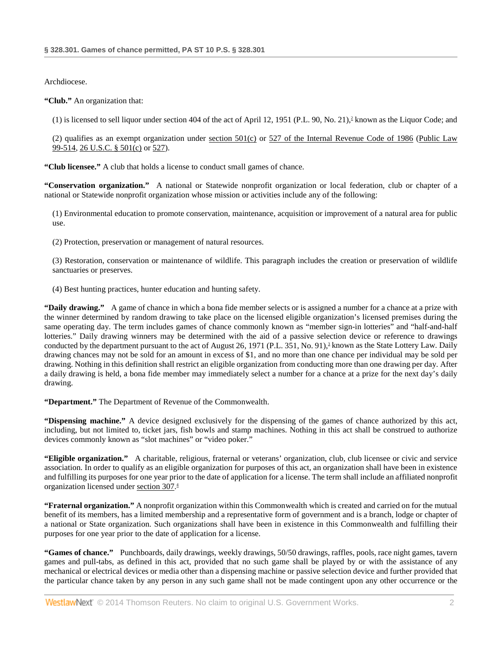Archdiocese.

**"Club."** An organization that:

 $(1)$  is licensed to sell liquor under section 404 of the act of April 12, 1951 (P.L. 90, No. 21),<sup>2</sup> known as the Liquor Code; and

(2) qualifies as an exempt organization under [section 501\(c\)](http://www.westlaw.com/Link/Document/FullText?findType=L&pubNum=1012823&cite=26USCAS501&originationContext=document&vr=3.0&rs=cblt1.0&transitionType=DocumentItem&contextData=(sc.DocLink)#co_pp_4b24000003ba5) or [527 of the Internal Revenue Code of 1986](http://www.westlaw.com/Link/Document/FullText?findType=L&pubNum=1012823&cite=26USCAS527&originatingDoc=NC0DEB090788511E3BC98B5C5C6DE472B&refType=LQ&originationContext=document&vr=3.0&rs=cblt1.0&transitionType=DocumentItem&contextData=(sc.DocLink)) [\(Public Law](http://www.westlaw.com/Link/Document/FullText?findType=l&pubNum=1077005&cite=UUID(I4B69EEE9A1-E642ECA21E4-01F8D0A45CF)&originationContext=document&vr=3.0&rs=cblt1.0&transitionType=DocumentItem&contextData=(sc.DocLink))  [99-514,](http://www.westlaw.com/Link/Document/FullText?findType=l&pubNum=1077005&cite=UUID(I4B69EEE9A1-E642ECA21E4-01F8D0A45CF)&originationContext=document&vr=3.0&rs=cblt1.0&transitionType=DocumentItem&contextData=(sc.DocLink)) 26 [U.S.C. § 501\(c\)](http://www.westlaw.com/Link/Document/FullText?findType=L&pubNum=1000546&cite=26USCAS501&originationContext=document&vr=3.0&rs=cblt1.0&transitionType=DocumentItem&contextData=(sc.DocLink)#co_pp_4b24000003ba5) or [527\)](http://www.westlaw.com/Link/Document/FullText?findType=L&pubNum=1000546&cite=26USCAS527&originatingDoc=NC0DEB090788511E3BC98B5C5C6DE472B&refType=LQ&originationContext=document&vr=3.0&rs=cblt1.0&transitionType=DocumentItem&contextData=(sc.DocLink)).

**"Club licensee."** A club that holds a license to conduct small games of chance.

**"Conservation organization."** A national or Statewide nonprofit organization or local federation, club or chapter of a national or Statewide nonprofit organization whose mission or activities include any of the following:

(1) Environmental education to promote conservation, maintenance, acquisition or improvement of a natural area for public use.

(2) Protection, preservation or management of natural resources.

(3) Restoration, conservation or maintenance of wildlife. This paragraph includes the creation or preservation of wildlife sanctuaries or preserves.

(4) Best hunting practices, hunter education and hunting safety.

**"Daily drawing."** A game of chance in which a bona fide member selects or is assigned a number for a chance at a prize with the winner determined by random drawing to take place on the licensed eligible organization's licensed premises during the same operating day. The term includes games of chance commonly known as "member sign-in lotteries" and "half-and-half lotteries." Daily drawing winners may be determined with the aid of a passive selection device or reference to drawings conducted by the department pursuant to the act of August 26, 1971 (P.L. 351, No. 91), $\frac{3}{2}$  known as the State Lottery Law. Daily drawing chances may not be sold for an amount in excess of \$1, and no more than one chance per individual may be sold per drawing. Nothing in this definition shall restrict an eligible organization from conducting more than one drawing per day. After a daily drawing is held, a bona fide member may immediately select a number for a chance at a prize for the next day's daily drawing.

**"Department."** The Department of Revenue of the Commonwealth.

**"Dispensing machine."** A device designed exclusively for the dispensing of the games of chance authorized by this act, including, but not limited to, ticket jars, fish bowls and stamp machines. Nothing in this act shall be construed to authorize devices commonly known as "slot machines" or "video poker."

**"Eligible organization."** A charitable, religious, fraternal or veterans' organization, club, club licensee or civic and service association. In order to qualify as an eligible organization for purposes of this act, an organization shall have been in existence and fulfilling its purposes for one year prior to the date of application for a license. The term shall include an affiliated nonprofit organization licensed under [section 307.](http://www.westlaw.com/Link/Document/FullText?findType=L&pubNum=1000262&cite=PS10S307&originatingDoc=NC0DEB090788511E3BC98B5C5C6DE472B&refType=LQ&originationContext=document&vr=3.0&rs=cblt1.0&transitionType=DocumentItem&contextData=(sc.DocLink)) 4

**"Fraternal organization."** A nonprofit organization within this Commonwealth which is created and carried on for the mutual benefit of its members, has a limited membership and a representative form of government and is a branch, lodge or chapter of a national or State organization. Such organizations shall have been in existence in this Commonwealth and fulfilling their purposes for one year prior to the date of application for a license.

**"Games of chance."** Punchboards, daily drawings, weekly drawings, 50/50 drawings, raffles, pools, race night games, tavern games and pull-tabs, as defined in this act, provided that no such game shall be played by or with the assistance of any mechanical or electrical devices or media other than a dispensing machine or passive selection device and further provided that the particular chance taken by any person in any such game shall not be made contingent upon any other occurrence or the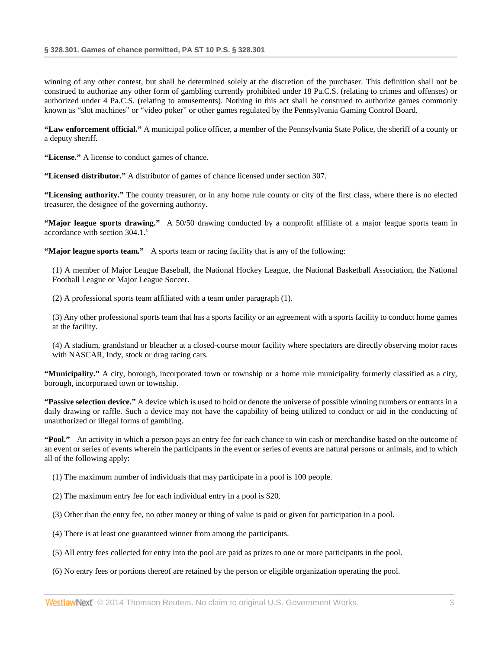winning of any other contest, but shall be determined solely at the discretion of the purchaser. This definition shall not be construed to authorize any other form of gambling currently prohibited under 18 Pa.C.S. (relating to crimes and offenses) or authorized under 4 Pa.C.S. (relating to amusements). Nothing in this act shall be construed to authorize games commonly known as "slot machines" or "video poker" or other games regulated by the Pennsylvania Gaming Control Board.

**"Law enforcement official."** A municipal police officer, a member of the Pennsylvania State Police, the sheriff of a county or a deputy sheriff.

**"License."** A license to conduct games of chance.

**"Licensed distributor."** A distributor of games of chance licensed under [section 307.](http://www.westlaw.com/Link/Document/FullText?findType=L&pubNum=1000262&cite=PS10S307&originatingDoc=NC0DEB090788511E3BC98B5C5C6DE472B&refType=LQ&originationContext=document&vr=3.0&rs=cblt1.0&transitionType=DocumentItem&contextData=(sc.DocLink))

**"Licensing authority."** The county treasurer, or in any home rule county or city of the first class, where there is no elected treasurer, the designee of the governing authority.

**"Major league sports drawing."** A 50/50 drawing conducted by a nonprofit affiliate of a major league sports team in accordance with section 304.1.<sup>5</sup>

**"Major league sports team."** A sports team or racing facility that is any of the following:

(1) A member of Major League Baseball, the National Hockey League, the National Basketball Association, the National Football League or Major League Soccer.

(2) A professional sports team affiliated with a team under paragraph (1).

(3) Any other professional sports team that has a sports facility or an agreement with a sports facility to conduct home games at the facility.

(4) A stadium, grandstand or bleacher at a closed-course motor facility where spectators are directly observing motor races with NASCAR, Indy, stock or drag racing cars.

**"Municipality."** A city, borough, incorporated town or township or a home rule municipality formerly classified as a city, borough, incorporated town or township.

**"Passive selection device."** A device which is used to hold or denote the universe of possible winning numbers or entrants in a daily drawing or raffle. Such a device may not have the capability of being utilized to conduct or aid in the conducting of unauthorized or illegal forms of gambling.

**"Pool."** An activity in which a person pays an entry fee for each chance to win cash or merchandise based on the outcome of an event or series of events wherein the participants in the event or series of events are natural persons or animals, and to which all of the following apply:

- (1) The maximum number of individuals that may participate in a pool is 100 people.
- (2) The maximum entry fee for each individual entry in a pool is \$20.
- (3) Other than the entry fee, no other money or thing of value is paid or given for participation in a pool.
- (4) There is at least one guaranteed winner from among the participants.
- (5) All entry fees collected for entry into the pool are paid as prizes to one or more participants in the pool.
- (6) No entry fees or portions thereof are retained by the person or eligible organization operating the pool.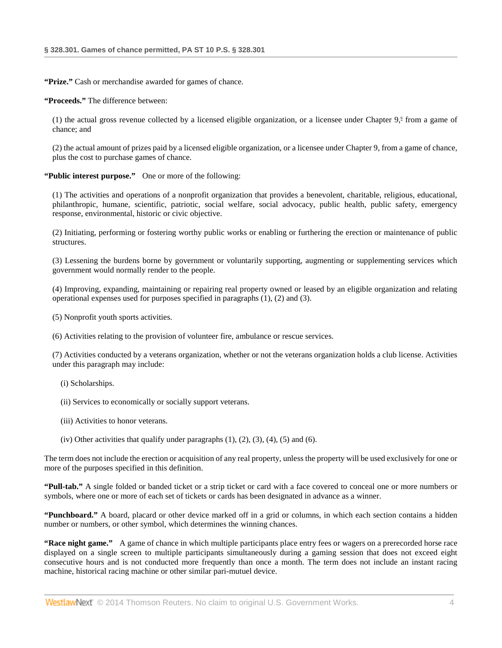**"Prize."** Cash or merchandise awarded for games of chance.

**"Proceeds."** The difference between:

(1) the actual gross revenue collected by a licensed eligible organization, or a licensee under Chapter  $9<sup>6</sup>$  from a game of chance; and

(2) the actual amount of prizes paid by a licensed eligible organization, or a licensee under Chapter 9, from a game of chance, plus the cost to purchase games of chance.

**"Public interest purpose."** One or more of the following:

(1) The activities and operations of a nonprofit organization that provides a benevolent, charitable, religious, educational, philanthropic, humane, scientific, patriotic, social welfare, social advocacy, public health, public safety, emergency response, environmental, historic or civic objective.

(2) Initiating, performing or fostering worthy public works or enabling or furthering the erection or maintenance of public structures.

(3) Lessening the burdens borne by government or voluntarily supporting, augmenting or supplementing services which government would normally render to the people.

(4) Improving, expanding, maintaining or repairing real property owned or leased by an eligible organization and relating operational expenses used for purposes specified in paragraphs (1), (2) and (3).

(5) Nonprofit youth sports activities.

(6) Activities relating to the provision of volunteer fire, ambulance or rescue services.

(7) Activities conducted by a veterans organization, whether or not the veterans organization holds a club license. Activities under this paragraph may include:

- (i) Scholarships.
- (ii) Services to economically or socially support veterans.
- (iii) Activities to honor veterans.
- (iv) Other activities that qualify under paragraphs  $(1)$ ,  $(2)$ ,  $(3)$ ,  $(4)$ ,  $(5)$  and  $(6)$ .

The term does not include the erection or acquisition of any real property, unless the property will be used exclusively for one or more of the purposes specified in this definition.

**"Pull-tab."** A single folded or banded ticket or a strip ticket or card with a face covered to conceal one or more numbers or symbols, where one or more of each set of tickets or cards has been designated in advance as a winner.

**"Punchboard."** A board, placard or other device marked off in a grid or columns, in which each section contains a hidden number or numbers, or other symbol, which determines the winning chances.

**"Race night game."** A game of chance in which multiple participants place entry fees or wagers on a prerecorded horse race displayed on a single screen to multiple participants simultaneously during a gaming session that does not exceed eight consecutive hours and is not conducted more frequently than once a month. The term does not include an instant racing machine, historical racing machine or other similar pari-mutuel device.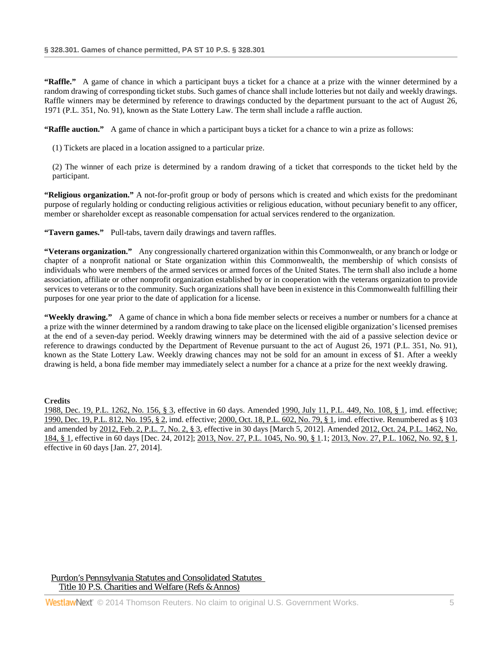**"Raffle."** A game of chance in which a participant buys a ticket for a chance at a prize with the winner determined by a random drawing of corresponding ticket stubs. Such games of chance shall include lotteries but not daily and weekly drawings. Raffle winners may be determined by reference to drawings conducted by the department pursuant to the act of August 26, 1971 (P.L. 351, No. 91), known as the State Lottery Law. The term shall include a raffle auction.

**"Raffle auction."** A game of chance in which a participant buys a ticket for a chance to win a prize as follows:

(1) Tickets are placed in a location assigned to a particular prize.

(2) The winner of each prize is determined by a random drawing of a ticket that corresponds to the ticket held by the participant.

**"Religious organization."** A not-for-profit group or body of persons which is created and which exists for the predominant purpose of regularly holding or conducting religious activities or religious education, without pecuniary benefit to any officer, member or shareholder except as reasonable compensation for actual services rendered to the organization.

**"Tavern games."** Pull-tabs, tavern daily drawings and tavern raffles.

**"Veterans organization."** Any congressionally chartered organization within this Commonwealth, or any branch or lodge or chapter of a nonprofit national or State organization within this Commonwealth, the membership of which consists of individuals who were members of the armed services or armed forces of the United States. The term shall also include a home association, affiliate or other nonprofit organization established by or in cooperation with the veterans organization to provide services to veterans or to the community. Such organizations shall have been in existence in this Commonwealth fulfilling their purposes for one year prior to the date of application for a license.

**"Weekly drawing."** A game of chance in which a bona fide member selects or receives a number or numbers for a chance at a prize with the winner determined by a random drawing to take place on the licensed eligible organization's licensed premises at the end of a seven-day period. Weekly drawing winners may be determined with the aid of a passive selection device or reference to drawings conducted by the Department of Revenue pursuant to the act of August 26, 1971 (P.L. 351, No. 91), known as the State Lottery Law. Weekly drawing chances may not be sold for an amount in excess of \$1. After a weekly drawing is held, a bona fide member may immediately select a number for a chance at a prize for the next weekly drawing.

**Credits**

[1988, Dec. 19, P.L. 1262, No. 156, § 3,](http://www.westlaw.com/Link/Document/FullText?findType=l&pubNum=1077005&cite=UUID(IDEC1AEEDA6-3943769C852-CE98C177453)&originationContext=document&vr=3.0&rs=cblt1.0&transitionType=DocumentItem&contextData=(sc.DocLink)) effective in 60 days. Amended [1990, July 11, P.L. 449, No. 108, § 1,](http://www.westlaw.com/Link/Document/FullText?findType=l&pubNum=1077005&cite=UUID(I2E75A3B0E0-EC420889CE6-BB4499D4692)&originationContext=document&vr=3.0&rs=cblt1.0&transitionType=DocumentItem&contextData=(sc.DocLink)) imd. effective; [1990, Dec. 19, P.L. 812, No. 195, § 2,](http://www.westlaw.com/Link/Document/FullText?findType=l&pubNum=1077005&cite=UUID(IEAFE739073-9A4AF7ADAD1-053ABE985F3)&originationContext=document&vr=3.0&rs=cblt1.0&transitionType=DocumentItem&contextData=(sc.DocLink)) imd. effective[; 2000, Oct. 18, P.L. 602, No. 79, § 1,](http://www.westlaw.com/Link/Document/FullText?findType=l&pubNum=1077005&cite=UUID(ID5F6743FD2-D74B0C9822A-780A70B915E)&originationContext=document&vr=3.0&rs=cblt1.0&transitionType=DocumentItem&contextData=(sc.DocLink)) imd. effective. Renumbered as § 103 and amended b[y 2012, Feb. 2, P.L. 7, No. 2, § 3,](http://www.westlaw.com/Link/Document/FullText?findType=l&pubNum=1077005&cite=UUID(IF1E48C8052-6411E1BD779-BF39FE01E8A)&originationContext=document&vr=3.0&rs=cblt1.0&transitionType=DocumentItem&contextData=(sc.DocLink)) effective in 30 days [March 5, 2012]. Amende[d 2012, Oct. 24, P.L. 1462, No.](http://www.westlaw.com/Link/Document/FullText?findType=l&pubNum=1077005&cite=UUID(I3326778043-A511E29B2E8-4DF6196F2E8)&originationContext=document&vr=3.0&rs=cblt1.0&transitionType=DocumentItem&contextData=(sc.DocLink))  [184, § 1,](http://www.westlaw.com/Link/Document/FullText?findType=l&pubNum=1077005&cite=UUID(I3326778043-A511E29B2E8-4DF6196F2E8)&originationContext=document&vr=3.0&rs=cblt1.0&transitionType=DocumentItem&contextData=(sc.DocLink)) effective in 60 days [Dec. 24, 2012][; 2013, Nov. 27, P.L. 1045, No. 90, § 1.](http://www.westlaw.com/Link/Document/FullText?findType=l&pubNum=1077005&cite=UUID(IE928D4A05E-6211E3AED0A-E211C77CD8A)&originationContext=document&vr=3.0&rs=cblt1.0&transitionType=DocumentItem&contextData=(sc.DocLink))1[; 2013, Nov. 27, P.L. 1062, No. 92, § 1,](http://www.westlaw.com/Link/Document/FullText?findType=l&pubNum=1077005&cite=UUID(IE9429E305E-6211E3B139A-D266F9555A0)&originationContext=document&vr=3.0&rs=cblt1.0&transitionType=DocumentItem&contextData=(sc.DocLink)) effective in 60 days [Jan. 27, 2014].

[Purdon's Pennsylvania Statutes and Consolidated Statutes](http://www.westlaw.com/Browse/Home/StatutesCourtRules/PennsylvaniaStatutesCourtRules?transitionType=DocumentItem&contextData=(sc.DocLink)&rs=clbt1.0&vr=3.0)  [Title 10 P.S. Charities and Welfare \(Refs & Annos\)](http://www.westlaw.com/Browse/Home/StatutesCourtRules/PennsylvaniaStatutesCourtRules?guid=N7B9E600F76734C7285766466EAFA2DA5&transitionType=DocumentItem&contextData=(sc.DocLink)&rs=clbt1.0&vr=3.0)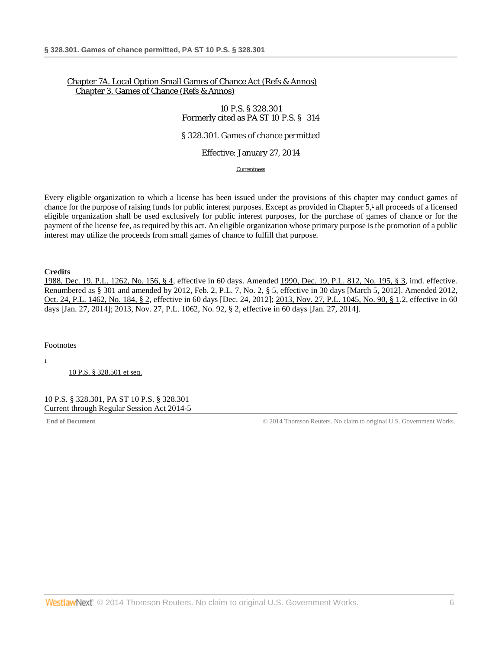# [Chapter 7A. Local Option Small](http://www.westlaw.com/Browse/Home/StatutesCourtRules/PennsylvaniaStatutesCourtRules?guid=NFFEE6618DE4347229C0FAD15F0191B43&transitionType=DocumentItem&contextData=(sc.DocLink)&rs=clbt1.0&vr=3.0) Games of Chance Act [\(Refs & Annos\)](http://www.westlaw.com/Browse/Home/StatutesCourtRules/PennsylvaniaStatutesCourtRules?guid=NFFEE6618DE4347229C0FAD15F0191B43&transitionType=DocumentItem&contextData=(sc.DocLink)&rs=clbt1.0&vr=3.0) [Chapter 3. Games of Chance \(Refs & Annos\)](http://www.westlaw.com/Browse/Home/StatutesCourtRules/PennsylvaniaStatutesCourtRules?guid=N0E7904905B3211E18587BB50F56B71F0&transitionType=DocumentItem&contextData=(sc.DocLink)&rs=clbt1.0&vr=3.0)

## 10 P.S. § 328.301 Formerly cited as PA ST 10 P.S. § 314

### § 328.301. Games of chance permitted

### Effective: January 27, 2014

<span id="page-5-2"></span>**[Currentness](#page-5-0)** 

Every eligible organization to which a license has been issued under the provisions of this chapter may conduct games of chance for the purpose of raising funds for public interest purposes. Except as provided in Chapter 5,<sup>1</sup> all proceeds of a licensed eligible organization shall be used exclusively for public interest purposes, for the purchase of games of chance or for the payment of the license fee, as required by this act. An eligible organization whose primary purpose is the promotion of a public interest may utilize the proceeds from small games of chance to fulfill that purpose.

**Credits**

[1988, Dec. 19, P.L. 1262, No. 156, § 4,](http://www.westlaw.com/Link/Document/FullText?findType=l&pubNum=1077005&cite=UUID(IDEC1AEEDA6-3943769C852-CE98C177453)&originationContext=document&vr=3.0&rs=cblt1.0&transitionType=DocumentItem&contextData=(sc.DocLink)) effective in 60 days. Amended [1990, Dec. 19, P.L. 812, No. 195, § 3,](http://www.westlaw.com/Link/Document/FullText?findType=l&pubNum=1077005&cite=UUID(IEAFE739073-9A4AF7ADAD1-053ABE985F3)&originationContext=document&vr=3.0&rs=cblt1.0&transitionType=DocumentItem&contextData=(sc.DocLink)) imd. effective. Renumbered as § 301 and amended by [2012, Feb. 2, P.L. 7, No. 2, § 5,](http://www.westlaw.com/Link/Document/FullText?findType=l&pubNum=1077005&cite=UUID(IF1E48C8052-6411E1BD779-BF39FE01E8A)&originationContext=document&vr=3.0&rs=cblt1.0&transitionType=DocumentItem&contextData=(sc.DocLink)) effective in 30 days [March 5, 2012]. Amended 2012, [Oct. 24, P.L. 1462, No. 184, § 2,](http://www.westlaw.com/Link/Document/FullText?findType=l&pubNum=1077005&cite=UUID(I3326778043-A511E29B2E8-4DF6196F2E8)&originationContext=document&vr=3.0&rs=cblt1.0&transitionType=DocumentItem&contextData=(sc.DocLink)) effective in 60 days [Dec. 24, 2012][; 2013, Nov. 27, P.L. 1045, No. 90, § 1.](http://www.westlaw.com/Link/Document/FullText?findType=l&pubNum=1077005&cite=UUID(IE928D4A05E-6211E3AED0A-E211C77CD8A)&originationContext=document&vr=3.0&rs=cblt1.0&transitionType=DocumentItem&contextData=(sc.DocLink))2, effective in 60 days [Jan. 27, 2014]; [2013, Nov. 27, P.L. 1062, No. 92, § 2,](http://www.westlaw.com/Link/Document/FullText?findType=l&pubNum=1077005&cite=UUID(IE9429E305E-6211E3B139A-D266F9555A0)&originationContext=document&vr=3.0&rs=cblt1.0&transitionType=DocumentItem&contextData=(sc.DocLink)) effective in 60 days [Jan. 27, 2014].

<span id="page-5-0"></span>Footnotes

<span id="page-5-1"></span>[1](#page-5-2)

[10 P.S. § 328.501 et seq.](http://www.westlaw.com/Link/Document/FullText?findType=L&pubNum=1000262&cite=PS10S328.501&originatingDoc=NA555A53078A411E3B3A7BFBD80104F8A&refType=LQ&originationContext=document&vr=3.0&rs=cblt1.0&transitionType=DocumentItem&contextData=(sc.DocLink))

10 P.S. § 328.301, PA ST 10 P.S. § 328.301 Current through Regular Session Act 2014-5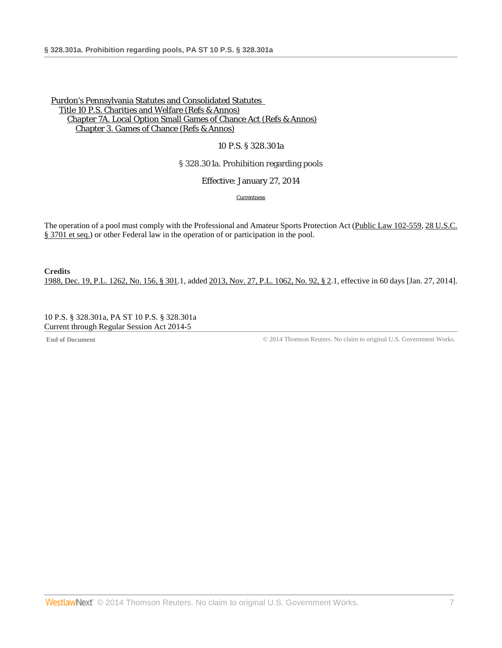### 10 P.S. § 328.301a

# § 328.301a. Prohibition regarding pools

Effective: January 27, 2014

**[Currentness](#page-6-0)** 

The operation of a pool must comply with the Professional and Amateur Sports Protection Act [\(Public Law 102-559,](http://www.westlaw.com/Link/Document/FullText?findType=l&pubNum=1077005&cite=UUID(IF6E281800A-BC4B9C8D0DA-A5383A18B56)&originationContext=document&vr=3.0&rs=cblt1.0&transitionType=DocumentItem&contextData=(sc.DocLink)) 28 U.S.C. [§ 3701 et seq.\)](http://www.westlaw.com/Link/Document/FullText?findType=L&pubNum=1000546&cite=28USCAS3701&originatingDoc=N827A7430797311E38FFED7512AA3B354&refType=LQ&originationContext=document&vr=3.0&rs=cblt1.0&transitionType=DocumentItem&contextData=(sc.DocLink)) or other Federal law in the operation of or participation in the pool.

**Credits** [1988, Dec. 19, P.L. 1262, No. 156, § 301.](http://www.westlaw.com/Link/Document/FullText?findType=l&pubNum=1077005&cite=UUID(IDEC1AEEDA6-3943769C852-CE98C177453)&originationContext=document&vr=3.0&rs=cblt1.0&transitionType=DocumentItem&contextData=(sc.DocLink))1, added [2013, Nov. 27, P.L. 1062, No. 92, § 2.](http://www.westlaw.com/Link/Document/FullText?findType=l&pubNum=1077005&cite=UUID(IE9429E305E-6211E3B139A-D266F9555A0)&originationContext=document&vr=3.0&rs=cblt1.0&transitionType=DocumentItem&contextData=(sc.DocLink))1, effective in 60 days [Jan. 27, 2014].

<span id="page-6-0"></span>10 P.S. § 328.301a, PA ST 10 P.S. § 328.301a Current through Regular Session Act 2014-5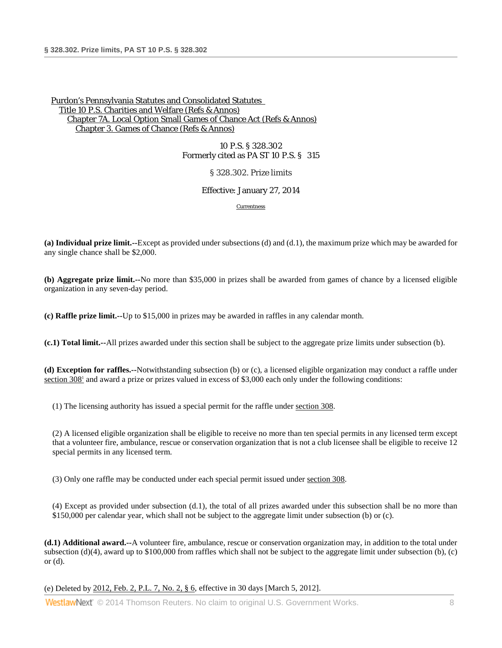10 P.S. § 328.302 Formerly cited as PA ST 10 P.S. § 315

§ 328.302. Prize limits

Effective: January 27, 2014

[Currentness](#page-8-0)

**(a) Individual prize limit.--**Except as provided under subsections (d) and (d.1), the maximum prize which may be awarded for any single chance shall be \$2,000.

**(b) Aggregate prize limit.--**No more than \$35,000 in prizes shall be awarded from games of chance by a licensed eligible organization in any seven-day period.

**(c) Raffle prize limit.--**Up to \$15,000 in prizes may be awarded in raffles in any calendar month.

**(c.1) Total limit.--**All prizes awarded under this section shall be subject to the aggregate prize limits under subsection (b).

<span id="page-7-0"></span>**(d) Exception for raffles.--**Notwithstanding subsection (b) or (c), a licensed eligible organization may conduct a raffle under section 308<sup>1</sup> and award a prize or prizes valued in excess of \$3,000 each only under the following conditions:

(1) The licensing authority has issued a special permit for the raffle under [section 308.](http://www.westlaw.com/Link/Document/FullText?findType=L&pubNum=1000262&cite=PS10S308&originatingDoc=N9A0F49E0797311E3B53CB9983C698C75&refType=LQ&originationContext=document&vr=3.0&rs=cblt1.0&transitionType=DocumentItem&contextData=(sc.DocLink))

(2) A licensed eligible organization shall be eligible to receive no more than ten special permits in any licensed term except that a volunteer fire, ambulance, rescue or conservation organization that is not a club licensee shall be eligible to receive 12 special permits in any licensed term.

(3) Only one raffle may be conducted under each special permit issued unde[r section 308.](http://www.westlaw.com/Link/Document/FullText?findType=L&pubNum=1000262&cite=PS10S308&originatingDoc=N9A0F49E0797311E3B53CB9983C698C75&refType=LQ&originationContext=document&vr=3.0&rs=cblt1.0&transitionType=DocumentItem&contextData=(sc.DocLink))

(4) Except as provided under subsection (d.1), the total of all prizes awarded under this subsection shall be no more than \$150,000 per calendar year, which shall not be subject to the aggregate limit under subsection (b) or (c).

**(d.1) Additional award.--**A volunteer fire, ambulance, rescue or conservation organization may, in addition to the total under subsection (d)(4), award up to \$100,000 from raffles which shall not be subject to the aggregate limit under subsection (b), (c) or (d).

(e) Deleted b[y 2012, Feb. 2, P.L. 7, No. 2, § 6,](http://www.westlaw.com/Link/Document/FullText?findType=l&pubNum=1077005&cite=UUID(IF1E48C8052-6411E1BD779-BF39FE01E8A)&originationContext=document&vr=3.0&rs=cblt1.0&transitionType=DocumentItem&contextData=(sc.DocLink)) effective in 30 days [March 5, 2012].

**WestlawNext**" © 2014 Thomson Reuters. No claim to original U.S. Government Works.  $\qquad 8$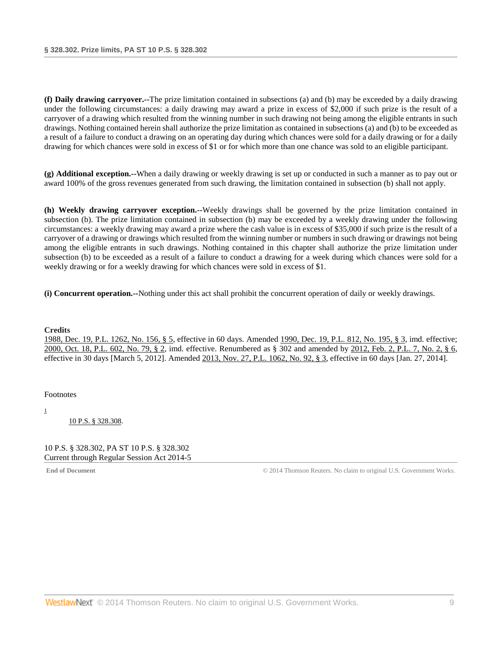**(f) Daily drawing carryover.--**The prize limitation contained in subsections (a) and (b) may be exceeded by a daily drawing under the following circumstances: a daily drawing may award a prize in excess of \$2,000 if such prize is the result of a carryover of a drawing which resulted from the winning number in such drawing not being among the eligible entrants in such drawings. Nothing contained herein shall authorize the prize limitation as contained in subsections (a) and (b) to be exceeded as a result of a failure to conduct a drawing on an operating day during which chances were sold for a daily drawing or for a daily drawing for which chances were sold in excess of \$1 or for which more than one chance was sold to an eligible participant.

**(g) Additional exception.--**When a daily drawing or weekly drawing is set up or conducted in such a manner as to pay out or award 100% of the gross revenues generated from such drawing, the limitation contained in subsection (b) shall not apply.

**(h) Weekly drawing carryover exception.--**Weekly drawings shall be governed by the prize limitation contained in subsection (b). The prize limitation contained in subsection (b) may be exceeded by a weekly drawing under the following circumstances: a weekly drawing may award a prize where the cash value is in excess of \$35,000 if such prize is the result of a carryover of a drawing or drawings which resulted from the winning number or numbers in such drawing or drawings not being among the eligible entrants in such drawings. Nothing contained in this chapter shall authorize the prize limitation under subsection (b) to be exceeded as a result of a failure to conduct a drawing for a week during which chances were sold for a weekly drawing or for a weekly drawing for which chances were sold in excess of \$1.

**(i) Concurrent operation.--**Nothing under this act shall prohibit the concurrent operation of daily or weekly drawings.

### **Credits**

[1988, Dec. 19, P.L. 1262, No. 156, § 5,](http://www.westlaw.com/Link/Document/FullText?findType=l&pubNum=1077005&cite=UUID(IDEC1AEEDA6-3943769C852-CE98C177453)&originationContext=document&vr=3.0&rs=cblt1.0&transitionType=DocumentItem&contextData=(sc.DocLink)) effective in 60 days. Amended [1990, Dec. 19, P.L. 812, No. 195, § 3,](http://www.westlaw.com/Link/Document/FullText?findType=l&pubNum=1077005&cite=UUID(IEAFE739073-9A4AF7ADAD1-053ABE985F3)&originationContext=document&vr=3.0&rs=cblt1.0&transitionType=DocumentItem&contextData=(sc.DocLink)) imd. effective; [2000, Oct. 18, P.L. 602, No. 79, § 2,](http://www.westlaw.com/Link/Document/FullText?findType=l&pubNum=1077005&cite=UUID(ID5F6743FD2-D74B0C9822A-780A70B915E)&originationContext=document&vr=3.0&rs=cblt1.0&transitionType=DocumentItem&contextData=(sc.DocLink)) imd. effective. Renumbered as § 302 and amended by [2012, Feb. 2, P.L. 7, No. 2, § 6,](http://www.westlaw.com/Link/Document/FullText?findType=l&pubNum=1077005&cite=UUID(IF1E48C8052-6411E1BD779-BF39FE01E8A)&originationContext=document&vr=3.0&rs=cblt1.0&transitionType=DocumentItem&contextData=(sc.DocLink)) effective in 30 days [March 5, 2012]. Amende[d 2013, Nov. 27, P.L. 1062, No. 92, § 3,](http://www.westlaw.com/Link/Document/FullText?findType=l&pubNum=1077005&cite=UUID(IE9429E305E-6211E3B139A-D266F9555A0)&originationContext=document&vr=3.0&rs=cblt1.0&transitionType=DocumentItem&contextData=(sc.DocLink)) effective in 60 days [Jan. 27, 2014].

<span id="page-8-0"></span>Footnotes

[1](#page-7-0)

[10 P.S. § 328.308.](http://www.westlaw.com/Link/Document/FullText?findType=L&pubNum=1000262&cite=PS10S328.308&originatingDoc=N9A0F49E0797311E3B53CB9983C698C75&refType=LQ&originationContext=document&vr=3.0&rs=cblt1.0&transitionType=DocumentItem&contextData=(sc.DocLink))

10 P.S. § 328.302, PA ST 10 P.S. § 328.302 Current through Regular Session Act 2014-5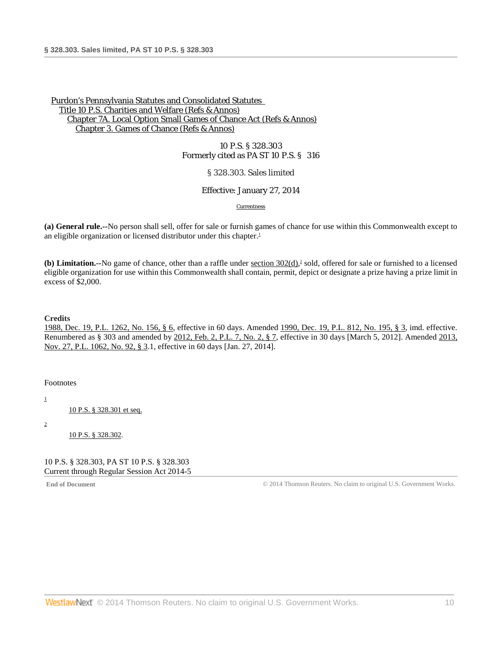10 P.S. § 328.303 Formerly cited as PA ST 10 P.S. § 316

§ 328.303. Sales limited

Effective: January 27, 2014

<span id="page-9-4"></span><span id="page-9-3"></span>**[Currentness](#page-9-0)** 

**(a) General rule.--**No person shall sell, offer for sale or furnish games of chance for use within this Commonwealth except to an eligible organization or licensed distributor under this chapter.<sup>1</sup>

(b) Limitation.--No game of chance, other than a raffle under [section 302\(d\),](http://www.westlaw.com/Link/Document/FullText?findType=L&pubNum=1000262&cite=PS10S302&originatingDoc=N9E511240797311E3A39F8E22CFE040CD&refType=LQ&originationContext=document&vr=3.0&rs=cblt1.0&transitionType=DocumentItem&contextData=(sc.DocLink))<sup>2</sup> sold, offered for sale or furnished to a licensed eligible organization for use within this Commonwealth shall contain, permit, depict or designate a prize having a prize limit in excess of \$2,000.

**Credits**

[1988, Dec. 19, P.L. 1262, No. 156, § 6,](http://www.westlaw.com/Link/Document/FullText?findType=l&pubNum=1077005&cite=UUID(IDEC1AEEDA6-3943769C852-CE98C177453)&originationContext=document&vr=3.0&rs=cblt1.0&transitionType=DocumentItem&contextData=(sc.DocLink)) effective in 60 days. Amended [1990, Dec. 19, P.L. 812, No. 195, § 3,](http://www.westlaw.com/Link/Document/FullText?findType=l&pubNum=1077005&cite=UUID(IEAFE739073-9A4AF7ADAD1-053ABE985F3)&originationContext=document&vr=3.0&rs=cblt1.0&transitionType=DocumentItem&contextData=(sc.DocLink)) imd. effective. Renumbered as § 303 and amended by [2012, Feb. 2, P.L. 7, No. 2, § 7,](http://www.westlaw.com/Link/Document/FullText?findType=l&pubNum=1077005&cite=UUID(IF1E48C8052-6411E1BD779-BF39FE01E8A)&originationContext=document&vr=3.0&rs=cblt1.0&transitionType=DocumentItem&contextData=(sc.DocLink)) effective in 30 days [March 5, 2012]. Amended 2013, [Nov. 27, P.L. 1062, No. 92, § 3.](http://www.westlaw.com/Link/Document/FullText?findType=l&pubNum=1077005&cite=UUID(IE9429E305E-6211E3B139A-D266F9555A0)&originationContext=document&vr=3.0&rs=cblt1.0&transitionType=DocumentItem&contextData=(sc.DocLink))1, effective in 60 days [Jan. 27, 2014].

<span id="page-9-0"></span>Footnotes

<span id="page-9-1"></span>[1](#page-9-3)

[10 P.S. § 328.301 et seq.](http://www.westlaw.com/Link/Document/FullText?findType=L&pubNum=1000262&cite=PS10S328.301&originatingDoc=N9E511240797311E3A39F8E22CFE040CD&refType=LQ&originationContext=document&vr=3.0&rs=cblt1.0&transitionType=DocumentItem&contextData=(sc.DocLink))

<span id="page-9-2"></span>[2](#page-9-4)

[10 P.S. § 328.302.](http://www.westlaw.com/Link/Document/FullText?findType=L&pubNum=1000262&cite=PS10S328.302&originatingDoc=N9E511240797311E3A39F8E22CFE040CD&refType=LQ&originationContext=document&vr=3.0&rs=cblt1.0&transitionType=DocumentItem&contextData=(sc.DocLink))

10 P.S. § 328.303, PA ST 10 P.S. § 328.303 Current through Regular Session Act 2014-5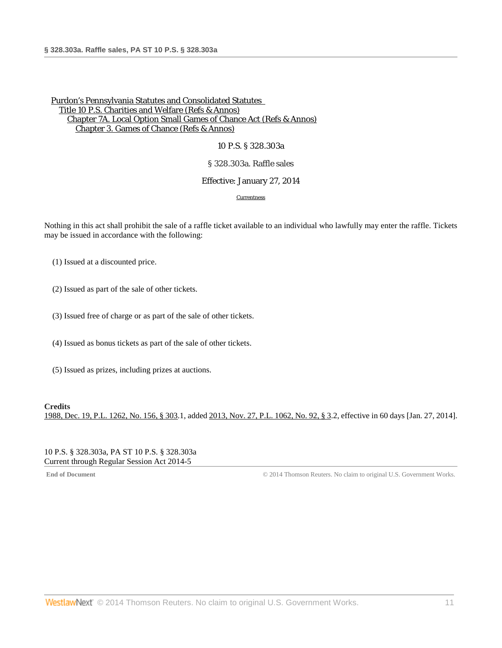### 10 P.S. § 328.303a

## § 328.303a. Raffle sales

### Effective: January 27, 2014

#### [Currentness](#page-10-0)

Nothing in this act shall prohibit the sale of a raffle ticket available to an individual who lawfully may enter the raffle. Tickets may be issued in accordance with the following:

(1) Issued at a discounted price.

(2) Issued as part of the sale of other tickets.

(3) Issued free of charge or as part of the sale of other tickets.

(4) Issued as bonus tickets as part of the sale of other tickets.

(5) Issued as prizes, including prizes at auctions.

### **Credits**

<span id="page-10-0"></span>[1988, Dec. 19, P.L. 1262, No. 156, § 303.](http://www.westlaw.com/Link/Document/FullText?findType=l&pubNum=1077005&cite=UUID(IDEC1AEEDA6-3943769C852-CE98C177453)&originationContext=document&vr=3.0&rs=cblt1.0&transitionType=DocumentItem&contextData=(sc.DocLink))1, added [2013, Nov. 27, P.L. 1062, No. 92, § 3.](http://www.westlaw.com/Link/Document/FullText?findType=l&pubNum=1077005&cite=UUID(IE9429E305E-6211E3B139A-D266F9555A0)&originationContext=document&vr=3.0&rs=cblt1.0&transitionType=DocumentItem&contextData=(sc.DocLink))2, effective in 60 days [Jan. 27, 2014].

### 10 P.S. § 328.303a, PA ST 10 P.S. § 328.303a Current through Regular Session Act 2014-5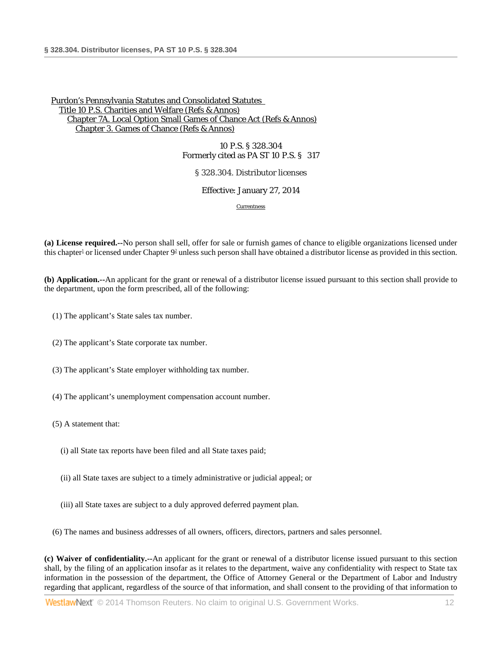10 P.S. § 328.304 Formerly cited as PA ST 10 P.S. § 317

§ 328.304. Distributor licenses

Effective: January 27, 2014

[Currentness](#page-13-0)

<span id="page-11-0"></span>**(a) License required.--**No person shall sell, offer for sale or furnish games of chance to eligible organizations licensed under this chapter<sup>1</sup> or licensed under Chapter  $9<sup>2</sup>$  unless such person shall have obtained a distributor license as provided in this section.

**(b) Application.--**An applicant for the grant or renewal of a distributor license issued pursuant to this section shall provide to the department, upon the form prescribed, all of the following:

- (1) The applicant's State sales tax number.
- (2) The applicant's State corporate tax number.
- (3) The applicant's State employer withholding tax number.
- (4) The applicant's unemployment compensation account number.
- (5) A statement that:
	- (i) all State tax reports have been filed and all State taxes paid;
	- (ii) all State taxes are subject to a timely administrative or judicial appeal; or
	- (iii) all State taxes are subject to a duly approved deferred payment plan.
- (6) The names and business addresses of all owners, officers, directors, partners and sales personnel.

**(c) Waiver of confidentiality.--**An applicant for the grant or renewal of a distributor license issued pursuant to this section shall, by the filing of an application insofar as it relates to the department, waive any confidentiality with respect to State tax information in the possession of the department, the Office of Attorney General or the Department of Labor and Industry regarding that applicant, regardless of the source of that information, and shall consent to the providing of that information to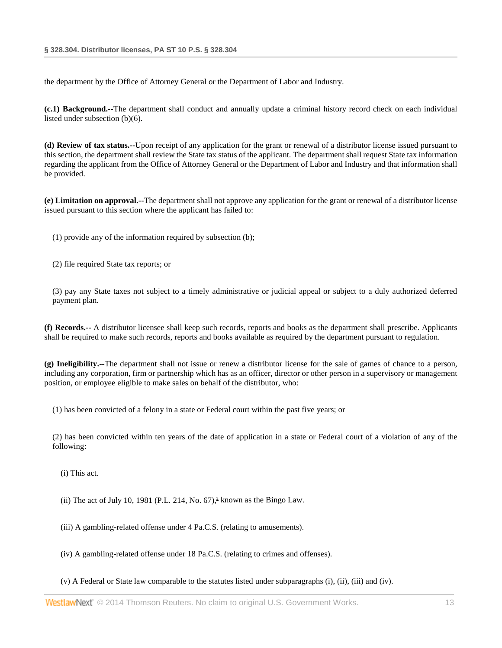the department by the Office of Attorney General or the Department of Labor and Industry.

**(c.1) Background.--**The department shall conduct and annually update a criminal history record check on each individual listed under subsection (b)(6).

**(d) Review of tax status.--**Upon receipt of any application for the grant or renewal of a distributor license issued pursuant to this section, the department shall review the State tax status of the applicant. The department shall request State tax information regarding the applicant from the Office of Attorney General or the Department of Labor and Industry and that information shall be provided.

**(e) Limitation on approval.--**The department shall not approve any application for the grant or renewal of a distributor license issued pursuant to this section where the applicant has failed to:

(1) provide any of the information required by subsection (b);

(2) file required State tax reports; or

(3) pay any State taxes not subject to a timely administrative or judicial appeal or subject to a duly authorized deferred payment plan.

**(f) Records.--** A distributor licensee shall keep such records, reports and books as the department shall prescribe. Applicants shall be required to make such records, reports and books available as required by the department pursuant to regulation.

**(g) Ineligibility.--**The department shall not issue or renew a distributor license for the sale of games of chance to a person, including any corporation, firm or partnership which has as an officer, director or other person in a supervisory or management position, or employee eligible to make sales on behalf of the distributor, who:

(1) has been convicted of a felony in a state or Federal court within the past five years; or

(2) has been convicted within ten years of the date of application in a state or Federal court of a violation of any of the following:

(i) This act.

<span id="page-12-0"></span>(ii) The act of July 10, 1981 (P.L. 214, No. 67),<sup>2</sup> known as the Bingo Law.

(iii) A gambling-related offense under 4 Pa.C.S. (relating to amusements).

(iv) A gambling-related offense under 18 Pa.C.S. (relating to crimes and offenses).

(v) A Federal or State law comparable to the statutes listed under subparagraphs (i), (ii), (iii) and (iv).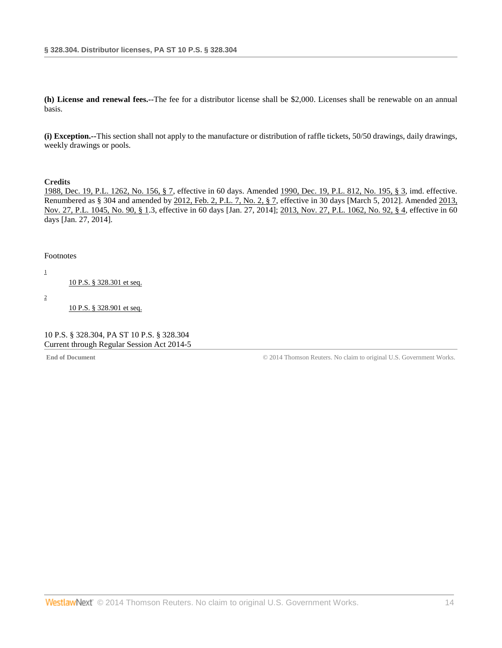**(h) License and renewal fees.--**The fee for a distributor license shall be \$2,000. Licenses shall be renewable on an annual basis.

**(i) Exception.--**This section shall not apply to the manufacture or distribution of raffle tickets, 50/50 drawings, daily drawings, weekly drawings or pools.

### **Credits**

[1988, Dec. 19, P.L. 1262, No. 156, § 7,](http://www.westlaw.com/Link/Document/FullText?findType=l&pubNum=1077005&cite=UUID(IDEC1AEEDA6-3943769C852-CE98C177453)&originationContext=document&vr=3.0&rs=cblt1.0&transitionType=DocumentItem&contextData=(sc.DocLink)) effective in 60 days. Amended [1990, Dec. 19, P.L. 812, No. 195, § 3,](http://www.westlaw.com/Link/Document/FullText?findType=l&pubNum=1077005&cite=UUID(IEAFE739073-9A4AF7ADAD1-053ABE985F3)&originationContext=document&vr=3.0&rs=cblt1.0&transitionType=DocumentItem&contextData=(sc.DocLink)) imd. effective. Renumbered as § 304 and amended by [2012, Feb. 2, P.L. 7, No. 2, § 7,](http://www.westlaw.com/Link/Document/FullText?findType=l&pubNum=1077005&cite=UUID(IF1E48C8052-6411E1BD779-BF39FE01E8A)&originationContext=document&vr=3.0&rs=cblt1.0&transitionType=DocumentItem&contextData=(sc.DocLink)) effective in 30 days [March 5, 2012]. Amended [2013,](http://www.westlaw.com/Link/Document/FullText?findType=l&pubNum=1077005&cite=UUID(IE928D4A05E-6211E3AED0A-E211C77CD8A)&originationContext=document&vr=3.0&rs=cblt1.0&transitionType=DocumentItem&contextData=(sc.DocLink))  [Nov. 27, P.L. 1045, No. 90, § 1.](http://www.westlaw.com/Link/Document/FullText?findType=l&pubNum=1077005&cite=UUID(IE928D4A05E-6211E3AED0A-E211C77CD8A)&originationContext=document&vr=3.0&rs=cblt1.0&transitionType=DocumentItem&contextData=(sc.DocLink))3, effective in 60 days [Jan. 27, 2014]; [2013, Nov. 27, P.L. 1062, No. 92, § 4,](http://www.westlaw.com/Link/Document/FullText?findType=l&pubNum=1077005&cite=UUID(IE9429E305E-6211E3B139A-D266F9555A0)&originationContext=document&vr=3.0&rs=cblt1.0&transitionType=DocumentItem&contextData=(sc.DocLink)) effective in 60 days [Jan. 27, 2014].

### <span id="page-13-0"></span>Footnotes

<span id="page-13-1"></span>[1](#page-11-0)

[10 P.S. § 328.301 et seq.](http://www.westlaw.com/Link/Document/FullText?findType=L&pubNum=1000262&cite=PS10S328.301&originatingDoc=NAD1FA9F078A411E39350AFA630FAB3FA&refType=LQ&originationContext=document&vr=3.0&rs=cblt1.0&transitionType=DocumentItem&contextData=(sc.DocLink))

<span id="page-13-2"></span>[2](#page-12-0)

[10 P.S. § 328.901 et seq.](http://www.westlaw.com/Link/Document/FullText?findType=L&pubNum=1000262&cite=PS10S328.901&originatingDoc=NAD1FA9F078A411E39350AFA630FAB3FA&refType=LQ&originationContext=document&vr=3.0&rs=cblt1.0&transitionType=DocumentItem&contextData=(sc.DocLink))

10 P.S. § 328.304, PA ST 10 P.S. § 328.304 Current through Regular Session Act 2014-5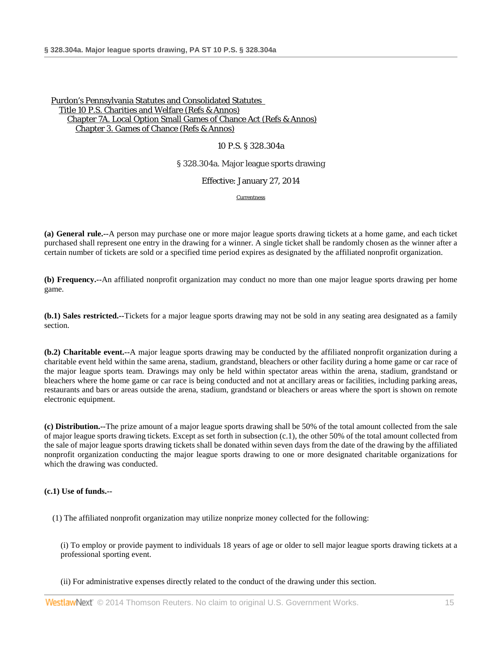### 10 P.S. § 328.304a

### § 328.304a. Major league sports drawing

Effective: January 27, 2014

**[Currentness](#page-15-0)** 

**(a) General rule.--**A person may purchase one or more major league sports drawing tickets at a home game, and each ticket purchased shall represent one entry in the drawing for a winner. A single ticket shall be randomly chosen as the winner after a certain number of tickets are sold or a specified time period expires as designated by the affiliated nonprofit organization.

**(b) Frequency.--**An affiliated nonprofit organization may conduct no more than one major league sports drawing per home game.

**(b.1) Sales restricted.--**Tickets for a major league sports drawing may not be sold in any seating area designated as a family section.

**(b.2) Charitable event.--**A major league sports drawing may be conducted by the affiliated nonprofit organization during a charitable event held within the same arena, stadium, grandstand, bleachers or other facility during a home game or car race of the major league sports team. Drawings may only be held within spectator areas within the arena, stadium, grandstand or bleachers where the home game or car race is being conducted and not at ancillary areas or facilities, including parking areas, restaurants and bars or areas outside the arena, stadium, grandstand or bleachers or areas where the sport is shown on remote electronic equipment.

**(c) Distribution.--**The prize amount of a major league sports drawing shall be 50% of the total amount collected from the sale of major league sports drawing tickets. Except as set forth in subsection (c.1), the other 50% of the total amount collected from the sale of major league sports drawing tickets shall be donated within seven days from the date of the drawing by the affiliated nonprofit organization conducting the major league sports drawing to one or more designated charitable organizations for which the drawing was conducted.

### **(c.1) Use of funds.--**

(1) The affiliated nonprofit organization may utilize nonprize money collected for the following:

(i) To employ or provide payment to individuals 18 years of age or older to sell major league sports drawing tickets at a professional sporting event.

(ii) For administrative expenses directly related to the conduct of the drawing under this section.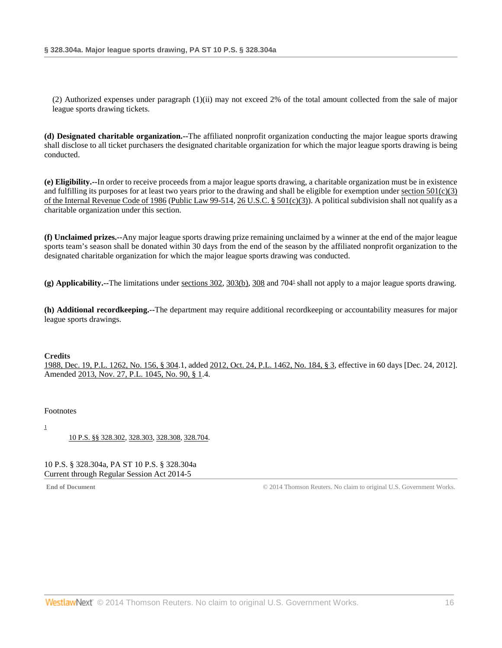(2) Authorized expenses under paragraph (1)(ii) may not exceed 2% of the total amount collected from the sale of major league sports drawing tickets.

**(d) Designated charitable organization.--**The affiliated nonprofit organization conducting the major league sports drawing shall disclose to all ticket purchasers the designated charitable organization for which the major league sports drawing is being conducted.

**(e) Eligibility.--**In order to receive proceeds from a major league sports drawing, a charitable organization must be in existence and fulfilling its purposes for at least two years prior to the drawing and shall be eligible for exemption under section  $501(c)(3)$ [of the Internal Revenue Code of 1986](http://www.westlaw.com/Link/Document/FullText?findType=L&pubNum=1012823&cite=26USCAS501&originationContext=document&vr=3.0&rs=cblt1.0&transitionType=DocumentItem&contextData=(sc.DocLink)#co_pp_b1b5000051ac5) [\(Public Law 99-514,](http://www.westlaw.com/Link/Document/FullText?findType=l&pubNum=1077005&cite=UUID(I4B69EEE9A1-E642ECA21E4-01F8D0A45CF)&originationContext=document&vr=3.0&rs=cblt1.0&transitionType=DocumentItem&contextData=(sc.DocLink)) [26 U.S.C. § 501\(c\)\(3\)\)](http://www.westlaw.com/Link/Document/FullText?findType=L&pubNum=1000546&cite=26USCAS501&originationContext=document&vr=3.0&rs=cblt1.0&transitionType=DocumentItem&contextData=(sc.DocLink)#co_pp_b1b5000051ac5). A political subdivision shall not qualify as a charitable organization under this section.

**(f) Unclaimed prizes.--**Any major league sports drawing prize remaining unclaimed by a winner at the end of the major league sports team's season shall be donated within 30 days from the end of the season by the affiliated nonprofit organization to the designated charitable organization for which the major league sports drawing was conducted.

<span id="page-15-2"></span>**(g) Applicability.--**The limitations under [sections 302,](http://www.westlaw.com/Link/Document/FullText?findType=L&pubNum=1000262&cite=PS10S302&originatingDoc=NAB2A69A078A411E39350AFA630FAB3FA&refType=LQ&originationContext=document&vr=3.0&rs=cblt1.0&transitionType=DocumentItem&contextData=(sc.DocLink)) [303\(b\),](http://www.westlaw.com/Link/Document/FullText?findType=L&pubNum=1000262&cite=PS10S303&originatingDoc=NAB2A69A078A411E39350AFA630FAB3FA&refType=LQ&originationContext=document&vr=3.0&rs=cblt1.0&transitionType=DocumentItem&contextData=(sc.DocLink)) [308](http://www.westlaw.com/Link/Document/FullText?findType=L&pubNum=1000262&cite=PS10S308&originatingDoc=NAB2A69A078A411E39350AFA630FAB3FA&refType=LQ&originationContext=document&vr=3.0&rs=cblt1.0&transitionType=DocumentItem&contextData=(sc.DocLink)) and 70[41](#page-15-1) shall not apply to a major league sports drawing.

**(h) Additional recordkeeping.--**The department may require additional recordkeeping or accountability measures for major league sports drawings.

### **Credits**

[1988, Dec. 19, P.L. 1262, No. 156, § 304.](http://www.westlaw.com/Link/Document/FullText?findType=l&pubNum=1077005&cite=UUID(IDEC1AEEDA6-3943769C852-CE98C177453)&originationContext=document&vr=3.0&rs=cblt1.0&transitionType=DocumentItem&contextData=(sc.DocLink))1, added [2012, Oct. 24, P.L. 1462, No. 184, § 3,](http://www.westlaw.com/Link/Document/FullText?findType=l&pubNum=1077005&cite=UUID(I3326778043-A511E29B2E8-4DF6196F2E8)&originationContext=document&vr=3.0&rs=cblt1.0&transitionType=DocumentItem&contextData=(sc.DocLink)) effective in 60 days [Dec. 24, 2012]. Amended [2013, Nov. 27, P.L. 1045, No. 90, § 1.](http://www.westlaw.com/Link/Document/FullText?findType=l&pubNum=1077005&cite=UUID(IE928D4A05E-6211E3AED0A-E211C77CD8A)&originationContext=document&vr=3.0&rs=cblt1.0&transitionType=DocumentItem&contextData=(sc.DocLink))4.

#### <span id="page-15-0"></span>Footnotes

<span id="page-15-1"></span>[1](#page-15-2)

[10 P.S. §§ 328.302,](http://www.westlaw.com/Link/Document/FullText?findType=L&pubNum=1000262&cite=PS10S328.302&originatingDoc=NAB2A69A078A411E39350AFA630FAB3FA&refType=LQ&originationContext=document&vr=3.0&rs=cblt1.0&transitionType=DocumentItem&contextData=(sc.DocLink)) [328.303,](http://www.westlaw.com/Link/Document/FullText?findType=L&pubNum=1000262&cite=PS10S328.303&originatingDoc=NAB2A69A078A411E39350AFA630FAB3FA&refType=LQ&originationContext=document&vr=3.0&rs=cblt1.0&transitionType=DocumentItem&contextData=(sc.DocLink)) [328.308,](http://www.westlaw.com/Link/Document/FullText?findType=L&pubNum=1000262&cite=PS10S328.308&originatingDoc=NAB2A69A078A411E39350AFA630FAB3FA&refType=LQ&originationContext=document&vr=3.0&rs=cblt1.0&transitionType=DocumentItem&contextData=(sc.DocLink)) [328.704.](http://www.westlaw.com/Link/Document/FullText?findType=L&pubNum=1000262&cite=PS10S328.704&originatingDoc=NAB2A69A078A411E39350AFA630FAB3FA&refType=LQ&originationContext=document&vr=3.0&rs=cblt1.0&transitionType=DocumentItem&contextData=(sc.DocLink))

10 P.S. § 328.304a, PA ST 10 P.S. § 328.304a Current through Regular Session Act 2014-5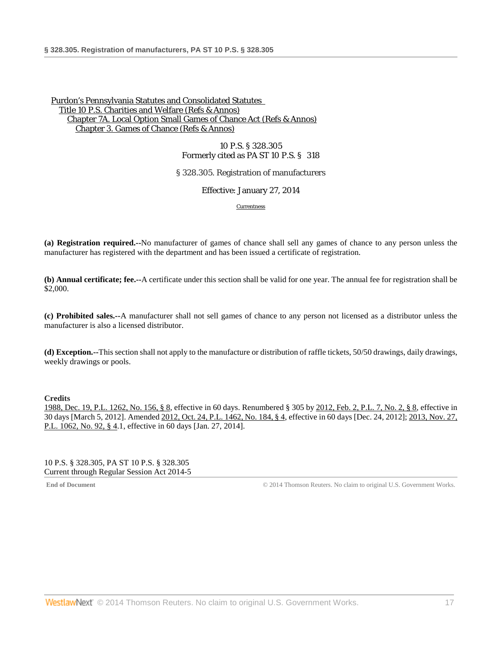10 P.S. § 328.305 Formerly cited as PA ST 10 P.S. § 318

§ 328.305. Registration of manufacturers

Effective: January 27, 2014

[Currentness](#page-16-0)

**(a) Registration required.--**No manufacturer of games of chance shall sell any games of chance to any person unless the manufacturer has registered with the department and has been issued a certificate of registration.

**(b) Annual certificate; fee.--**A certificate under this section shall be valid for one year. The annual fee for registration shall be \$2,000.

**(c) Prohibited sales.--**A manufacturer shall not sell games of chance to any person not licensed as a distributor unless the manufacturer is also a licensed distributor.

**(d) Exception.--**This section shall not apply to the manufacture or distribution of raffle tickets, 50/50 drawings, daily drawings, weekly drawings or pools.

**Credits**

[1988, Dec. 19, P.L. 1262, No. 156, § 8,](http://www.westlaw.com/Link/Document/FullText?findType=l&pubNum=1077005&cite=UUID(IDEC1AEEDA6-3943769C852-CE98C177453)&originationContext=document&vr=3.0&rs=cblt1.0&transitionType=DocumentItem&contextData=(sc.DocLink)) effective in 60 days. Renumbered § 305 b[y 2012, Feb. 2, P.L. 7, No. 2, § 8,](http://www.westlaw.com/Link/Document/FullText?findType=l&pubNum=1077005&cite=UUID(IF1E48C8052-6411E1BD779-BF39FE01E8A)&originationContext=document&vr=3.0&rs=cblt1.0&transitionType=DocumentItem&contextData=(sc.DocLink)) effective in 30 days [March 5, 2012]. Amended [2012, Oct. 24, P.L. 1462, No. 184, § 4,](http://www.westlaw.com/Link/Document/FullText?findType=l&pubNum=1077005&cite=UUID(I3326778043-A511E29B2E8-4DF6196F2E8)&originationContext=document&vr=3.0&rs=cblt1.0&transitionType=DocumentItem&contextData=(sc.DocLink)) effective in 60 days [Dec. 24, 2012]; [2013, Nov. 27,](http://www.westlaw.com/Link/Document/FullText?findType=l&pubNum=1077005&cite=UUID(IE9429E305E-6211E3B139A-D266F9555A0)&originationContext=document&vr=3.0&rs=cblt1.0&transitionType=DocumentItem&contextData=(sc.DocLink))  [P.L. 1062, No. 92, § 4.](http://www.westlaw.com/Link/Document/FullText?findType=l&pubNum=1077005&cite=UUID(IE9429E305E-6211E3B139A-D266F9555A0)&originationContext=document&vr=3.0&rs=cblt1.0&transitionType=DocumentItem&contextData=(sc.DocLink))1, effective in 60 days [Jan. 27, 2014].

<span id="page-16-0"></span>10 P.S. § 328.305, PA ST 10 P.S. § 328.305 Current through Regular Session Act 2014-5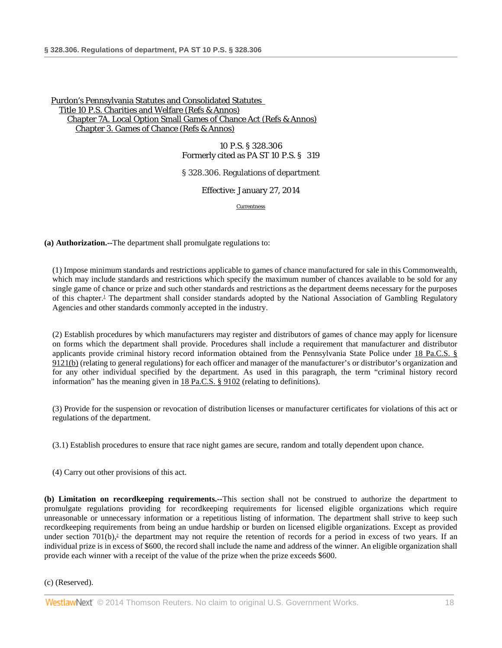10 P.S. § 328.306 Formerly cited as PA ST 10 P.S. § 319

§ 328.306. Regulations of department

Effective: January 27, 2014

[Currentness](#page-18-0)

**(a) Authorization.--**The department shall promulgate regulations to:

<span id="page-17-0"></span>(1) Impose minimum standards and restrictions applicable to games of chance manufactured for sale in this Commonwealth, which may include standards and restrictions which specify the maximum number of chances available to be sold for any single game of chance or prize and such other standards and restrictions as the department deems necessary for the purposes of this chapter[.1](#page-18-1) The department shall consider standards adopted by the National Association of Gambling Regulatory Agencies and other standards commonly accepted in the industry.

(2) Establish procedures by which manufacturers may register and distributors of games of chance may apply for licensure on forms which the department shall provide. Procedures shall include a requirement that manufacturer and distributor applicants provide criminal history record information obtained from the Pennsylvania State Police under [18 Pa.C.S. §](http://www.westlaw.com/Link/Document/FullText?findType=L&pubNum=1000262&cite=PA18S9121&originatingDoc=N87BDF520797311E38FFED7512AA3B354&refType=SP&originationContext=document&vr=3.0&rs=cblt1.0&transitionType=DocumentItem&contextData=(sc.DocLink)#co_pp_a83b000018c76)  [9121\(b\)](http://www.westlaw.com/Link/Document/FullText?findType=L&pubNum=1000262&cite=PA18S9121&originatingDoc=N87BDF520797311E38FFED7512AA3B354&refType=SP&originationContext=document&vr=3.0&rs=cblt1.0&transitionType=DocumentItem&contextData=(sc.DocLink)#co_pp_a83b000018c76) (relating to general regulations) for each officer and manager of the manufacturer's or distributor's organization and for any other individual specified by the department. As used in this paragraph, the term "criminal history record information" has the meaning given i[n 18 Pa.C.S. § 9102](http://www.westlaw.com/Link/Document/FullText?findType=L&pubNum=1000262&cite=PA18S9102&originatingDoc=N87BDF520797311E38FFED7512AA3B354&refType=LQ&originationContext=document&vr=3.0&rs=cblt1.0&transitionType=DocumentItem&contextData=(sc.DocLink)) (relating to definitions).

(3) Provide for the suspension or revocation of distribution licenses or manufacturer certificates for violations of this act or regulations of the department.

(3.1) Establish procedures to ensure that race night games are secure, random and totally dependent upon chance.

(4) Carry out other provisions of this act.

<span id="page-17-1"></span>**(b) Limitation on recordkeeping requirements.--**This section shall not be construed to authorize the department to promulgate regulations providing for recordkeeping requirements for licensed eligible organizations which require unreasonable or unnecessary information or a repetitious listing of information. The department shall strive to keep such recordkeeping requirements from being an undue hardship or burden on licensed eligible organizations. Except as provided under section  $701(b)$ ,<sup>2</sup> the department may not require the retention of records for a period in excess of two years. If an individual prize is in excess of \$600, the record shall include the name and address of the winner. An eligible organization shall provide each winner with a receipt of the value of the prize when the prize exceeds \$600.

(c) (Reserved).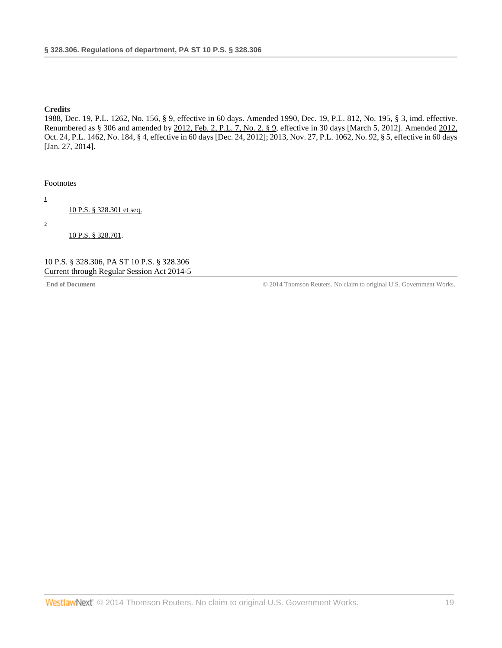### **Credits**

[1988, Dec. 19, P.L. 1262, No. 156, § 9,](http://www.westlaw.com/Link/Document/FullText?findType=l&pubNum=1077005&cite=UUID(IDEC1AEEDA6-3943769C852-CE98C177453)&originationContext=document&vr=3.0&rs=cblt1.0&transitionType=DocumentItem&contextData=(sc.DocLink)) effective in 60 days. Amended [1990, Dec. 19, P.L. 812, No. 195, § 3,](http://www.westlaw.com/Link/Document/FullText?findType=l&pubNum=1077005&cite=UUID(IEAFE739073-9A4AF7ADAD1-053ABE985F3)&originationContext=document&vr=3.0&rs=cblt1.0&transitionType=DocumentItem&contextData=(sc.DocLink)) imd. effective. Renumbered as § 306 and amended by [2012, Feb. 2, P.L. 7, No. 2, § 9,](http://www.westlaw.com/Link/Document/FullText?findType=l&pubNum=1077005&cite=UUID(IF1E48C8052-6411E1BD779-BF39FE01E8A)&originationContext=document&vr=3.0&rs=cblt1.0&transitionType=DocumentItem&contextData=(sc.DocLink)) effective in 30 days [March 5, 2012]. Amended 2012, [Oct. 24, P.L. 1462, No. 184, § 4,](http://www.westlaw.com/Link/Document/FullText?findType=l&pubNum=1077005&cite=UUID(I3326778043-A511E29B2E8-4DF6196F2E8)&originationContext=document&vr=3.0&rs=cblt1.0&transitionType=DocumentItem&contextData=(sc.DocLink)) effective in 60 days [Dec. 24, 2012][; 2013, Nov. 27, P.L. 1062, No. 92, § 5,](http://www.westlaw.com/Link/Document/FullText?findType=l&pubNum=1077005&cite=UUID(IE9429E305E-6211E3B139A-D266F9555A0)&originationContext=document&vr=3.0&rs=cblt1.0&transitionType=DocumentItem&contextData=(sc.DocLink)) effective in 60 days [Jan. 27, 2014].

<span id="page-18-0"></span>Footnotes

<span id="page-18-1"></span>[1](#page-17-0)

[10 P.S. § 328.301 et seq.](http://www.westlaw.com/Link/Document/FullText?findType=L&pubNum=1000262&cite=PS10S328.301&originatingDoc=N87BDF520797311E38FFED7512AA3B354&refType=LQ&originationContext=document&vr=3.0&rs=cblt1.0&transitionType=DocumentItem&contextData=(sc.DocLink))

<span id="page-18-2"></span>[2](#page-17-1)

[10 P.S. § 328.701.](http://www.westlaw.com/Link/Document/FullText?findType=L&pubNum=1000262&cite=PS10S328.701&originatingDoc=N87BDF520797311E38FFED7512AA3B354&refType=LQ&originationContext=document&vr=3.0&rs=cblt1.0&transitionType=DocumentItem&contextData=(sc.DocLink))

10 P.S. § 328.306, PA ST 10 P.S. § 328.306 Current through Regular Session Act 2014-5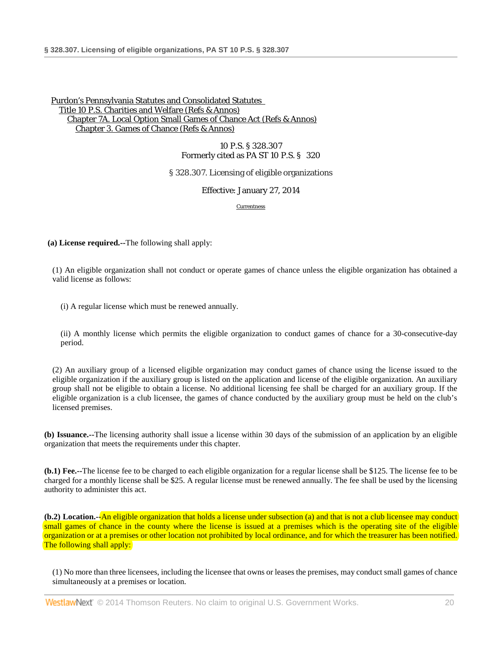10 P.S. § 328.307 Formerly cited as PA ST 10 P.S. § 320

§ 328.307. Licensing of eligible organizations

Effective: January 27, 2014

[Currentness](#page-22-0)

**(a) License required.--**The following shall apply:

(1) An eligible organization shall not conduct or operate games of chance unless the eligible organization has obtained a valid license as follows:

(i) A regular license which must be renewed annually.

(ii) A monthly license which permits the eligible organization to conduct games of chance for a 30-consecutive-day period.

(2) An auxiliary group of a licensed eligible organization may conduct games of chance using the license issued to the eligible organization if the auxiliary group is listed on the application and license of the eligible organization. An auxiliary group shall not be eligible to obtain a license. No additional licensing fee shall be charged for an auxiliary group. If the eligible organization is a club licensee, the games of chance conducted by the auxiliary group must be held on the club's licensed premises.

**(b) Issuance.--**The licensing authority shall issue a license within 30 days of the submission of an application by an eligible organization that meets the requirements under this chapter.

**(b.1) Fee.--**The license fee to be charged to each eligible organization for a regular license shall be \$125. The license fee to be charged for a monthly license shall be \$25. A regular license must be renewed annually. The fee shall be used by the licensing authority to administer this act.

**(b.2) Location.--**An eligible organization that holds a license under subsection (a) and that is not a club licensee may conduct small games of chance in the county where the license is issued at a premises which is the operating site of the eligible organization or at a premises or other location not prohibited by local ordinance, and for which the treasurer has been notified. The following shall apply:

(1) No more than three licensees, including the licensee that owns or leases the premises, may conduct small games of chance simultaneously at a premises or location.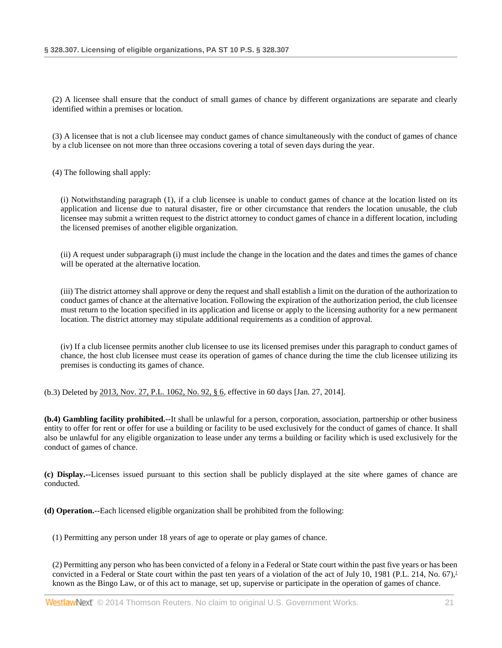(2) A licensee shall ensure that the conduct of small games of chance by different organizations are separate and clearly identified within a premises or location.

(3) A licensee that is not a club licensee may conduct games of chance simultaneously with the conduct of games of chance by a club licensee on not more than three occasions covering a total of seven days during the year.

(4) The following shall apply:

(i) Notwithstanding paragraph (1), if a club licensee is unable to conduct games of chance at the location listed on its application and license due to natural disaster, fire or other circumstance that renders the location unusable, the club licensee may submit a written request to the district attorney to conduct games of chance in a different location, including the licensed premises of another eligible organization.

(ii) A request under subparagraph (i) must include the change in the location and the dates and times the games of chance will be operated at the alternative location.

(iii) The district attorney shall approve or deny the request and shall establish a limit on the duration of the authorization to conduct games of chance at the alternative location. Following the expiration of the authorization period, the club licensee must return to the location specified in its application and license or apply to the licensing authority for a new permanent location. The district attorney may stipulate additional requirements as a condition of approval.

(iv) If a club licensee permits another club licensee to use its licensed premises under this paragraph to conduct games of chance, the host club licensee must cease its operation of games of chance during the time the club licensee utilizing its premises is conducting its games of chance.

(b.3) Deleted by [2013, Nov. 27, P.L. 1062, No. 92, § 6,](http://www.westlaw.com/Link/Document/FullText?findType=l&pubNum=1077005&cite=UUID(IE9429E305E-6211E3B139A-D266F9555A0)&originationContext=document&vr=3.0&rs=cblt1.0&transitionType=DocumentItem&contextData=(sc.DocLink)) effective in 60 days [Jan. 27, 2014].

**(b.4) Gambling facility prohibited.--**It shall be unlawful for a person, corporation, association, partnership or other business entity to offer for rent or offer for use a building or facility to be used exclusively for the conduct of games of chance. It shall also be unlawful for any eligible organization to lease under any terms a building or facility which is used exclusively for the conduct of games of chance.

**(c) Display.--**Licenses issued pursuant to this section shall be publicly displayed at the site where games of chance are conducted.

**(d) Operation.--**Each licensed eligible organization shall be prohibited from the following:

(1) Permitting any person under 18 years of age to operate or play games of chance.

<span id="page-20-0"></span>(2) Permitting any person who has been convicted of a felony in a Federal or State court within the past five years or has been convicted in a Federal or State court within the past ten years of a violation of the act of July 10, 1981 (P.L. 214, No. 67).<sup>1</sup> known as the Bingo Law, or of this act to manage, set up, supervise or participate in the operation of games of chance.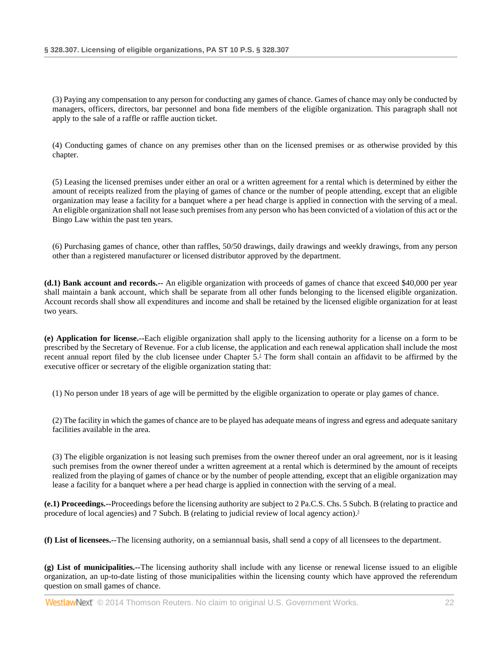(3) Paying any compensation to any person for conducting any games of chance. Games of chance may only be conducted by managers, officers, directors, bar personnel and bona fide members of the eligible organization. This paragraph shall not apply to the sale of a raffle or raffle auction ticket.

(4) Conducting games of chance on any premises other than on the licensed premises or as otherwise provided by this chapter.

(5) Leasing the licensed premises under either an oral or a written agreement for a rental which is determined by either the amount of receipts realized from the playing of games of chance or the number of people attending, except that an eligible organization may lease a facility for a banquet where a per head charge is applied in connection with the serving of a meal. An eligible organization shall not lease such premises from any person who has been convicted of a violation of this act or the Bingo Law within the past ten years.

(6) Purchasing games of chance, other than raffles, 50/50 drawings, daily drawings and weekly drawings, from any person other than a registered manufacturer or licensed distributor approved by the department.

**(d.1) Bank account and records.--** An eligible organization with proceeds of games of chance that exceed \$40,000 per year shall maintain a bank account, which shall be separate from all other funds belonging to the licensed eligible organization. Account records shall show all expenditures and income and shall be retained by the licensed eligible organization for at least two years.

**(e) Application for license.--**Each eligible organization shall apply to the licensing authority for a license on a form to be prescribed by the Secretary of Revenue. For a club license, the application and each renewal application shall include the most recent annual report filed by the club licensee under Chapter 5[.2](#page-22-2) The form shall contain an affidavit to be affirmed by the executive officer or secretary of the eligible organization stating that:

<span id="page-21-0"></span>(1) No person under 18 years of age will be permitted by the eligible organization to operate or play games of chance.

(2) The facility in which the games of chance are to be played has adequate means of ingress and egress and adequate sanitary facilities available in the area.

<span id="page-21-1"></span>(3) The eligible organization is not leasing such premises from the owner thereof under an oral agreement, nor is it leasing such premises from the owner thereof under a written agreement at a rental which is determined by the amount of receipts realized from the playing of games of chance or by the number of people attending, except that an eligible organization may lease a facility for a banquet where a per head charge is applied in connection with the serving of a meal.

**(e.1) Proceedings.--**Proceedings before the licensing authority are subject to 2 Pa.C.S. Chs. 5 Subch. B (relating to practice and procedure of local agencies) and 7 Subch. B (relating to judicial review of local agency action).<sup>3</sup>

**(f) List of licensees.--**The licensing authority, on a semiannual basis, shall send a copy of all licensees to the department.

**(g) List of municipalities.--**The licensing authority shall include with any license or renewal license issued to an eligible organization, an up-to-date listing of those municipalities within the licensing county which have approved the referendum question on small games of chance.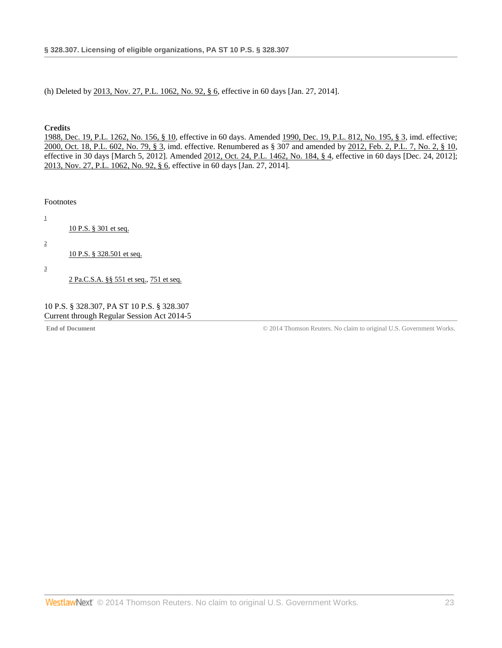(h) Deleted by [2013, Nov. 27, P.L. 1062, No. 92, § 6,](http://www.westlaw.com/Link/Document/FullText?findType=l&pubNum=1077005&cite=UUID(IE9429E305E-6211E3B139A-D266F9555A0)&originationContext=document&vr=3.0&rs=cblt1.0&transitionType=DocumentItem&contextData=(sc.DocLink)) effective in 60 days [Jan. 27, 2014].

#### **Credits**

[1988, Dec. 19, P.L. 1262, No. 156, § 10,](http://www.westlaw.com/Link/Document/FullText?findType=l&pubNum=1077005&cite=UUID(IDEC1AEEDA6-3943769C852-CE98C177453)&originationContext=document&vr=3.0&rs=cblt1.0&transitionType=DocumentItem&contextData=(sc.DocLink)) effective in 60 days. Amended [1990, Dec. 19, P.L. 812, No. 195, § 3,](http://www.westlaw.com/Link/Document/FullText?findType=l&pubNum=1077005&cite=UUID(IEAFE739073-9A4AF7ADAD1-053ABE985F3)&originationContext=document&vr=3.0&rs=cblt1.0&transitionType=DocumentItem&contextData=(sc.DocLink)) imd. effective; [2000, Oct. 18, P.L. 602, No. 79, § 3,](http://www.westlaw.com/Link/Document/FullText?findType=l&pubNum=1077005&cite=UUID(ID5F6743FD2-D74B0C9822A-780A70B915E)&originationContext=document&vr=3.0&rs=cblt1.0&transitionType=DocumentItem&contextData=(sc.DocLink)) imd. effective. Renumbered as § 307 and amended by [2012, Feb. 2, P.L. 7, No. 2, § 10,](http://www.westlaw.com/Link/Document/FullText?findType=l&pubNum=1077005&cite=UUID(IF1E48C8052-6411E1BD779-BF39FE01E8A)&originationContext=document&vr=3.0&rs=cblt1.0&transitionType=DocumentItem&contextData=(sc.DocLink)) effective in 30 days [March 5, 2012]. Amended [2012, Oct. 24, P.L. 1462, No. 184, § 4,](http://www.westlaw.com/Link/Document/FullText?findType=l&pubNum=1077005&cite=UUID(I3326778043-A511E29B2E8-4DF6196F2E8)&originationContext=document&vr=3.0&rs=cblt1.0&transitionType=DocumentItem&contextData=(sc.DocLink)) effective in 60 days [Dec. 24, 2012]; [2013, Nov. 27, P.L. 1062, No. 92, § 6,](http://www.westlaw.com/Link/Document/FullText?findType=l&pubNum=1077005&cite=UUID(IE9429E305E-6211E3B139A-D266F9555A0)&originationContext=document&vr=3.0&rs=cblt1.0&transitionType=DocumentItem&contextData=(sc.DocLink)) effective in 60 days [Jan. 27, 2014].

<span id="page-22-0"></span>Footnotes

<span id="page-22-2"></span><span id="page-22-1"></span>[1](#page-20-0) [10 P.S. § 301 et seq.](http://www.westlaw.com/Link/Document/FullText?findType=L&pubNum=1000262&cite=PS10S301&originatingDoc=N96AC6FD0797311E3B53CB9983C698C75&refType=LQ&originationContext=document&vr=3.0&rs=cblt1.0&transitionType=DocumentItem&contextData=(sc.DocLink)) [2](#page-21-0) [10 P.S. § 328.501 et seq.](http://www.westlaw.com/Link/Document/FullText?findType=L&pubNum=1000262&cite=PS10S328.501&originatingDoc=N96AC6FD0797311E3B53CB9983C698C75&refType=LQ&originationContext=document&vr=3.0&rs=cblt1.0&transitionType=DocumentItem&contextData=(sc.DocLink)) [3](#page-21-1) [2 Pa.C.S.A. §§ 551 et seq.,](http://www.westlaw.com/Link/Document/FullText?findType=L&pubNum=1000262&cite=PA02S551&originatingDoc=N96AC6FD0797311E3B53CB9983C698C75&refType=LQ&originationContext=document&vr=3.0&rs=cblt1.0&transitionType=DocumentItem&contextData=(sc.DocLink)) [751 et seq.](http://www.westlaw.com/Link/Document/FullText?findType=L&pubNum=1000262&cite=PA02S751&originatingDoc=N96AC6FD0797311E3B53CB9983C698C75&refType=LQ&originationContext=document&vr=3.0&rs=cblt1.0&transitionType=DocumentItem&contextData=(sc.DocLink))

<span id="page-22-3"></span>

10 P.S. § 328.307, PA ST 10 P.S. § 328.307 Current through Regular Session Act 2014-5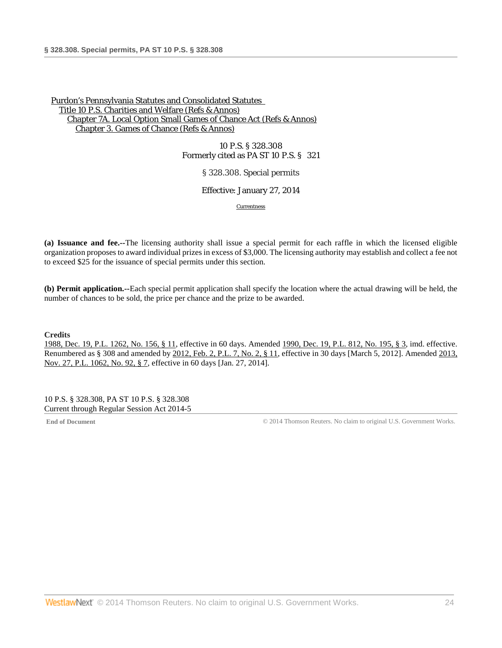10 P.S. § 328.308 Formerly cited as PA ST 10 P.S. § 321

§ 328.308. Special permits

Effective: January 27, 2014

[Currentness](#page-23-0)

**(a) Issuance and fee.--**The licensing authority shall issue a special permit for each raffle in which the licensed eligible organization proposes to award individual prizes in excess of \$3,000. The licensing authority may establish and collect a fee not to exceed \$25 for the issuance of special permits under this section.

**(b) Permit application.--**Each special permit application shall specify the location where the actual drawing will be held, the number of chances to be sold, the price per chance and the prize to be awarded.

### **Credits**

[1988, Dec. 19, P.L. 1262, No. 156, § 11,](http://www.westlaw.com/Link/Document/FullText?findType=l&pubNum=1077005&cite=UUID(IDEC1AEEDA6-3943769C852-CE98C177453)&originationContext=document&vr=3.0&rs=cblt1.0&transitionType=DocumentItem&contextData=(sc.DocLink)) effective in 60 days. Amended [1990, Dec. 19, P.L. 812, No. 195, § 3,](http://www.westlaw.com/Link/Document/FullText?findType=l&pubNum=1077005&cite=UUID(IEAFE739073-9A4AF7ADAD1-053ABE985F3)&originationContext=document&vr=3.0&rs=cblt1.0&transitionType=DocumentItem&contextData=(sc.DocLink)) imd. effective. Renumbered as § 308 and amended b[y 2012, Feb. 2, P.L. 7, No. 2, § 11,](http://www.westlaw.com/Link/Document/FullText?findType=l&pubNum=1077005&cite=UUID(IF1E48C8052-6411E1BD779-BF39FE01E8A)&originationContext=document&vr=3.0&rs=cblt1.0&transitionType=DocumentItem&contextData=(sc.DocLink)) effective in 30 days [March 5, 2012]. Amended 2013, [Nov. 27, P.L. 1062, No. 92, § 7,](http://www.westlaw.com/Link/Document/FullText?findType=l&pubNum=1077005&cite=UUID(IE9429E305E-6211E3B139A-D266F9555A0)&originationContext=document&vr=3.0&rs=cblt1.0&transitionType=DocumentItem&contextData=(sc.DocLink)) effective in 60 days [Jan. 27, 2014].

<span id="page-23-0"></span>10 P.S. § 328.308, PA ST 10 P.S. § 328.308 Current through Regular Session Act 2014-5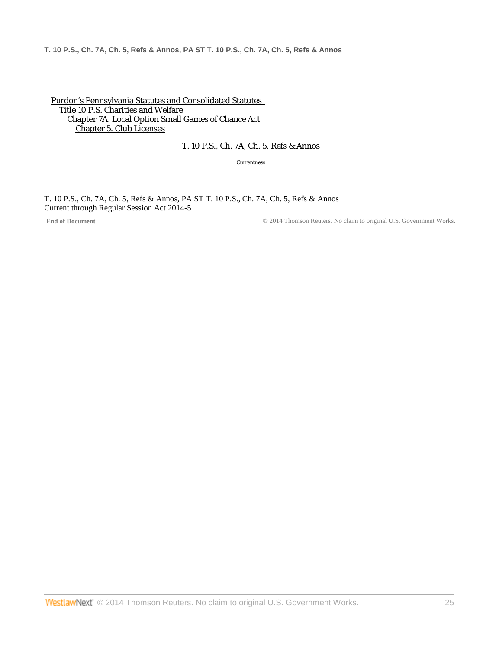[Purdon's Pennsylvania Statutes and Consolidated Statutes](http://www.westlaw.com/Browse/Home/StatutesCourtRules/PennsylvaniaStatutesCourtRules?transitionType=DocumentItem&contextData=(sc.DocLink)&rs=clbt1.0&vr=3.0)  [Title 10 P.S. Charities and Welfare](http://www.westlaw.com/Browse/Home/StatutesCourtRules/PennsylvaniaStatutesCourtRules?guid=N7B9E600F76734C7285766466EAFA2DA5&transitionType=DocumentItem&contextData=(sc.DocLink)&rs=clbt1.0&vr=3.0) [Chapter 7A. Local Option Small Games of Chance Act](http://www.westlaw.com/Browse/Home/StatutesCourtRules/PennsylvaniaStatutesCourtRules?guid=NFFEE6618DE4347229C0FAD15F0191B43&transitionType=DocumentItem&contextData=(sc.DocLink)&rs=clbt1.0&vr=3.0) [Chapter 5. Club Licenses](http://www.westlaw.com/Browse/Home/StatutesCourtRules/PennsylvaniaStatutesCourtRules?guid=N0E79EEF05B3211E18587BB50F56B71F0&transitionType=DocumentItem&contextData=(sc.DocLink)&rs=clbt1.0&vr=3.0)

# T. 10 P.S., Ch. 7A, Ch. 5, Refs & Annos

**[Currentness](#page-24-0)** 

<span id="page-24-0"></span>T. 10 P.S., Ch. 7A, Ch. 5, Refs & Annos, PA ST T. 10 P.S., Ch. 7A, Ch. 5, Refs & Annos Current through Regular Session Act 2014-5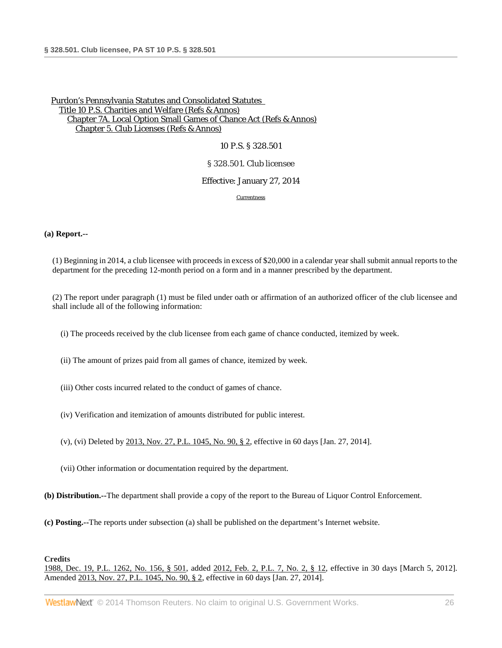#### 10 P.S. § 328.501

#### § 328.501. Club licensee

#### Effective: January 27, 2014

[Currentness](#page-26-0)

#### **(a) Report.--**

(1) Beginning in 2014, a club licensee with proceeds in excess of \$20,000 in a calendar year shall submit annual reports to the department for the preceding 12-month period on a form and in a manner prescribed by the department.

(2) The report under paragraph (1) must be filed under oath or affirmation of an authorized officer of the club licensee and shall include all of the following information:

(i) The proceeds received by the club licensee from each game of chance conducted, itemized by week.

(ii) The amount of prizes paid from all games of chance, itemized by week.

- (iii) Other costs incurred related to the conduct of games of chance.
- (iv) Verification and itemization of amounts distributed for public interest.
- (v), (vi) Deleted b[y 2013, Nov. 27, P.L. 1045, No. 90, § 2,](http://www.westlaw.com/Link/Document/FullText?findType=l&pubNum=1077005&cite=UUID(IE928D4A05E-6211E3AED0A-E211C77CD8A)&originationContext=document&vr=3.0&rs=cblt1.0&transitionType=DocumentItem&contextData=(sc.DocLink)) effective in 60 days [Jan. 27, 2014].

(vii) Other information or documentation required by the department.

**(b) Distribution.--**The department shall provide a copy of the report to the Bureau of Liquor Control Enforcement.

**(c) Posting.--**The reports under subsection (a) shall be published on the department's Internet website.

#### **Credits**

[1988, Dec. 19, P.L. 1262, No. 156, § 501,](http://www.westlaw.com/Link/Document/FullText?findType=l&pubNum=1077005&cite=UUID(IDEC1AEEDA6-3943769C852-CE98C177453)&originationContext=document&vr=3.0&rs=cblt1.0&transitionType=DocumentItem&contextData=(sc.DocLink)) added [2012, Feb. 2, P.L. 7, No. 2, § 12,](http://www.westlaw.com/Link/Document/FullText?findType=l&pubNum=1077005&cite=UUID(IF1E48C8052-6411E1BD779-BF39FE01E8A)&originationContext=document&vr=3.0&rs=cblt1.0&transitionType=DocumentItem&contextData=(sc.DocLink)) effective in 30 days [March 5, 2012]. Amended [2013, Nov. 27, P.L. 1045, No. 90, § 2,](http://www.westlaw.com/Link/Document/FullText?findType=l&pubNum=1077005&cite=UUID(IE928D4A05E-6211E3AED0A-E211C77CD8A)&originationContext=document&vr=3.0&rs=cblt1.0&transitionType=DocumentItem&contextData=(sc.DocLink)) effective in 60 days [Jan. 27, 2014].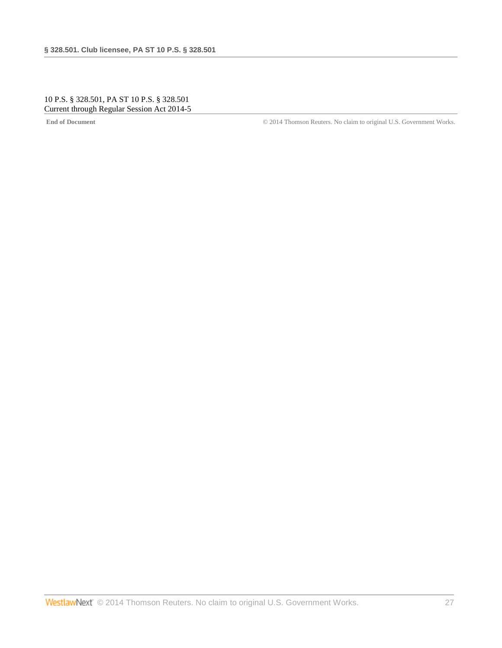## <span id="page-26-0"></span>10 P.S. § 328.501, PA ST 10 P.S. § 328.501 Current through Regular Session Act 2014-5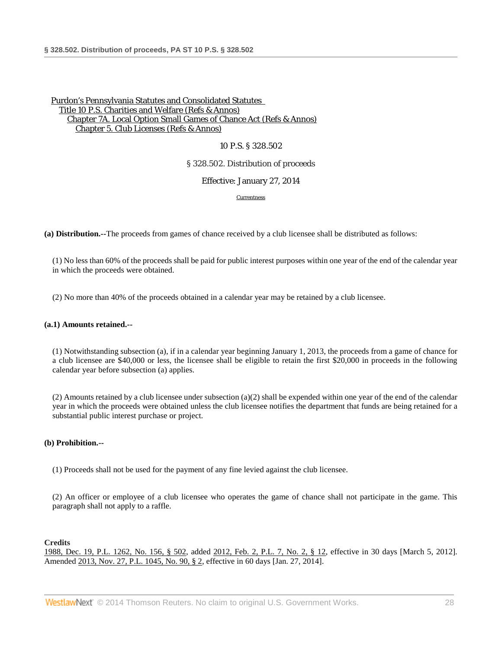### 10 P.S. § 328.502

### § 328.502. Distribution of proceeds

Effective: January 27, 2014

**[Currentness](#page-27-0)** 

**(a) Distribution.--**The proceeds from games of chance received by a club licensee shall be distributed as follows:

(1) No less than 60% of the proceeds shall be paid for public interest purposes within one year of the end of the calendar year in which the proceeds were obtained.

(2) No more than 40% of the proceeds obtained in a calendar year may be retained by a club licensee.

### **(a.1) Amounts retained.--**

(1) Notwithstanding subsection (a), if in a calendar year beginning January 1, 2013, the proceeds from a game of chance for a club licensee are \$40,000 or less, the licensee shall be eligible to retain the first \$20,000 in proceeds in the following calendar year before subsection (a) applies.

(2) Amounts retained by a club licensee under subsection (a)(2) shall be expended within one year of the end of the calendar year in which the proceeds were obtained unless the club licensee notifies the department that funds are being retained for a substantial public interest purchase or project.

### **(b) Prohibition.--**

(1) Proceeds shall not be used for the payment of any fine levied against the club licensee.

(2) An officer or employee of a club licensee who operates the game of chance shall not participate in the game. This paragraph shall not apply to a raffle.

### **Credits**

<span id="page-27-0"></span>[1988, Dec. 19, P.L. 1262, No. 156, § 502,](http://www.westlaw.com/Link/Document/FullText?findType=l&pubNum=1077005&cite=UUID(IDEC1AEEDA6-3943769C852-CE98C177453)&originationContext=document&vr=3.0&rs=cblt1.0&transitionType=DocumentItem&contextData=(sc.DocLink)) added [2012, Feb. 2, P.L. 7, No. 2, § 12,](http://www.westlaw.com/Link/Document/FullText?findType=l&pubNum=1077005&cite=UUID(IF1E48C8052-6411E1BD779-BF39FE01E8A)&originationContext=document&vr=3.0&rs=cblt1.0&transitionType=DocumentItem&contextData=(sc.DocLink)) effective in 30 days [March 5, 2012]. Amended [2013, Nov. 27, P.L. 1045, No. 90, § 2,](http://www.westlaw.com/Link/Document/FullText?findType=l&pubNum=1077005&cite=UUID(IE928D4A05E-6211E3AED0A-E211C77CD8A)&originationContext=document&vr=3.0&rs=cblt1.0&transitionType=DocumentItem&contextData=(sc.DocLink)) effective in 60 days [Jan. 27, 2014].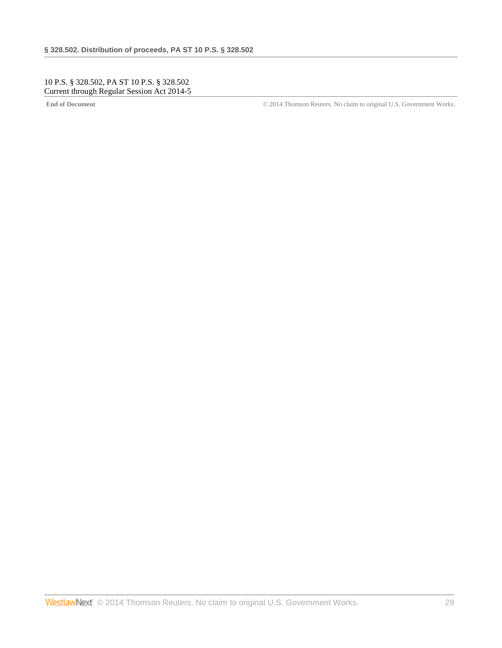## 10 P.S. § 328.502, PA ST 10 P.S. § 328.502 Current through Regular Session Act 2014-5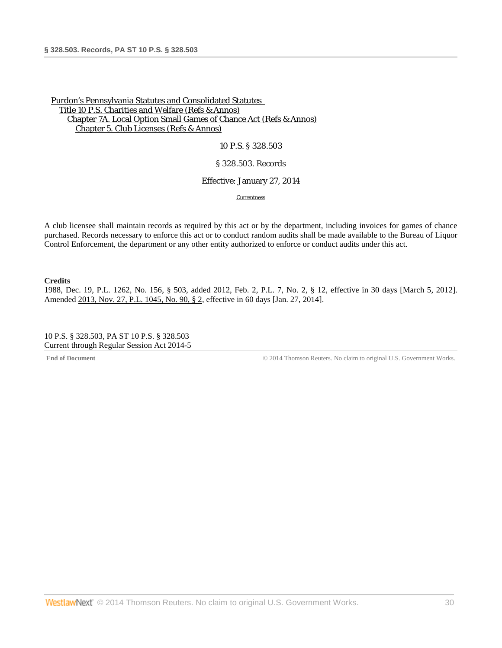### 10 P.S. § 328.503

### § 328.503. Records

#### Effective: January 27, 2014

[Currentness](#page-29-0)

A club licensee shall maintain records as required by this act or by the department, including invoices for games of chance purchased. Records necessary to enforce this act or to conduct random audits shall be made available to the Bureau of Liquor Control Enforcement, the department or any other entity authorized to enforce or conduct audits under this act.

**Credits**

[1988, Dec. 19, P.L. 1262, No. 156, § 503,](http://www.westlaw.com/Link/Document/FullText?findType=l&pubNum=1077005&cite=UUID(IDEC1AEEDA6-3943769C852-CE98C177453)&originationContext=document&vr=3.0&rs=cblt1.0&transitionType=DocumentItem&contextData=(sc.DocLink)) added [2012, Feb. 2, P.L. 7, No. 2, § 12,](http://www.westlaw.com/Link/Document/FullText?findType=l&pubNum=1077005&cite=UUID(IF1E48C8052-6411E1BD779-BF39FE01E8A)&originationContext=document&vr=3.0&rs=cblt1.0&transitionType=DocumentItem&contextData=(sc.DocLink)) effective in 30 days [March 5, 2012]. Amended 2013, Nov. 27, [P.L. 1045, No. 90, § 2,](http://www.westlaw.com/Link/Document/FullText?findType=l&pubNum=1077005&cite=UUID(IE928D4A05E-6211E3AED0A-E211C77CD8A)&originationContext=document&vr=3.0&rs=cblt1.0&transitionType=DocumentItem&contextData=(sc.DocLink)) effective in 60 days [Jan. 27, 2014].

<span id="page-29-0"></span>10 P.S. § 328.503, PA ST 10 P.S. § 328.503 Current through Regular Session Act 2014-5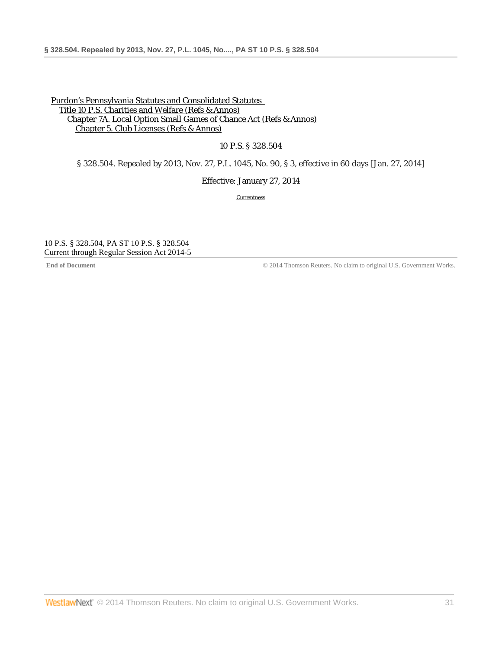10 P.S. § 328.504

§ 328.504. Repealed by 2013, Nov. 27, P.L. 1045, No. 90, § 3, effective in 60 days [Jan. 27, 2014]

Effective: January 27, 2014

**[Currentness](#page-30-0)** 

<span id="page-30-0"></span>10 P.S. § 328.504, PA ST 10 P.S. § 328.504 Current through Regular Session Act 2014-5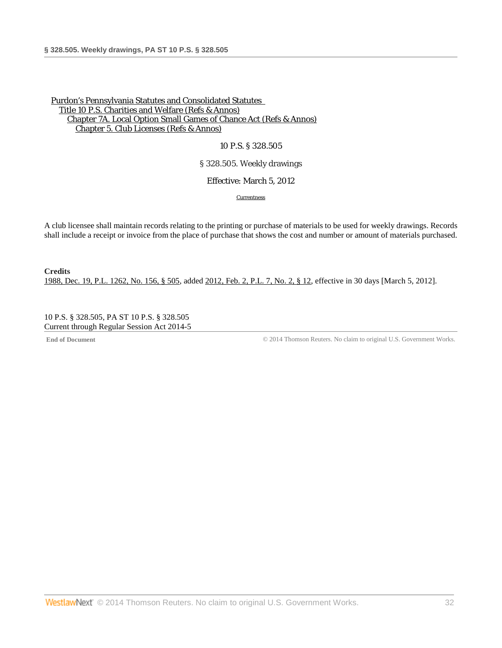### 10 P.S. § 328.505

§ 328.505. Weekly drawings

Effective: March 5, 2012

[Currentness](#page-31-0)

A club licensee shall maintain records relating to the printing or purchase of materials to be used for weekly drawings. Records shall include a receipt or invoice from the place of purchase that shows the cost and number or amount of materials purchased.

**Credits** [1988, Dec. 19, P.L. 1262, No. 156, § 505,](http://www.westlaw.com/Link/Document/FullText?findType=l&pubNum=1077005&cite=UUID(IDEC1AEEDA6-3943769C852-CE98C177453)&originationContext=document&vr=3.0&rs=cblt1.0&transitionType=DocumentItem&contextData=(sc.DocLink)) added [2012, Feb. 2, P.L. 7, No. 2, § 12,](http://www.westlaw.com/Link/Document/FullText?findType=l&pubNum=1077005&cite=UUID(IF1E48C8052-6411E1BD779-BF39FE01E8A)&originationContext=document&vr=3.0&rs=cblt1.0&transitionType=DocumentItem&contextData=(sc.DocLink)) effective in 30 days [March 5, 2012].

<span id="page-31-0"></span>10 P.S. § 328.505, PA ST 10 P.S. § 328.505 Current through Regular Session Act 2014-5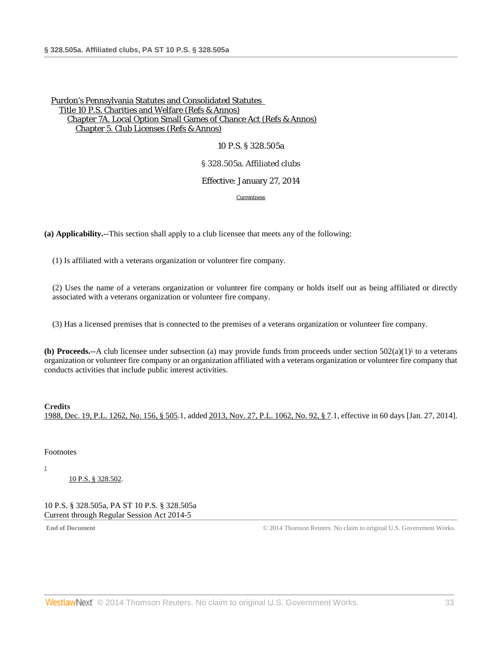10 P.S. § 328.505a

### § 328.505a. Affiliated clubs

### Effective: January 27, 2014

<span id="page-32-2"></span>[Currentness](#page-32-0)

**(a) Applicability.--**This section shall apply to a club licensee that meets any of the following:

(1) Is affiliated with a veterans organization or volunteer fire company.

(2) Uses the name of a veterans organization or volunteer fire company or holds itself out as being affiliated or directly associated with a veterans organization or volunteer fire company.

(3) Has a licensed premises that is connected to the premises of a veterans organization or volunteer fire company.

**(b) Proceeds.--**A club licensee under subsection (a) may provide funds from proceeds under section  $502(a)(1)^1$  to a veterans organization or volunteer fire company or an organization affiliated with a veterans organization or volunteer fire company that conducts activities that include public interest activities.

**Credits** [1988, Dec. 19, P.L. 1262, No. 156, § 505.](http://www.westlaw.com/Link/Document/FullText?findType=l&pubNum=1077005&cite=UUID(IDEC1AEEDA6-3943769C852-CE98C177453)&originationContext=document&vr=3.0&rs=cblt1.0&transitionType=DocumentItem&contextData=(sc.DocLink))1, added [2013, Nov. 27, P.L. 1062, No. 92, § 7.](http://www.westlaw.com/Link/Document/FullText?findType=l&pubNum=1077005&cite=UUID(IE9429E305E-6211E3B139A-D266F9555A0)&originationContext=document&vr=3.0&rs=cblt1.0&transitionType=DocumentItem&contextData=(sc.DocLink))1, effective in 60 days [Jan. 27, 2014].

<span id="page-32-0"></span>Footnotes

<span id="page-32-1"></span>[1](#page-32-2)

[10 P.S. § 328.502.](http://www.westlaw.com/Link/Document/FullText?findType=L&pubNum=1000262&cite=PS10S328.502&originatingDoc=N85F988D0797311E3B53CB9983C698C75&refType=LQ&originationContext=document&vr=3.0&rs=cblt1.0&transitionType=DocumentItem&contextData=(sc.DocLink))

10 P.S. § 328.505a, PA ST 10 P.S. § 328.505a Current through Regular Session Act 2014-5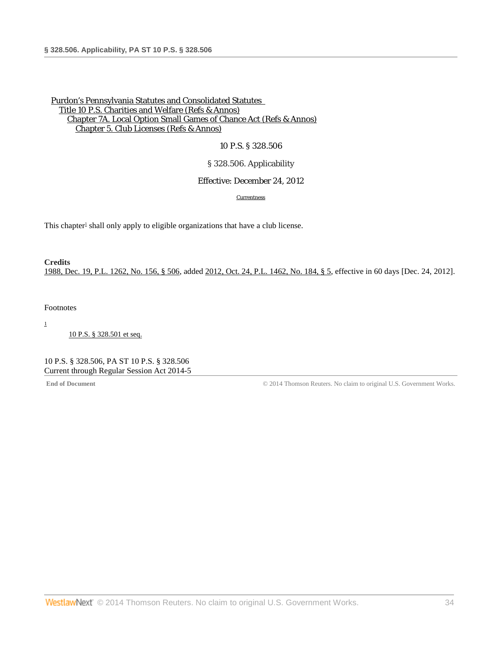# 10 P.S. § 328.506

## § 328.506. Applicability

### Effective: December 24, 2012

[Currentness](#page-33-0)

<span id="page-33-2"></span>This chapter<sup>1</sup> shall only apply to eligible organizations that have a club license.

# **Credits** [1988, Dec. 19, P.L. 1262, No. 156, § 506,](http://www.westlaw.com/Link/Document/FullText?findType=l&pubNum=1077005&cite=UUID(IDEC1AEEDA6-3943769C852-CE98C177453)&originationContext=document&vr=3.0&rs=cblt1.0&transitionType=DocumentItem&contextData=(sc.DocLink)) added [2012, Oct. 24, P.L. 1462, No. 184, § 5,](http://www.westlaw.com/Link/Document/FullText?findType=l&pubNum=1077005&cite=UUID(I3326778043-A511E29B2E8-4DF6196F2E8)&originationContext=document&vr=3.0&rs=cblt1.0&transitionType=DocumentItem&contextData=(sc.DocLink)) effective in 60 days [Dec. 24, 2012].

### <span id="page-33-0"></span>Footnotes

<span id="page-33-1"></span>[1](#page-33-2)

[10 P.S. § 328.501 et seq.](http://www.westlaw.com/Link/Document/FullText?findType=L&pubNum=1000262&cite=PS10S328.501&originatingDoc=N9C9220704A4411E2A334E5FB98907D9F&refType=LQ&originationContext=document&vr=3.0&rs=cblt1.0&transitionType=DocumentItem&contextData=(sc.DocLink))

10 P.S. § 328.506, PA ST 10 P.S. § 328.506 Current through Regular Session Act 2014-5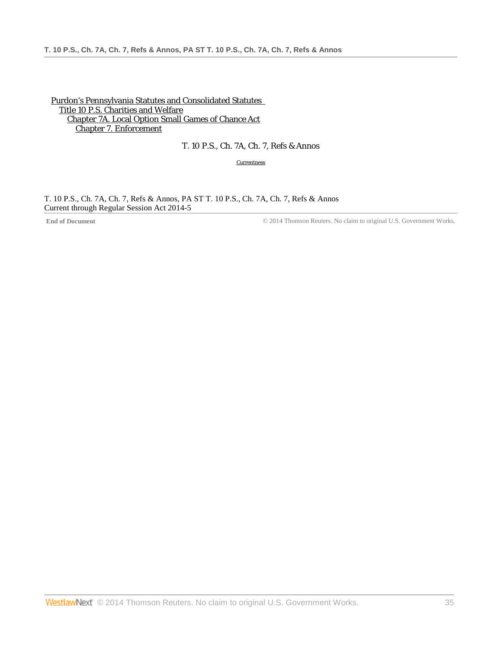[Purdon's Pennsylvania Statutes and Consolidated Statutes](http://www.westlaw.com/Browse/Home/StatutesCourtRules/PennsylvaniaStatutesCourtRules?transitionType=DocumentItem&contextData=(sc.DocLink)&rs=clbt1.0&vr=3.0)  [Title 10 P.S. Charities and Welfare](http://www.westlaw.com/Browse/Home/StatutesCourtRules/PennsylvaniaStatutesCourtRules?guid=N7B9E600F76734C7285766466EAFA2DA5&transitionType=DocumentItem&contextData=(sc.DocLink)&rs=clbt1.0&vr=3.0) [Chapter 7A. Local Option Small Games of Chance Act](http://www.westlaw.com/Browse/Home/StatutesCourtRules/PennsylvaniaStatutesCourtRules?guid=NFFEE6618DE4347229C0FAD15F0191B43&transitionType=DocumentItem&contextData=(sc.DocLink)&rs=clbt1.0&vr=3.0) [Chapter 7. Enforcement](http://www.westlaw.com/Browse/Home/StatutesCourtRules/PennsylvaniaStatutesCourtRules?guid=N0E7AB2405B3211E18587BB50F56B71F0&transitionType=DocumentItem&contextData=(sc.DocLink)&rs=clbt1.0&vr=3.0)

# T. 10 P.S., Ch. 7A, Ch. 7, Refs & Annos

**[Currentness](#page-34-0)** 

<span id="page-34-0"></span>T. 10 P.S., Ch. 7A, Ch. 7, Refs & Annos, PA ST T. 10 P.S., Ch. 7A, Ch. 7, Refs & Annos Current through Regular Session Act 2014-5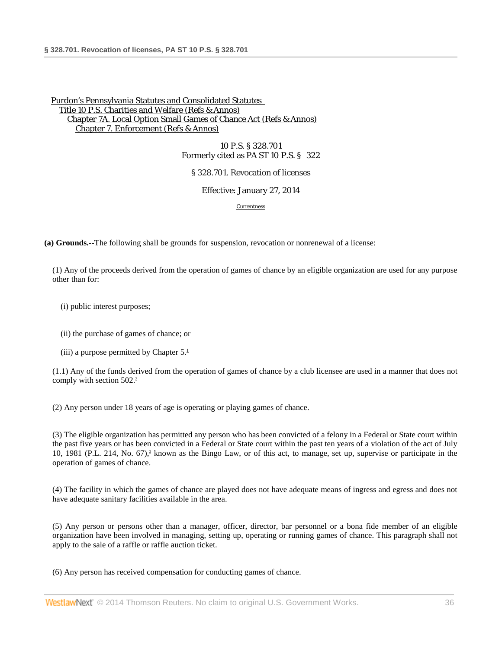10 P.S. § 328.701 Formerly cited as PA ST 10 P.S. § 322

§ 328.701. Revocation of licenses

Effective: January 27, 2014

[Currentness](#page-36-0)

**(a) Grounds.--**The following shall be grounds for suspension, revocation or nonrenewal of a license:

(1) Any of the proceeds derived from the operation of games of chance by an eligible organization are used for any purpose other than for:

(i) public interest purposes;

(ii) the purchase of games of chance; or

(iii) a purpose permitted by Chapter  $5<sup>1</sup>$ 

(1.1) Any of the funds derived from the operation of games of chance by a club licensee are used in a manner that does not comply with section  $502<sup>2</sup>$ 

(2) Any person under 18 years of age is operating or playing games of chance.

(3) The eligible organization has permitted any person who has been convicted of a felony in a Federal or State court within the past five years or has been convicted in a Federal or State court within the past ten years of a violation of the act of July 10, 1981 (P.L. 214, No.  $(67)^3$  known as the Bingo Law, or of this act, to manage, set up, supervise or participate in the operation of games of chance.

(4) The facility in which the games of chance are played does not have adequate means of ingress and egress and does not have adequate sanitary facilities available in the area.

(5) Any person or persons other than a manager, officer, director, bar personnel or a bona fide member of an eligible organization have been involved in managing, setting up, operating or running games of chance. This paragraph shall not apply to the sale of a raffle or raffle auction ticket.

(6) Any person has received compensation for conducting games of chance.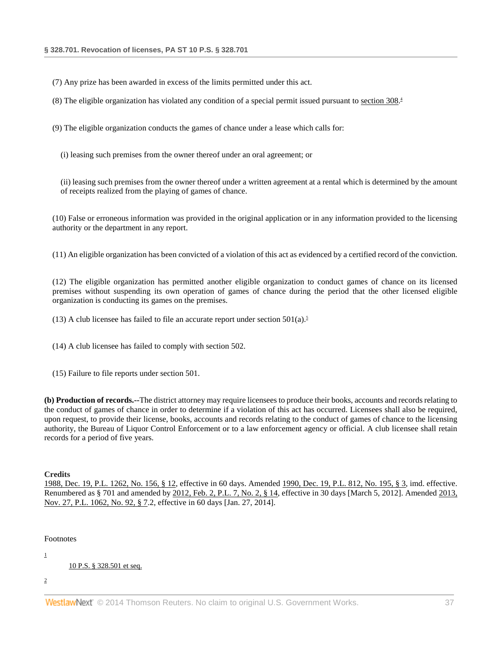(7) Any prize has been awarded in excess of the limits permitted under this act.

(8) The eligible organization has violated any condition of a special permit issued pursuant to [section 308](http://www.westlaw.com/Link/Document/FullText?findType=L&pubNum=1000262&cite=PS10S308&originatingDoc=N8E0FFFE0797311E38FFED7512AA3B354&refType=LQ&originationContext=document&vr=3.0&rs=cblt1.0&transitionType=DocumentItem&contextData=(sc.DocLink))[.](#page-37-0)<sup>4</sup>

(9) The eligible organization conducts the games of chance under a lease which calls for:

<span id="page-36-0"></span>(i) leasing such premises from the owner thereof under an oral agreement; or

(ii) leasing such premises from the owner thereof under a written agreement at a rental which is determined by the amount of receipts realized from the playing of games of chance.

(10) False or erroneous information was provided in the original application or in any information provided to the licensing authority or the department in any report.

(11) An eligible organization has been convicted of a violation of this act as evidenced by a certified record of the conviction.

(12) The eligible organization has permitted another eligible organization to conduct games of chance on its licensed premises without suspending its own operation of games of chance during the period that the other licensed eligible organization is conducting its games on the premises.

<span id="page-36-1"></span>(13) A club licensee has failed to file an accurate report under section  $501(a)$ .<sup>5</sup>

(14) A club licensee has failed to comply with section 502.

(15) Failure to file reports under section 501.

**(b) Production of records.--**The district attorney may require licensees to produce their books, accounts and records relating to the conduct of games of chance in order to determine if a violation of this act has occurred. Licensees shall also be required, upon request, to provide their license, books, accounts and records relating to the conduct of games of chance to the licensing authority, the Bureau of Liquor Control Enforcement or to a law enforcement agency or official. A club licensee shall retain records for a period of five years.

#### **Credits**

[1988, Dec. 19, P.L. 1262, No. 156, § 12,](http://www.westlaw.com/Link/Document/FullText?findType=l&pubNum=1077005&cite=UUID(IDEC1AEEDA6-3943769C852-CE98C177453)&originationContext=document&vr=3.0&rs=cblt1.0&transitionType=DocumentItem&contextData=(sc.DocLink)) effective in 60 days. Amended [1990, Dec. 19, P.L. 812, No. 195, § 3,](http://www.westlaw.com/Link/Document/FullText?findType=l&pubNum=1077005&cite=UUID(IEAFE739073-9A4AF7ADAD1-053ABE985F3)&originationContext=document&vr=3.0&rs=cblt1.0&transitionType=DocumentItem&contextData=(sc.DocLink)) imd. effective. Renumbered as § 701 and amended b[y 2012, Feb. 2, P.L. 7, No. 2, § 14,](http://www.westlaw.com/Link/Document/FullText?findType=l&pubNum=1077005&cite=UUID(IF1E48C8052-6411E1BD779-BF39FE01E8A)&originationContext=document&vr=3.0&rs=cblt1.0&transitionType=DocumentItem&contextData=(sc.DocLink)) effective in 30 days [March 5, 2012]. Amende[d 2013,](http://www.westlaw.com/Link/Document/FullText?findType=l&pubNum=1077005&cite=UUID(IE9429E305E-6211E3B139A-D266F9555A0)&originationContext=document&vr=3.0&rs=cblt1.0&transitionType=DocumentItem&contextData=(sc.DocLink))  [Nov. 27, P.L. 1062, No. 92, § 7.](http://www.westlaw.com/Link/Document/FullText?findType=l&pubNum=1077005&cite=UUID(IE9429E305E-6211E3B139A-D266F9555A0)&originationContext=document&vr=3.0&rs=cblt1.0&transitionType=DocumentItem&contextData=(sc.DocLink))2, effective in 60 days [Jan. 27, 2014].

#### Footnotes

[1](#page-35-0)

[10 P.S. § 328.501 et seq.](http://www.westlaw.com/Link/Document/FullText?findType=L&pubNum=1000262&cite=PS10S328.501&originatingDoc=N8E0FFFE0797311E38FFED7512AA3B354&refType=LQ&originationContext=document&vr=3.0&rs=cblt1.0&transitionType=DocumentItem&contextData=(sc.DocLink))

[2](#page-35-1)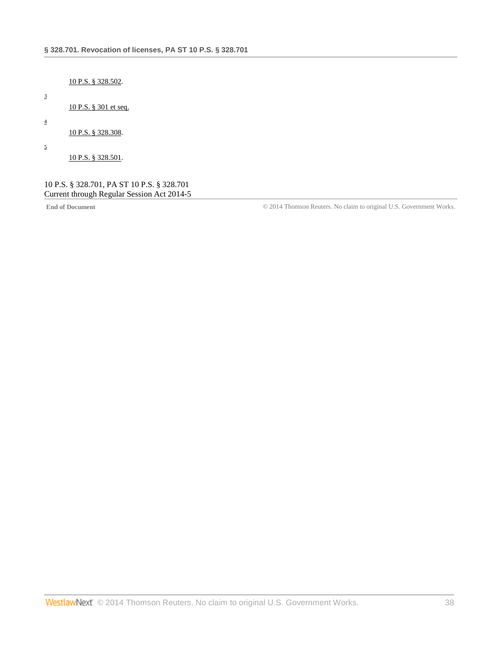### [10 P.S. § 328.502.](http://www.westlaw.com/Link/Document/FullText?findType=L&pubNum=1000262&cite=PS10S328.502&originatingDoc=N8E0FFFE0797311E38FFED7512AA3B354&refType=LQ&originationContext=document&vr=3.0&rs=cblt1.0&transitionType=DocumentItem&contextData=(sc.DocLink))

# [10 P.S. § 301 et seq.](http://www.westlaw.com/Link/Document/FullText?findType=L&pubNum=1000262&cite=PS10S301&originatingDoc=N8E0FFFE0797311E38FFED7512AA3B354&refType=LQ&originationContext=document&vr=3.0&rs=cblt1.0&transitionType=DocumentItem&contextData=(sc.DocLink))

<span id="page-37-0"></span>[4](#page-36-0)

[3](#page-35-2)

# [10 P.S. § 328.308.](http://www.westlaw.com/Link/Document/FullText?findType=L&pubNum=1000262&cite=PS10S328.308&originatingDoc=N8E0FFFE0797311E38FFED7512AA3B354&refType=LQ&originationContext=document&vr=3.0&rs=cblt1.0&transitionType=DocumentItem&contextData=(sc.DocLink))

<span id="page-37-1"></span>[5](#page-36-1)

[10 P.S. § 328.501.](http://www.westlaw.com/Link/Document/FullText?findType=L&pubNum=1000262&cite=PS10S328.501&originatingDoc=N8E0FFFE0797311E38FFED7512AA3B354&refType=LQ&originationContext=document&vr=3.0&rs=cblt1.0&transitionType=DocumentItem&contextData=(sc.DocLink))

### 10 P.S. § 328.701, PA ST 10 P.S. § 328.701 Current through Regular Session Act 2014-5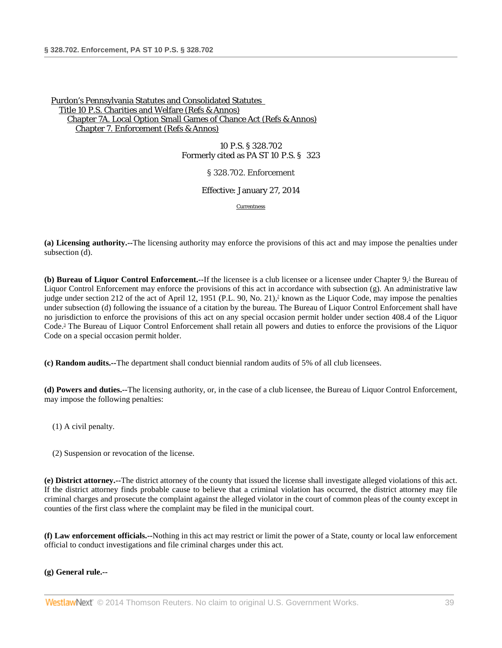> 10 P.S. § 328.702 Formerly cited as PA ST 10 P.S. § 323

> > § 328.702. Enforcement

Effective: January 27, 2014

<span id="page-38-1"></span><span id="page-38-0"></span>[Currentness](#page-39-0)

**(a) Licensing authority.--**The licensing authority may enforce the provisions of this act and may impose the penalties under subsection (d).

**(b) Bureau of Liquor Control Enforcement.--**If the licensee is a club licensee or a licensee under Chapter 9,<sup>1</sup> the Bureau of Liquor Control Enforcement may enforce the provisions of this act in accordance with subsection (g). An administrative law judge under section 212 of the act of April 12, 1951 (P.L. 90, No. 21)<sup>2</sup> known as the Liquor Code, may impose the penalties under subsection (d) following the issuance of a citation by the bureau. The Bureau of Liquor Control Enforcement shall have no jurisdiction to enforce the provisions of this act on any special occasion permit holder under section 408.4 of the Liquor Code.<sup>3</sup> The Bureau of Liquor Control Enforcement shall retain all powers and duties to enforce the provisions of the Liquor Code on a special occasion permit holder.

<span id="page-38-2"></span>**(c) Random audits.--**The department shall conduct biennial random audits of 5% of all club licensees.

**(d) Powers and duties.--**The licensing authority, or, in the case of a club licensee, the Bureau of Liquor Control Enforcement, may impose the following penalties:

- (1) A civil penalty.
- (2) Suspension or revocation of the license.

**(e) District attorney.--**The district attorney of the county that issued the license shall investigate alleged violations of this act. If the district attorney finds probable cause to believe that a criminal violation has occurred, the district attorney may file criminal charges and prosecute the complaint against the alleged violator in the court of common pleas of the county except in counties of the first class where the complaint may be filed in the municipal court.

**(f) Law enforcement officials.--**Nothing in this act may restrict or limit the power of a State, county or local law enforcement official to conduct investigations and file criminal charges under this act.

### **(g) General rule.--**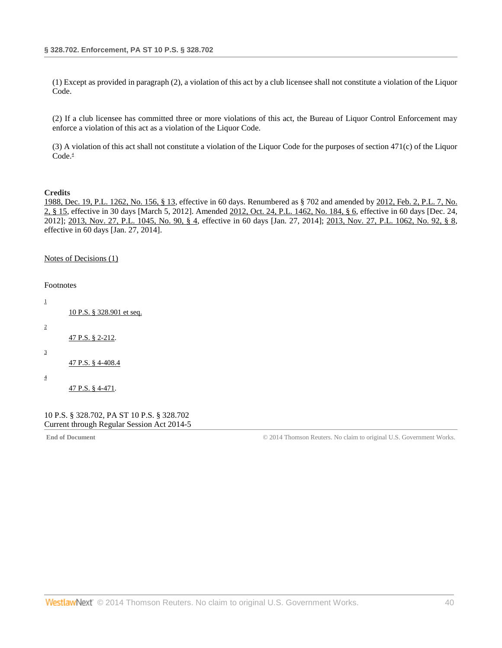(1) Except as provided in paragraph (2), a violation of this act by a club licensee shall not constitute a violation of the Liquor Code.

(2) If a club licensee has committed three or more violations of this act, the Bureau of Liquor Control Enforcement may enforce a violation of this act as a violation of the Liquor Code.

<span id="page-39-5"></span>(3) A violation of this act shall not constitute a violation of the Liquor Code for the purposes of section 471(c) of the Liquor  $Code<sup>4</sup>$ 

#### **Credits**

[1988, Dec. 19, P.L. 1262, No. 156, § 13,](http://www.westlaw.com/Link/Document/FullText?findType=l&pubNum=1077005&cite=UUID(IDEC1AEEDA6-3943769C852-CE98C177453)&originationContext=document&vr=3.0&rs=cblt1.0&transitionType=DocumentItem&contextData=(sc.DocLink)) effective in 60 days. Renumbered as § 702 and amended by [2012, Feb. 2, P.L. 7, No.](http://www.westlaw.com/Link/Document/FullText?findType=l&pubNum=1077005&cite=UUID(IF1E48C8052-6411E1BD779-BF39FE01E8A)&originationContext=document&vr=3.0&rs=cblt1.0&transitionType=DocumentItem&contextData=(sc.DocLink))  [2, § 15,](http://www.westlaw.com/Link/Document/FullText?findType=l&pubNum=1077005&cite=UUID(IF1E48C8052-6411E1BD779-BF39FE01E8A)&originationContext=document&vr=3.0&rs=cblt1.0&transitionType=DocumentItem&contextData=(sc.DocLink)) effective in 30 days [March 5, 2012]. Amended [2012, Oct. 24, P.L. 1462, No. 184, § 6,](http://www.westlaw.com/Link/Document/FullText?findType=l&pubNum=1077005&cite=UUID(I3326778043-A511E29B2E8-4DF6196F2E8)&originationContext=document&vr=3.0&rs=cblt1.0&transitionType=DocumentItem&contextData=(sc.DocLink)) effective in 60 days [Dec. 24, 2012]; [2013, Nov. 27, P.L. 1045, No. 90, § 4,](http://www.westlaw.com/Link/Document/FullText?findType=l&pubNum=1077005&cite=UUID(IE928D4A05E-6211E3AED0A-E211C77CD8A)&originationContext=document&vr=3.0&rs=cblt1.0&transitionType=DocumentItem&contextData=(sc.DocLink)) effective in 60 days [Jan. 27, 2014]; [2013, Nov. 27, P.L. 1062, No. 92, § 8,](http://www.westlaw.com/Link/Document/FullText?findType=l&pubNum=1077005&cite=UUID(IE9429E305E-6211E3B139A-D266F9555A0)&originationContext=document&vr=3.0&rs=cblt1.0&transitionType=DocumentItem&contextData=(sc.DocLink)) effective in 60 days [Jan. 27, 2014].

### <span id="page-39-0"></span>[Notes of Decisions \(1\)](http://www.westlaw.com/Link/RelatedInformation/NotesofDecisions?docGuid=NAD90461178A411E39350AFA630FAB3FA&originationContext=document&vr=3.0&rs=cblt1.0&transitionType=NotesOfDecision&contextData=(sc.DocLink))

<span id="page-39-2"></span><span id="page-39-1"></span>

| <b>Footnotes</b>        |                           |  |  |
|-------------------------|---------------------------|--|--|
| 1                       |                           |  |  |
|                         | 10 P.S. § 328.901 et seq. |  |  |
| $\overline{\mathbf{c}}$ |                           |  |  |
|                         | 47 P.S. § 2-212.          |  |  |
| 3                       |                           |  |  |
|                         | 47 P.S. § 4-408.4         |  |  |
| 4                       |                           |  |  |
|                         | 47 P.S. § 4-471.          |  |  |

### <span id="page-39-4"></span><span id="page-39-3"></span>10 P.S. § 328.702, PA ST 10 P.S. § 328.702 Current through Regular Session Act 2014-5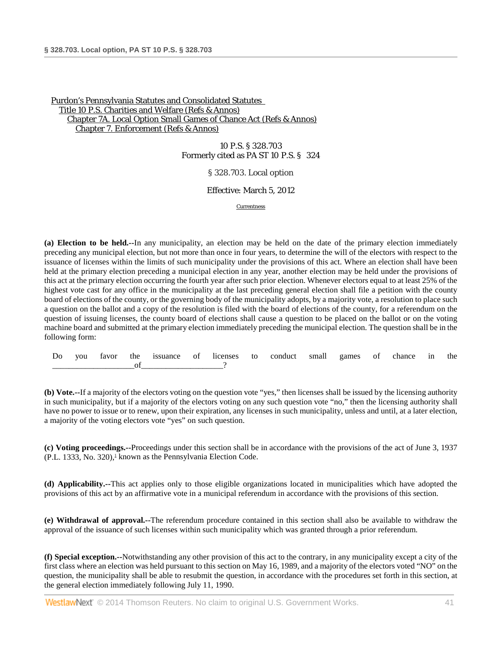10 P.S. § 328.703 Formerly cited as PA ST 10 P.S. § 324

§ 328.703. Local option

Effective: March 5, 2012

[Currentness](#page-41-0)

**(a) Election to be held.--**In any municipality, an election may be held on the date of the primary election immediately preceding any municipal election, but not more than once in four years, to determine the will of the electors with respect to the issuance of licenses within the limits of such municipality under the provisions of this act. Where an election shall have been held at the primary election preceding a municipal election in any year, another election may be held under the provisions of this act at the primary election occurring the fourth year after such prior election. Whenever electors equal to at least 25% of the highest vote cast for any office in the municipality at the last preceding general election shall file a petition with the county board of elections of the county, or the governing body of the municipality adopts, by a majority vote, a resolution to place such a question on the ballot and a copy of the resolution is filed with the board of elections of the county, for a referendum on the question of issuing licenses, the county board of elections shall cause a question to be placed on the ballot or on the voting machine board and submitted at the primary election immediately preceding the municipal election. The question shall be in the following form:

| Do | vou | favor<br>. | the<br>$\sim$ | issuance<br>. | $\sim$<br>Οİ | licenses<br>. | to | conduct<br>. | small | games<br>. | 0Ī | rhance<br>. | 1P | the |
|----|-----|------------|---------------|---------------|--------------|---------------|----|--------------|-------|------------|----|-------------|----|-----|
|    |     |            |               |               |              |               |    |              |       |            |    |             |    |     |

**(b) Vote.--**If a majority of the electors voting on the question vote "yes," then licenses shall be issued by the licensing authority in such municipality, but if a majority of the electors voting on any such question vote "no," then the licensing authority shall have no power to issue or to renew, upon their expiration, any licenses in such municipality, unless and until, at a later election, a majority of the voting electors vote "yes" on such question.

<span id="page-40-0"></span>**(c) Voting proceedings.--**Proceedings under this section shall be in accordance with the provisions of the act of June 3, 1937  $(P.L. 1333, No. 320)$ ,<sup>1</sup> known as the Pennsylvania Election Code.

**(d) Applicability.--**This act applies only to those eligible organizations located in municipalities which have adopted the provisions of this act by an affirmative vote in a municipal referendum in accordance with the provisions of this section.

**(e) Withdrawal of approval.--**The referendum procedure contained in this section shall also be available to withdraw the approval of the issuance of such licenses within such municipality which was granted through a prior referendum.

**(f) Special exception.--**Notwithstanding any other provision of this act to the contrary, in any municipality except a city of the first class where an election was held pursuant to this section on May 16, 1989, and a majority of the electors voted "NO" on the question, the municipality shall be able to resubmit the question, in accordance with the procedures set forth in this section, at the general election immediately following July 11, 1990.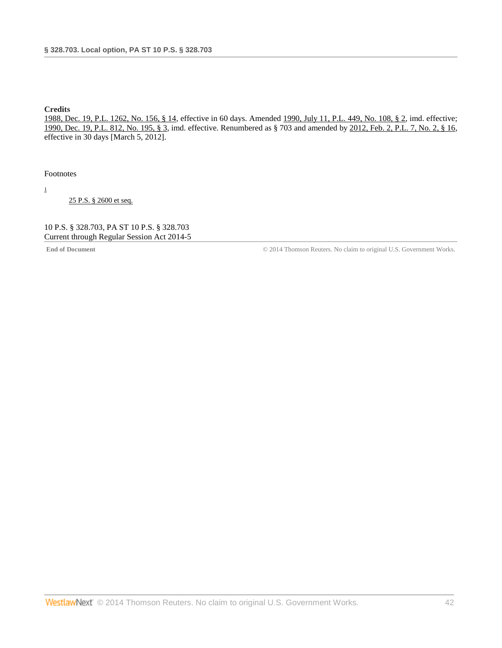## **Credits**

[1988, Dec. 19, P.L. 1262, No. 156, § 14,](http://www.westlaw.com/Link/Document/FullText?findType=l&pubNum=1077005&cite=UUID(IDEC1AEEDA6-3943769C852-CE98C177453)&originationContext=document&vr=3.0&rs=cblt1.0&transitionType=DocumentItem&contextData=(sc.DocLink)) effective in 60 days. Amended [1990, July 11, P.L. 449, No. 108, § 2,](http://www.westlaw.com/Link/Document/FullText?findType=l&pubNum=1077005&cite=UUID(I2E75A3B0E0-EC420889CE6-BB4499D4692)&originationContext=document&vr=3.0&rs=cblt1.0&transitionType=DocumentItem&contextData=(sc.DocLink)) imd. effective; [1990, Dec. 19, P.L. 812, No. 195, § 3,](http://www.westlaw.com/Link/Document/FullText?findType=l&pubNum=1077005&cite=UUID(IEAFE739073-9A4AF7ADAD1-053ABE985F3)&originationContext=document&vr=3.0&rs=cblt1.0&transitionType=DocumentItem&contextData=(sc.DocLink)) imd. effective. Renumbered as § 703 and amended b[y 2012, Feb. 2, P.L. 7, No. 2, § 16,](http://www.westlaw.com/Link/Document/FullText?findType=l&pubNum=1077005&cite=UUID(IF1E48C8052-6411E1BD779-BF39FE01E8A)&originationContext=document&vr=3.0&rs=cblt1.0&transitionType=DocumentItem&contextData=(sc.DocLink)) effective in 30 days [March 5, 2012].

<span id="page-41-0"></span>Footnotes

<span id="page-41-1"></span>[1](#page-40-0)

[25 P.S. § 2600 et seq.](http://www.westlaw.com/Link/Document/FullText?findType=L&pubNum=1000262&cite=PS25S2600&originatingDoc=N6AD1DC205B3811E18587BB50F56B71F0&refType=LQ&originationContext=document&vr=3.0&rs=cblt1.0&transitionType=DocumentItem&contextData=(sc.DocLink))

10 P.S. § 328.703, PA ST 10 P.S. § 328.703 Current through Regular Session Act 2014-5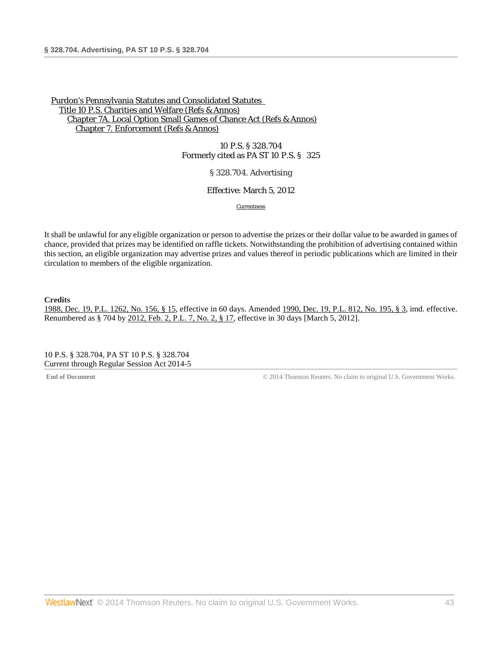10 P.S. § 328.704 Formerly cited as PA ST 10 P.S. § 325

§ 328.704. Advertising

### Effective: March 5, 2012

[Currentness](#page-42-0)

It shall be unlawful for any eligible organization or person to advertise the prizes or their dollar value to be awarded in games of chance, provided that prizes may be identified on raffle tickets. Notwithstanding the prohibition of advertising contained within this section, an eligible organization may advertise prizes and values thereof in periodic publications which are limited in their circulation to members of the eligible organization.

**Credits**

1988, [Dec. 19, P.L. 1262, No. 156, § 15,](http://www.westlaw.com/Link/Document/FullText?findType=l&pubNum=1077005&cite=UUID(IDEC1AEEDA6-3943769C852-CE98C177453)&originationContext=document&vr=3.0&rs=cblt1.0&transitionType=DocumentItem&contextData=(sc.DocLink)) effective in 60 days. Amended [1990, Dec. 19, P.L. 812, No. 195, § 3,](http://www.westlaw.com/Link/Document/FullText?findType=l&pubNum=1077005&cite=UUID(IEAFE739073-9A4AF7ADAD1-053ABE985F3)&originationContext=document&vr=3.0&rs=cblt1.0&transitionType=DocumentItem&contextData=(sc.DocLink)) imd. effective. Renumbered as § 704 by [2012, Feb. 2, P.L. 7, No. 2, § 17,](http://www.westlaw.com/Link/Document/FullText?findType=l&pubNum=1077005&cite=UUID(IF1E48C8052-6411E1BD779-BF39FE01E8A)&originationContext=document&vr=3.0&rs=cblt1.0&transitionType=DocumentItem&contextData=(sc.DocLink)) effective in 30 days [March 5, 2012].

<span id="page-42-0"></span>10 P.S. § 328.704, PA ST 10 P.S. § 328.704 Current through Regular Session Act 2014-5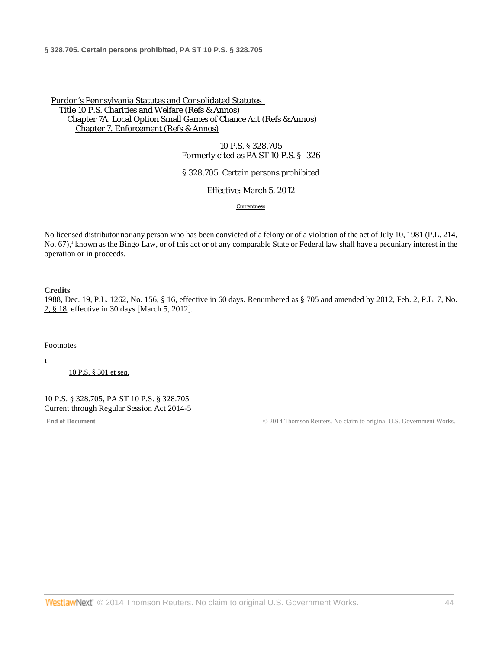10 P.S. § 328.705 Formerly cited as PA ST 10 P.S. § 326

§ 328.705. Certain persons prohibited

Effective: March 5, 2012

[Currentness](#page-43-0)

<span id="page-43-2"></span>No licensed distributor nor any person who has been convicted of a felony or of a violation of the act of July 10, 1981 (P.L. 214, No. 67),<sup>1</sup> known as the Bingo Law, or of this act or of any comparable State or Federal law shall have a pecuniary interest in the operation or in proceeds.

**Credits**

[1988, Dec. 19, P.L. 1262, No. 156, § 16,](http://www.westlaw.com/Link/Document/FullText?findType=l&pubNum=1077005&cite=UUID(IDEC1AEEDA6-3943769C852-CE98C177453)&originationContext=document&vr=3.0&rs=cblt1.0&transitionType=DocumentItem&contextData=(sc.DocLink)) effective in 60 days. Renumbered as § 705 and amended by [2012, Feb. 2, P.L. 7, No.](http://www.westlaw.com/Link/Document/FullText?findType=l&pubNum=1077005&cite=UUID(IF1E48C8052-6411E1BD779-BF39FE01E8A)&originationContext=document&vr=3.0&rs=cblt1.0&transitionType=DocumentItem&contextData=(sc.DocLink))  [2, § 18,](http://www.westlaw.com/Link/Document/FullText?findType=l&pubNum=1077005&cite=UUID(IF1E48C8052-6411E1BD779-BF39FE01E8A)&originationContext=document&vr=3.0&rs=cblt1.0&transitionType=DocumentItem&contextData=(sc.DocLink)) effective in 30 days [March 5, 2012].

<span id="page-43-0"></span>Footnotes

<span id="page-43-1"></span>[1](#page-43-2)

[10 P.S. § 301 et seq.](http://www.westlaw.com/Link/Document/FullText?findType=L&pubNum=1000262&cite=PS10S301&originatingDoc=N6C0504F05B3811E18587BB50F56B71F0&refType=LQ&originationContext=document&vr=3.0&rs=cblt1.0&transitionType=DocumentItem&contextData=(sc.DocLink))

10 P.S. § 328.705, PA ST 10 P.S. § 328.705 Current through Regular Session Act 2014-5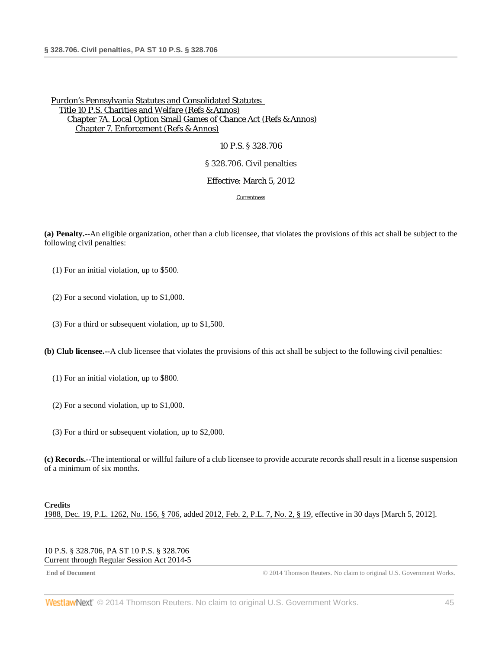## 10 P.S. § 328.706

### § 328.706. Civil penalties

### Effective: March 5, 2012

**[Currentness](#page-44-0)** 

**(a) Penalty.--**An eligible organization, other than a club licensee, that violates the provisions of this act shall be subject to the following civil penalties:

(1) For an initial violation, up to \$500.

(2) For a second violation, up to \$1,000.

(3) For a third or subsequent violation, up to \$1,500.

**(b) Club licensee.--**A club licensee that violates the provisions of this act shall be subject to the following civil penalties:

(1) For an initial violation, up to \$800.

- (2) For a second violation, up to \$1,000.
- (3) For a third or subsequent violation, up to \$2,000.

**(c) Records.--**The intentional or willful failure of a club licensee to provide accurate records shall result in a license suspension of a minimum of six months.

### **Credits**

<span id="page-44-0"></span>[1988, Dec. 19, P.L. 1262, No. 156, § 706,](http://www.westlaw.com/Link/Document/FullText?findType=l&pubNum=1077005&cite=UUID(IDEC1AEEDA6-3943769C852-CE98C177453)&originationContext=document&vr=3.0&rs=cblt1.0&transitionType=DocumentItem&contextData=(sc.DocLink)) added [2012, Feb. 2, P.L. 7, No. 2, § 19,](http://www.westlaw.com/Link/Document/FullText?findType=l&pubNum=1077005&cite=UUID(IF1E48C8052-6411E1BD779-BF39FE01E8A)&originationContext=document&vr=3.0&rs=cblt1.0&transitionType=DocumentItem&contextData=(sc.DocLink)) effective in 30 days [March 5, 2012].

10 P.S. § 328.706, PA ST 10 P.S. § 328.706 Current through Regular Session Act 2014-5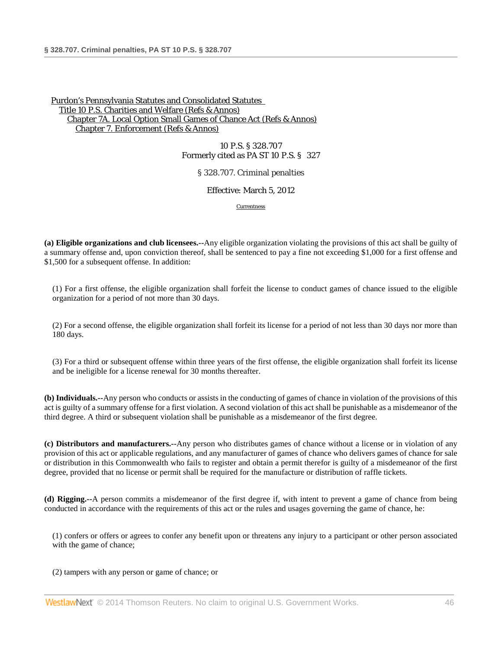10 P.S. § 328.707 Formerly cited as PA ST 10 P.S. § 327

§ 328.707. Criminal penalties

Effective: March 5, 2012

[Currentness](#page-46-0)

**(a) Eligible organizations and club licensees.--**Any eligible organization violating the provisions of this act shall be guilty of a summary offense and, upon conviction thereof, shall be sentenced to pay a fine not exceeding \$1,000 for a first offense and \$1,500 for a subsequent offense. In addition:

(1) For a first offense, the eligible organization shall forfeit the license to conduct games of chance issued to the eligible organization for a period of not more than 30 days.

(2) For a second offense, the eligible organization shall forfeit its license for a period of not less than 30 days nor more than 180 days.

(3) For a third or subsequent offense within three years of the first offense, the eligible organization shall forfeit its license and be ineligible for a license renewal for 30 months thereafter.

**(b) Individuals.--**Any person who conducts or assists in the conducting of games of chance in violation of the provisions of this act is guilty of a summary offense for a first violation. A second violation of this act shall be punishable as a misdemeanor of the third degree. A third or subsequent violation shall be punishable as a misdemeanor of the first degree.

**(c) Distributors and manufacturers.--**Any person who distributes games of chance without a license or in violation of any provision of this act or applicable regulations, and any manufacturer of games of chance who delivers games of chance for sale or distribution in this Commonwealth who fails to register and obtain a permit therefor is guilty of a misdemeanor of the first degree, provided that no license or permit shall be required for the manufacture or distribution of raffle tickets.

**(d) Rigging.--**A person commits a misdemeanor of the first degree if, with intent to prevent a game of chance from being conducted in accordance with the requirements of this act or the rules and usages governing the game of chance, he:

(1) confers or offers or agrees to confer any benefit upon or threatens any injury to a participant or other person associated with the game of chance;

(2) tampers with any person or game of chance; or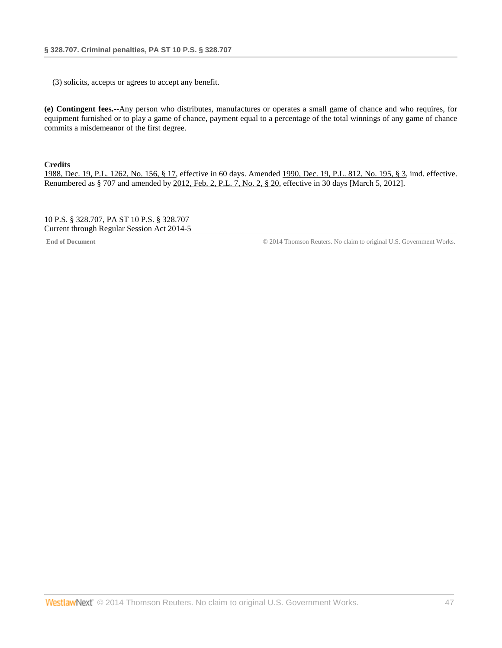(3) solicits, accepts or agrees to accept any benefit.

**(e) Contingent fees.--**Any person who distributes, manufactures or operates a small game of chance and who requires, for equipment furnished or to play a game of chance, payment equal to a percentage of the total winnings of any game of chance commits a misdemeanor of the first degree.

**Credits**

[1988, Dec. 19, P.L. 1262, No.](http://www.westlaw.com/Link/Document/FullText?findType=l&pubNum=1077005&cite=UUID(IDEC1AEEDA6-3943769C852-CE98C177453)&originationContext=document&vr=3.0&rs=cblt1.0&transitionType=DocumentItem&contextData=(sc.DocLink)) 156, § 17, effective in 60 days. Amended [1990, Dec. 19, P.L. 812, No. 195, § 3,](http://www.westlaw.com/Link/Document/FullText?findType=l&pubNum=1077005&cite=UUID(IEAFE739073-9A4AF7ADAD1-053ABE985F3)&originationContext=document&vr=3.0&rs=cblt1.0&transitionType=DocumentItem&contextData=(sc.DocLink)) imd. effective. Renumbered as § 707 and amended by [2012, Feb. 2, P.L. 7, No. 2, § 20,](http://www.westlaw.com/Link/Document/FullText?findType=l&pubNum=1077005&cite=UUID(IF1E48C8052-6411E1BD779-BF39FE01E8A)&originationContext=document&vr=3.0&rs=cblt1.0&transitionType=DocumentItem&contextData=(sc.DocLink)) effective in 30 days [March 5, 2012].

<span id="page-46-0"></span>10 P.S. § 328.707, PA ST 10 P.S. § 328.707 Current through Regular Session Act 2014-5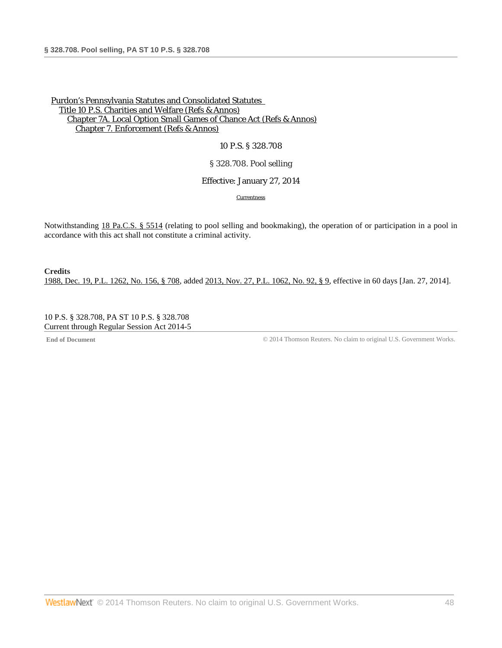## 10 P.S. § 328.708

### § 328.708. Pool selling

### Effective: January 27, 2014

**[Currentness](#page-47-0)** 

Notwithstanding [18 Pa.C.S. § 5514](http://www.westlaw.com/Link/Document/FullText?findType=L&pubNum=1000262&cite=PA18S5514&originatingDoc=N854DDF80797311E3A39F8E22CFE040CD&refType=LQ&originationContext=document&vr=3.0&rs=cblt1.0&transitionType=DocumentItem&contextData=(sc.DocLink)) (relating to pool selling and bookmaking), the operation of or participation in a pool in accordance with this act shall not constitute a criminal activity.

**Credits** [1988, Dec. 19, P.L. 1262, No. 156, § 708,](http://www.westlaw.com/Link/Document/FullText?findType=l&pubNum=1077005&cite=UUID(IDEC1AEEDA6-3943769C852-CE98C177453)&originationContext=document&vr=3.0&rs=cblt1.0&transitionType=DocumentItem&contextData=(sc.DocLink)) added [2013, Nov. 27, P.L. 1062, No. 92, § 9,](http://www.westlaw.com/Link/Document/FullText?findType=l&pubNum=1077005&cite=UUID(IE9429E305E-6211E3B139A-D266F9555A0)&originationContext=document&vr=3.0&rs=cblt1.0&transitionType=DocumentItem&contextData=(sc.DocLink)) effective in 60 days [Jan. 27, 2014].

<span id="page-47-0"></span>10 P.S. § 328.708, PA ST 10 P.S. § 328.708 Current through Regular Session Act 2014-5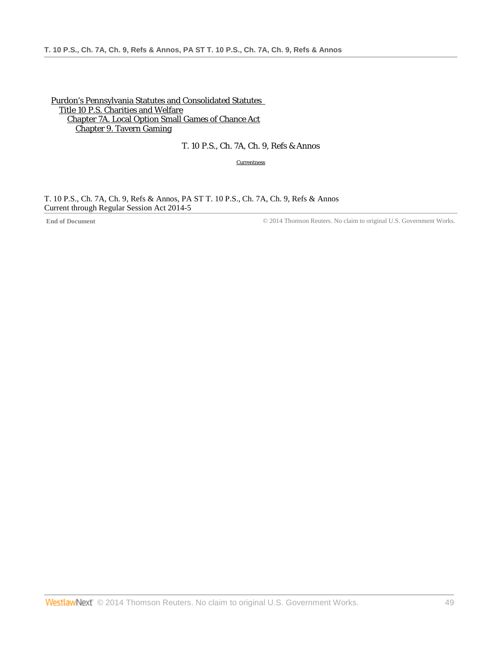[Purdon's Pennsylvania Statutes and Consolidated Statutes](http://www.westlaw.com/Browse/Home/StatutesCourtRules/PennsylvaniaStatutesCourtRules?transitionType=DocumentItem&contextData=(sc.DocLink)&rs=clbt1.0&vr=3.0)  [Title 10 P.S. Charities and Welfare](http://www.westlaw.com/Browse/Home/StatutesCourtRules/PennsylvaniaStatutesCourtRules?guid=N7B9E600F76734C7285766466EAFA2DA5&transitionType=DocumentItem&contextData=(sc.DocLink)&rs=clbt1.0&vr=3.0) [Chapter 7A. Local Option Small Games of Chance Act](http://www.westlaw.com/Browse/Home/StatutesCourtRules/PennsylvaniaStatutesCourtRules?guid=NFFEE6618DE4347229C0FAD15F0191B43&transitionType=DocumentItem&contextData=(sc.DocLink)&rs=clbt1.0&vr=3.0) [Chapter 9. Tavern Gaming](http://www.westlaw.com/Browse/Home/StatutesCourtRules/PennsylvaniaStatutesCourtRules?guid=NF05770E0788611E3AF45F69F775004F1&transitionType=DocumentItem&contextData=(sc.DocLink)&rs=clbt1.0&vr=3.0)

# T. 10 P.S., Ch. 7A, Ch. 9, Refs & Annos

**[Currentness](#page-48-0)** 

<span id="page-48-0"></span>T. 10 P.S., Ch. 7A, Ch. 9, Refs & Annos, PA ST T. 10 P.S., Ch. 7A, Ch. 9, Refs & Annos Current through Regular Session Act 2014-5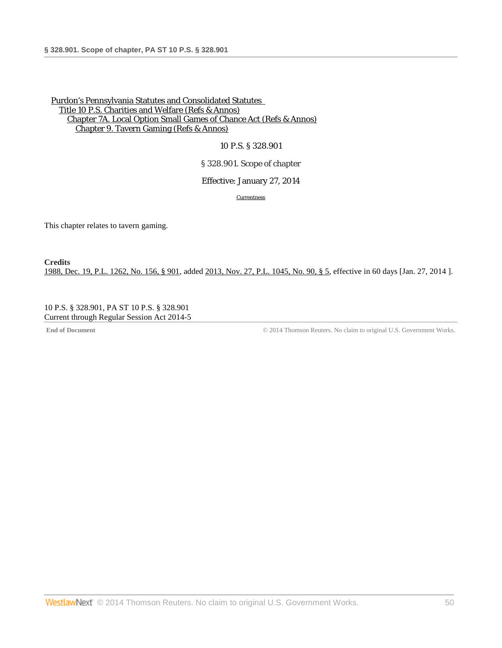10 P.S. § 328.901

§ 328.901. Scope of chapter

Effective: January 27, 2014

**[Currentness](#page-49-0)** 

This chapter relates to tavern gaming.

**Credits** [1988, Dec. 19, P.L. 1262, No. 156, § 901,](http://www.westlaw.com/Link/Document/FullText?findType=l&pubNum=1077005&cite=UUID(IDEC1AEEDA6-3943769C852-CE98C177453)&originationContext=document&vr=3.0&rs=cblt1.0&transitionType=DocumentItem&contextData=(sc.DocLink)) added [2013, Nov. 27, P.L. 1045, No. 90, § 5,](http://www.westlaw.com/Link/Document/FullText?findType=l&pubNum=1077005&cite=UUID(IE928D4A05E-6211E3AED0A-E211C77CD8A)&originationContext=document&vr=3.0&rs=cblt1.0&transitionType=DocumentItem&contextData=(sc.DocLink)) effective in 60 days [Jan. 27, 2014 ].

<span id="page-49-0"></span>10 P.S. § 328.901, PA ST 10 P.S. § 328.901 Current through Regular Session Act 2014-5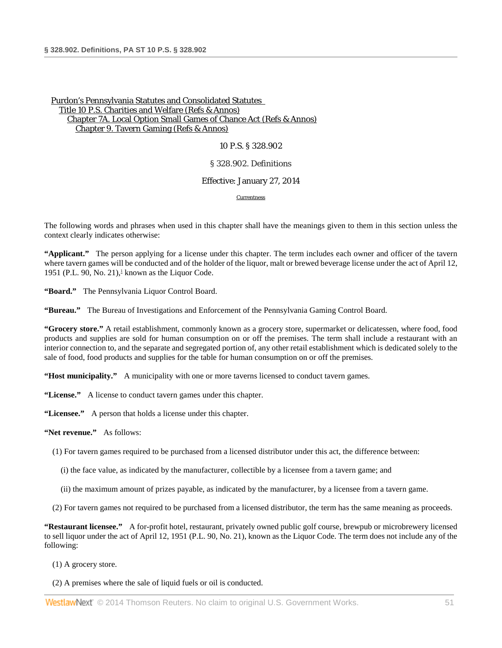#### 10 P.S. § 328.902

#### § 328.902. Definitions

#### Effective: January 27, 2014

**[Currentness](#page-51-0)** 

The following words and phrases when used in this chapter shall have the meanings given to them in this section unless the context clearly indicates otherwise:

<span id="page-50-0"></span>**"Applicant."** The person applying for a license under this chapter. The term includes each owner and officer of the tavern where tavern games will be conducted and of the holder of the liquor, malt or brewed beverage license under the act of April 12, 1951 (P.L. 90, No. 21), $\frac{1}{2}$  known as the Liquor Code.

**"Board."** The Pennsylvania Liquor Control Board.

**"Bureau."** The Bureau of Investigations and Enforcement of the Pennsylvania Gaming Control Board.

**"Grocery store."** A retail establishment, commonly known as a grocery store, supermarket or delicatessen, where food, food products and supplies are sold for human consumption on or off the premises. The term shall include a restaurant with an interior connection to, and the separate and segregated portion of, any other retail establishment which is dedicated solely to the sale of food, food products and supplies for the table for human consumption on or off the premises.

**"Host municipality."** A municipality with one or more taverns licensed to conduct tavern games.

**"License."** A license to conduct tavern games under this chapter.

**"Licensee."** A person that holds a license under this chapter.

**"Net revenue."** As follows:

(1) For tavern games required to be purchased from a licensed distributor under this act, the difference between:

- (i) the face value, as indicated by the manufacturer, collectible by a licensee from a tavern game; and
- (ii) the maximum amount of prizes payable, as indicated by the manufacturer, by a licensee from a tavern game.

(2) For tavern games not required to be purchased from a licensed distributor, the term has the same meaning as proceeds.

**"Restaurant licensee."** A for-profit hotel, restaurant, privately owned public golf course, brewpub or microbrewery licensed to sell liquor under the act of April 12, 1951 (P.L. 90, No. 21), known as the Liquor Code. The term does not include any of the following:

(1) A grocery store.

(2) A premises where the sale of liquid fuels or oil is conducted.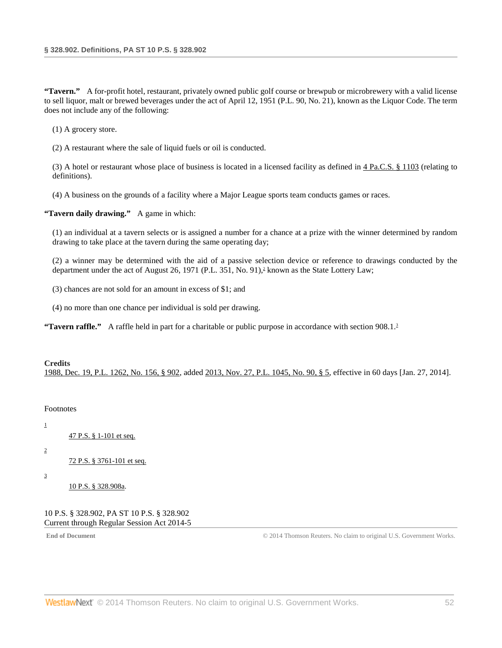**"Tavern."** A for-profit hotel, restaurant, privately owned public golf course or brewpub or microbrewery with a valid license to sell liquor, malt or brewed beverages under the act of April 12, 1951 (P.L. 90, No. 21), known as the Liquor Code. The term does not include any of the following:

(1) A grocery store.

(2) A restaurant where the sale of liquid fuels or oil is conducted.

(3) A hotel or restaurant whose place of business is located in a licensed facility as defined in  $4$  Pa.C.S.  $§$  1103 (relating to definitions).

(4) A business on the grounds of a facility where a Major League sports team conducts games or races.

**"Tavern daily drawing."** A game in which:

(1) an individual at a tavern selects or is assigned a number for a chance at a prize with the winner determined by random drawing to take place at the tavern during the same operating day;

<span id="page-51-4"></span>(2) a winner may be determined with the aid of a passive selection device or reference to drawings conducted by the department under the act of August 26, 1971 (P.L. 351, No. 91),<sup>2</sup> known as the State Lottery Law;

(3) chances are not sold for an amount in excess of \$1; and

<span id="page-51-5"></span>(4) no more than one chance per individual is sold per drawing.

**"Tavern raffle."** A raffle held in part for a charitable or public purpose in accordance with section 908.1.<sup>3</sup>

# **Credits** [1988, Dec. 19, P.L. 1262, No. 156, § 902,](http://www.westlaw.com/Link/Document/FullText?findType=l&pubNum=1077005&cite=UUID(IDEC1AEEDA6-3943769C852-CE98C177453)&originationContext=document&vr=3.0&rs=cblt1.0&transitionType=DocumentItem&contextData=(sc.DocLink)) added [2013, Nov. 27, P.L. 1045, No. 90, § 5,](http://www.westlaw.com/Link/Document/FullText?findType=l&pubNum=1077005&cite=UUID(IE928D4A05E-6211E3AED0A-E211C77CD8A)&originationContext=document&vr=3.0&rs=cblt1.0&transitionType=DocumentItem&contextData=(sc.DocLink)) effective in 60 days [Jan. 27, 2014].

### <span id="page-51-0"></span>Footnotes

[47 P.S. § 1-101 et seq.](http://www.westlaw.com/Link/Document/FullText?findType=L&pubNum=1000262&cite=PS47S1-101&originatingDoc=NAAB7D1B078A411E39977B8BBA3353497&refType=LQ&originationContext=document&vr=3.0&rs=cblt1.0&transitionType=DocumentItem&contextData=(sc.DocLink))

<span id="page-51-2"></span>[2](#page-51-4)

<span id="page-51-1"></span>[1](#page-50-0)

[72 P.S. § 3761-101 et seq.](http://www.westlaw.com/Link/Document/FullText?findType=L&pubNum=1000262&cite=PS72S3761-101&originatingDoc=NAAB7D1B078A411E39977B8BBA3353497&refType=LQ&originationContext=document&vr=3.0&rs=cblt1.0&transitionType=DocumentItem&contextData=(sc.DocLink))

<span id="page-51-3"></span>[3](#page-51-5)

[10 P.S. § 328.908a.](http://www.westlaw.com/Link/Document/FullText?findType=L&pubNum=1000262&cite=PS10S328.908A&originatingDoc=NAAB7D1B078A411E39977B8BBA3353497&refType=LQ&originationContext=document&vr=3.0&rs=cblt1.0&transitionType=DocumentItem&contextData=(sc.DocLink))

10 P.S. § 328.902, PA ST 10 P.S. § 328.902 Current through Regular Session Act 2014-5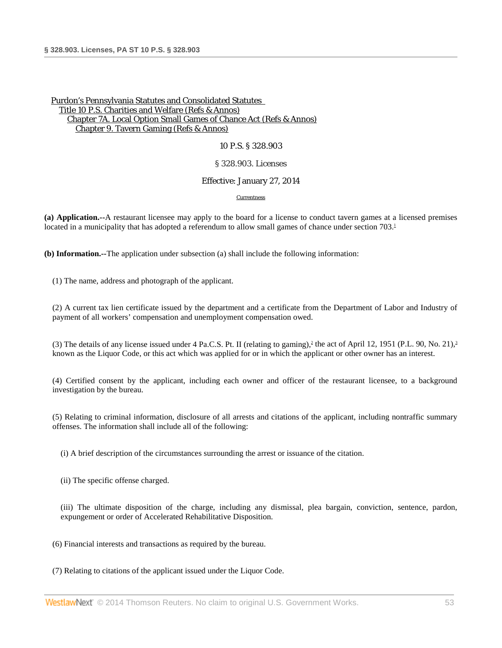#### 10 P.S. § 328.903

#### § 328.903. Licenses

#### Effective: January 27, 2014

#### <span id="page-52-2"></span><span id="page-52-1"></span><span id="page-52-0"></span>[Currentness](#page-54-0)

**(a) Application.--**A restaurant licensee may apply to the board for a license to conduct tavern games at a licensed premises located in a municipality that has adopted a referendum to allow small games of chance under section 703.<sup>1</sup>

**(b) Information.--**The application under subsection (a) shall include the following information:

(1) The name, address and photograph of the applicant.

(2) A current tax lien certificate issued by the department and a certificate from the Department of Labor and Industry of payment of all workers' compensation and unemployment compensation owed.

(3) The details of any license issued under 4 Pa.C.S. Pt. II (relating to gaming),<sup>2</sup> the act of April 12, 1951 (P.L. 90, No. 21),<sup>3</sup> known as the Liquor Code, or this act which was applied for or in which the applicant or other owner has an interest.

(4) Certified consent by the applicant, including each owner and officer of the restaurant licensee, to a background investigation by the bureau.

(5) Relating to criminal information, disclosure of all arrests and citations of the applicant, including nontraffic summary offenses. The information shall include all of the following:

(i) A brief description of the circumstances surrounding the arrest or issuance of the citation.

(ii) The specific offense charged.

(iii) The ultimate disposition of the charge, including any dismissal, plea bargain, conviction, sentence, pardon, expungement or order of Accelerated Rehabilitative Disposition.

- (6) Financial interests and transactions as required by the bureau.
- (7) Relating to citations of the applicant issued under the Liquor Code.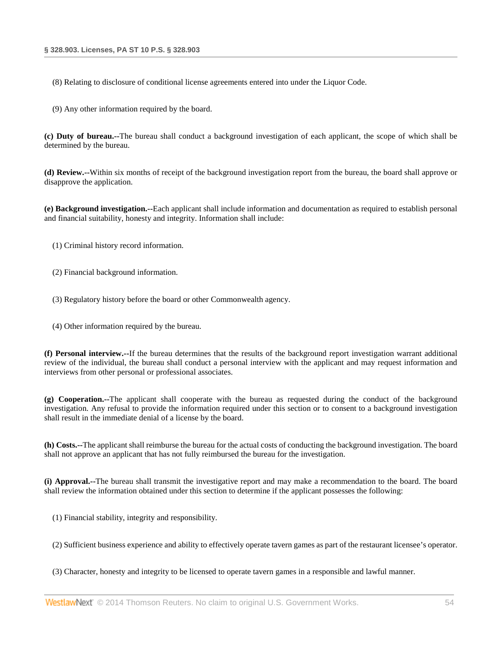(8) Relating to disclosure of conditional license agreements entered into under the Liquor Code.

(9) Any other information required by the board.

**(c) Duty of bureau.--**The bureau shall conduct a background investigation of each applicant, the scope of which shall be determined by the bureau.

**(d) Review.--**Within six months of receipt of the background investigation report from the bureau, the board shall approve or disapprove the application.

**(e) Background investigation.--**Each applicant shall include information and documentation as required to establish personal and financial suitability, honesty and integrity. Information shall include:

- (1) Criminal history record information.
- (2) Financial background information.
- (3) Regulatory history before the board or other Commonwealth agency.
- (4) Other information required by the bureau.

**(f) Personal interview.--**If the bureau determines that the results of the background report investigation warrant additional review of the individual, the bureau shall conduct a personal interview with the applicant and may request information and interviews from other personal or professional associates.

**(g) Cooperation.--**The applicant shall cooperate with the bureau as requested during the conduct of the background investigation. Any refusal to provide the information required under this section or to consent to a background investigation shall result in the immediate denial of a license by the board.

**(h) Costs.--**The applicant shall reimburse the bureau for the actual costs of conducting the background investigation. The board shall not approve an applicant that has not fully reimbursed the bureau for the investigation.

**(i) Approval.--**The bureau shall transmit the investigative report and may make a recommendation to the board. The board shall review the information obtained under this section to determine if the applicant possesses the following:

(1) Financial stability, integrity and responsibility.

(2) Sufficient business experience and ability to effectively operate tavern games as part of the restaurant licensee's operator.

(3) Character, honesty and integrity to be licensed to operate tavern games in a responsible and lawful manner.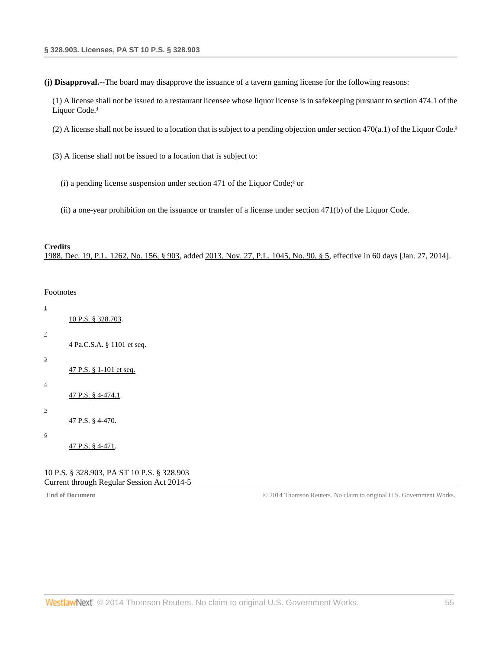**(j) Disapproval.--**The board may disapprove the issuance of a tavern gaming license for the following reasons:

<span id="page-54-7"></span>(1) A license shall not be issued to a restaurant licensee whose liquor license is in safekeeping pursuant to section 474.1 of the Liquor Code.<sup>4</sup>

<span id="page-54-8"></span>(2) A license shall not be issued to a location that is subject to a pending objection under section 470(a.1) of the Liquor Code.<sup>5</sup>

- <span id="page-54-9"></span>(3) A license shall not be issued to a location that is subject to:
	- (i) a pending license suspension under section 471 of the Liquor Code; $\frac{6}{5}$  or
	- (ii) a one-year prohibition on the issuance or transfer of a license under section 471(b) of the Liquor Code.

#### **Credits**

<span id="page-54-0"></span>[1988, Dec. 19, P.L. 1262, No. 156, § 903,](http://www.westlaw.com/Link/Document/FullText?findType=l&pubNum=1077005&cite=UUID(IDEC1AEEDA6-3943769C852-CE98C177453)&originationContext=document&vr=3.0&rs=cblt1.0&transitionType=DocumentItem&contextData=(sc.DocLink)) added [2013, Nov. 27, P.L. 1045, No. 90, § 5,](http://www.westlaw.com/Link/Document/FullText?findType=l&pubNum=1077005&cite=UUID(IE928D4A05E-6211E3AED0A-E211C77CD8A)&originationContext=document&vr=3.0&rs=cblt1.0&transitionType=DocumentItem&contextData=(sc.DocLink)) effective in 60 days [Jan. 27, 2014].

#### Footnotes

<span id="page-54-4"></span><span id="page-54-3"></span><span id="page-54-2"></span><span id="page-54-1"></span>

| $\mathbf{1}$            | 10 P.S. § 328.703.                |
|-------------------------|-----------------------------------|
| $\overline{\mathbf{c}}$ | <u>4 Pa.C.S.A. § 1101 et seq.</u> |
| 3                       | $47$ P.S. § 1-101 et seq.         |
| $\overline{4}$          | 47 P.S. § 4-474.1.                |
| 5                       | 47 P.S. § 4-470.                  |
| 6                       | 47 P.S. § 4-471.                  |
|                         |                                   |

<span id="page-54-6"></span><span id="page-54-5"></span>10 P.S. § 328.903, PA ST 10 P.S. § 328.903 Current through Regular Session Act 2014-5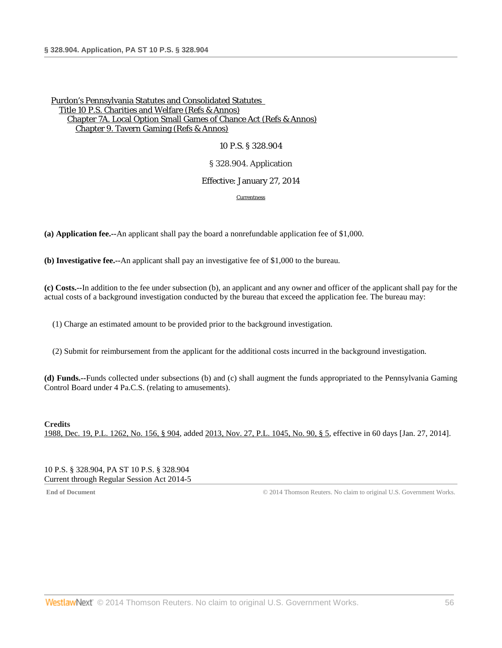10 P.S. § 328.904

### § 328.904. Application

### Effective: January 27, 2014

[Currentness](#page-55-0)

**(a) Application fee.--**An applicant shall pay the board a nonrefundable application fee of \$1,000.

**(b) Investigative fee.--**An applicant shall pay an investigative fee of \$1,000 to the bureau.

**(c) Costs.--**In addition to the fee under subsection (b), an applicant and any owner and officer of the applicant shall pay for the actual costs of a background investigation conducted by the bureau that exceed the application fee. The bureau may:

(1) Charge an estimated amount to be provided prior to the background investigation.

(2) Submit for reimbursement from the applicant for the additional costs incurred in the background investigation.

**(d) Funds.--**Funds collected under subsections (b) and (c) shall augment the funds appropriated to the Pennsylvania Gaming Control Board under 4 Pa.C.S. (relating to amusements).

# **Credits** [1988, Dec. 19, P.L. 1262, No. 156, § 904,](http://www.westlaw.com/Link/Document/FullText?findType=l&pubNum=1077005&cite=UUID(IDEC1AEEDA6-3943769C852-CE98C177453)&originationContext=document&vr=3.0&rs=cblt1.0&transitionType=DocumentItem&contextData=(sc.DocLink)) added [2013, Nov. 27, P.L. 1045, No. 90, § 5,](http://www.westlaw.com/Link/Document/FullText?findType=l&pubNum=1077005&cite=UUID(IE928D4A05E-6211E3AED0A-E211C77CD8A)&originationContext=document&vr=3.0&rs=cblt1.0&transitionType=DocumentItem&contextData=(sc.DocLink)) effective in 60 days [Jan. 27, 2014].

<span id="page-55-0"></span>10 P.S. § 328.904, PA ST 10 P.S. § 328.904 Current through Regular Session Act 2014-5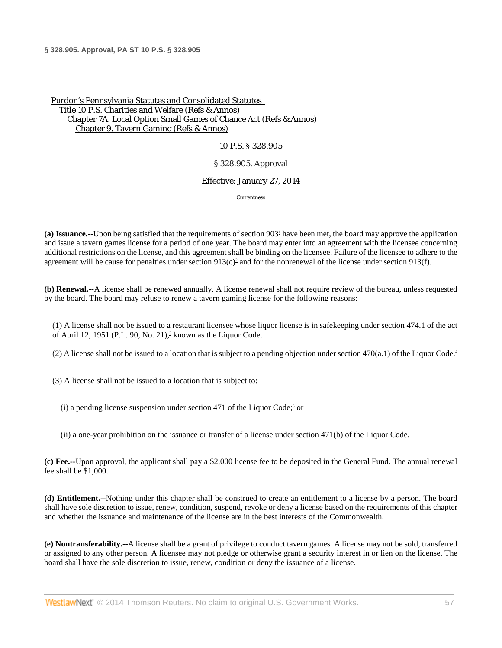#### 10 P.S. § 328.905

### § 328.905. Approval

#### Effective: January 27, 2014

<span id="page-56-4"></span><span id="page-56-3"></span><span id="page-56-1"></span><span id="page-56-0"></span>**[Currentness](#page-57-0)** 

(a) Issuance.--Upon being satisfied that the requirements of section 903<sup>1</sup> have been met, the board may approve the application and issue a tavern games license for a period of one year. The board may enter into an agreement with the licensee concerning additional restrictions on the license, and this agreement shall be binding on the licensee. Failure of the licensee to adhere to the agreement will be cause for penalties under section  $913(c)^2$  and for the nonrenewal of the license under section 913(f).

**(b) Renewal.--**A license shall be renewed annually. A license renewal shall not require review of the bureau, unless requested by the board. The board may refuse to renew a tavern gaming license for the following reasons:

<span id="page-56-2"></span>(1) A license shall not be issued to a restaurant licensee whose liquor license is in safekeeping under section 474.1 of the act of April 12, 1951 (P.L. 90, No. 21), $\frac{3}{2}$  known as the Liquor Code.

(2) A license shall not be issued to a location that is subject to a pending objection under section 470(a.1) of the Liquor Code.<sup>4</sup>

(3) A license shall not be issued to a location that is subject to:

(i) a pending license suspension under section 471 of the Liquor Code;<sup>5</sup> or

(ii) a one-year prohibition on the issuance or transfer of a license under section 471(b) of the Liquor Code.

**(c) Fee.--**Upon approval, the applicant shall pay a \$2,000 license fee to be deposited in the General Fund. The annual renewal fee shall be \$1,000.

**(d) Entitlement.--**Nothing under this chapter shall be construed to create an entitlement to a license by a person. The board shall have sole discretion to issue, renew, condition, suspend, revoke or deny a license based on the requirements of this chapter and whether the issuance and maintenance of the license are in the best interests of the Commonwealth.

**(e) Nontransferability.--**A license shall be a grant of privilege to conduct tavern games. A license may not be sold, transferred or assigned to any other person. A licensee may not pledge or otherwise grant a security interest in or lien on the license. The board shall have the sole discretion to issue, renew, condition or deny the issuance of a license.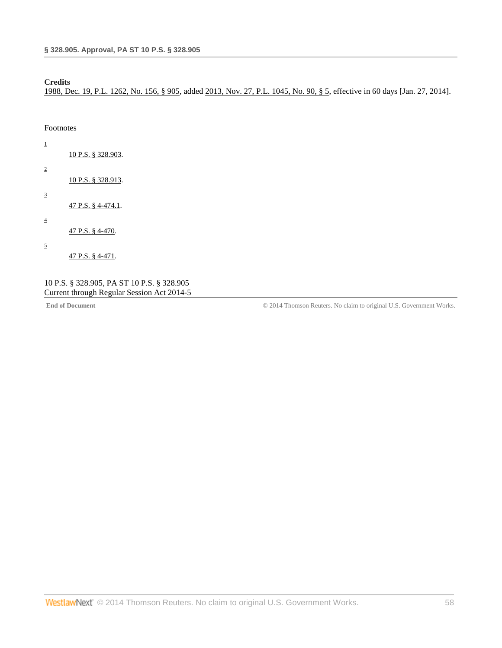# **Credits**

[1988, Dec. 19, P.L. 1262, No. 156, § 905,](http://www.westlaw.com/Link/Document/FullText?findType=l&pubNum=1077005&cite=UUID(IDEC1AEEDA6-3943769C852-CE98C177453)&originationContext=document&vr=3.0&rs=cblt1.0&transitionType=DocumentItem&contextData=(sc.DocLink)) added [2013, Nov. 27, P.L. 1045, No. 90, § 5,](http://www.westlaw.com/Link/Document/FullText?findType=l&pubNum=1077005&cite=UUID(IE928D4A05E-6211E3AED0A-E211C77CD8A)&originationContext=document&vr=3.0&rs=cblt1.0&transitionType=DocumentItem&contextData=(sc.DocLink)) effective in 60 days [Jan. 27, 2014].

<span id="page-57-0"></span>Footnotes

[10 P.S. § 328.903.](http://www.westlaw.com/Link/Document/FullText?findType=L&pubNum=1000262&cite=PS10S328.903&originatingDoc=NABCEBFF078A411E39A2CC05362BC169A&refType=LQ&originationContext=document&vr=3.0&rs=cblt1.0&transitionType=DocumentItem&contextData=(sc.DocLink))

[10 P.S. § 328.913.](http://www.westlaw.com/Link/Document/FullText?findType=L&pubNum=1000262&cite=PS10S328.913&originatingDoc=NABCEBFF078A411E39A2CC05362BC169A&refType=LQ&originationContext=document&vr=3.0&rs=cblt1.0&transitionType=DocumentItem&contextData=(sc.DocLink))

<span id="page-57-3"></span>[3](#page-56-2)

<span id="page-57-1"></span>[1](#page-56-0)

<span id="page-57-2"></span>[2](#page-56-1)

[47 P.S. § 4-474.1.](http://www.westlaw.com/Link/Document/FullText?findType=L&pubNum=1000262&cite=PS47S4-474.1&originatingDoc=NABCEBFF078A411E39A2CC05362BC169A&refType=LQ&originationContext=document&vr=3.0&rs=cblt1.0&transitionType=DocumentItem&contextData=(sc.DocLink))

<span id="page-57-4"></span>[4](#page-56-3)

[47 P.S. § 4-470.](http://www.westlaw.com/Link/Document/FullText?findType=L&pubNum=1000262&cite=PS47S4-470&originatingDoc=NABCEBFF078A411E39A2CC05362BC169A&refType=LQ&originationContext=document&vr=3.0&rs=cblt1.0&transitionType=DocumentItem&contextData=(sc.DocLink))

<span id="page-57-5"></span>[5](#page-56-4)

[47 P.S. § 4-471.](http://www.westlaw.com/Link/Document/FullText?findType=L&pubNum=1000262&cite=PS47S4-471&originatingDoc=NABCEBFF078A411E39A2CC05362BC169A&refType=LQ&originationContext=document&vr=3.0&rs=cblt1.0&transitionType=DocumentItem&contextData=(sc.DocLink))

# 10 P.S. § 328.905, PA ST 10 P.S. § 328.905 Current through Regular Session Act 2014-5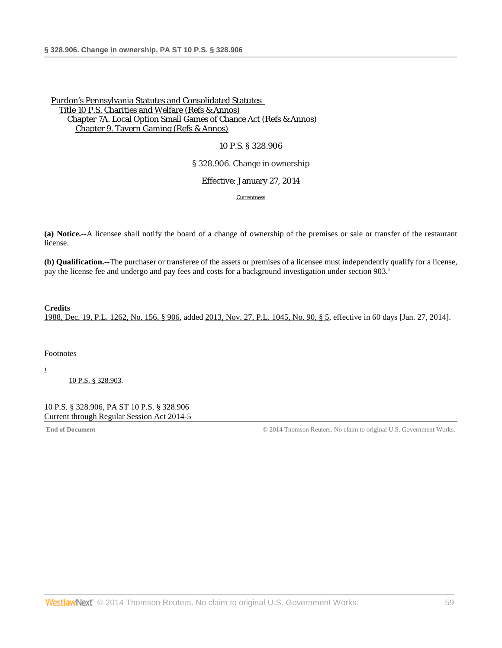### 10 P.S. § 328.906

## § 328.906. Change in ownership

Effective: January 27, 2014

<span id="page-58-2"></span>**[Currentness](#page-58-0)** 

**(a) Notice.--**A licensee shall notify the board of a change of ownership of the premises or sale or transfer of the restaurant license.

**(b) Qualification.--**The purchaser or transferee of the assets or premises of a licensee must independently qualify for a license, pay the license fee and undergo and pay fees and costs for a background investigation under section 903[.1](#page-58-1)

### **Credits**

[1988, Dec. 19, P.L. 1262, No. 156, § 906,](http://www.westlaw.com/Link/Document/FullText?findType=l&pubNum=1077005&cite=UUID(IDEC1AEEDA6-3943769C852-CE98C177453)&originationContext=document&vr=3.0&rs=cblt1.0&transitionType=DocumentItem&contextData=(sc.DocLink)) added [2013, Nov. 27, P.L. 1045, No. 90, § 5,](http://www.westlaw.com/Link/Document/FullText?findType=l&pubNum=1077005&cite=UUID(IE928D4A05E-6211E3AED0A-E211C77CD8A)&originationContext=document&vr=3.0&rs=cblt1.0&transitionType=DocumentItem&contextData=(sc.DocLink)) effective in 60 days [Jan. 27, 2014].

<span id="page-58-0"></span>Footnotes

<span id="page-58-1"></span>[1](#page-58-2)

[10 P.S. § 328.903.](http://www.westlaw.com/Link/Document/FullText?findType=L&pubNum=1000262&cite=PS10S328.903&originatingDoc=NA89A970078A411E39A2CC05362BC169A&refType=LQ&originationContext=document&vr=3.0&rs=cblt1.0&transitionType=DocumentItem&contextData=(sc.DocLink))

10 P.S. § 328.906, PA ST 10 P.S. § 328.906 Current through Regular Session Act 2014-5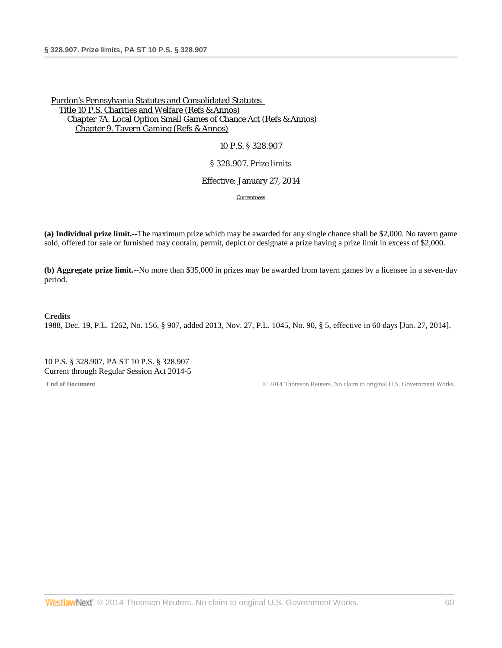10 P.S. § 328.907

### § 328.907. Prize limits

### Effective: January 27, 2014

**[Currentness](#page-59-0)** 

**(a) Individual prize limit.--**The maximum prize which may be awarded for any single chance shall be \$2,000. No tavern game sold, offered for sale or furnished may contain, permit, depict or designate a prize having a prize limit in excess of \$2,000.

**(b) Aggregate prize limit.--**No more than \$35,000 in prizes may be awarded from tavern games by a licensee in a seven-day period.

# **Credits** [1988, Dec. 19, P.L. 1262, No. 156, § 907,](http://www.westlaw.com/Link/Document/FullText?findType=l&pubNum=1077005&cite=UUID(IDEC1AEEDA6-3943769C852-CE98C177453)&originationContext=document&vr=3.0&rs=cblt1.0&transitionType=DocumentItem&contextData=(sc.DocLink)) added [2013, Nov. 27, P.L. 1045, No. 90, § 5,](http://www.westlaw.com/Link/Document/FullText?findType=l&pubNum=1077005&cite=UUID(IE928D4A05E-6211E3AED0A-E211C77CD8A)&originationContext=document&vr=3.0&rs=cblt1.0&transitionType=DocumentItem&contextData=(sc.DocLink)) effective in 60 days [Jan. 27, 2014].

<span id="page-59-0"></span>10 P.S. § 328.907, PA ST 10 P.S. § 328.907 Current through Regular Session Act 2014-5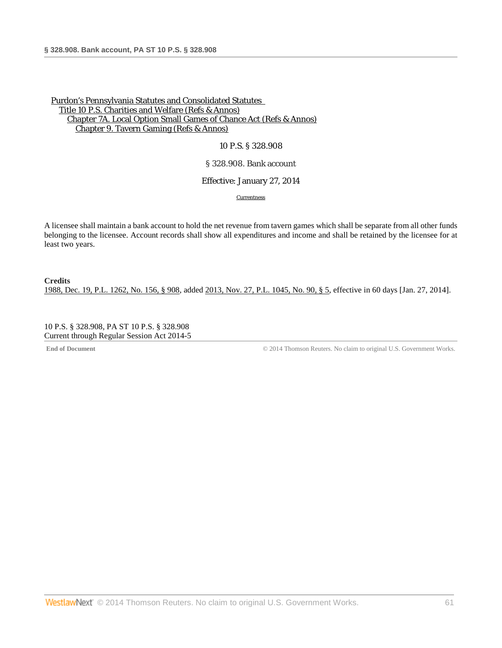### 10 P.S. § 328.908

### § 328.908. Bank account

#### Effective: January 27, 2014

**[Currentness](#page-60-0)** 

A licensee shall maintain a bank account to hold the net revenue from tavern games which shall be separate from all other funds belonging to the licensee. Account records shall show all expenditures and income and shall be retained by the licensee for at least two years.

# **Credits** [1988, Dec. 19, P.L. 1262, No. 156, § 908,](http://www.westlaw.com/Link/Document/FullText?findType=l&pubNum=1077005&cite=UUID(IDEC1AEEDA6-3943769C852-CE98C177453)&originationContext=document&vr=3.0&rs=cblt1.0&transitionType=DocumentItem&contextData=(sc.DocLink)) added [2013, Nov. 27, P.L. 1045, No. 90, § 5,](http://www.westlaw.com/Link/Document/FullText?findType=l&pubNum=1077005&cite=UUID(IE928D4A05E-6211E3AED0A-E211C77CD8A)&originationContext=document&vr=3.0&rs=cblt1.0&transitionType=DocumentItem&contextData=(sc.DocLink)) effective in 60 days [Jan. 27, 2014].

<span id="page-60-0"></span>10 P.S. § 328.908, PA ST 10 P.S. § 328.908 Current through Regular Session Act 2014-5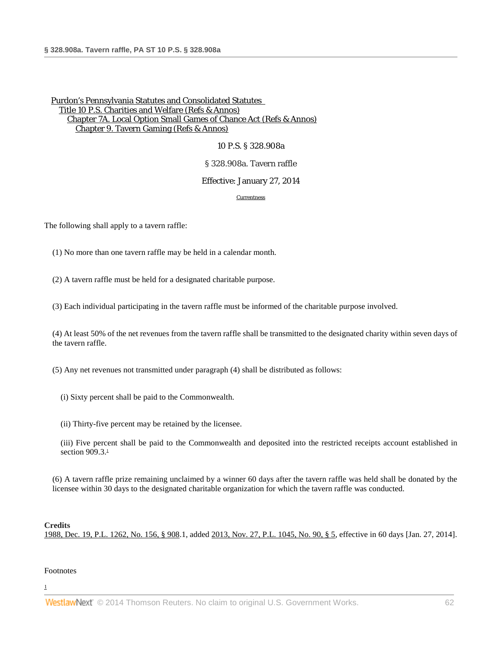10 P.S. § 328.908a

### § 328.908a. Tavern raffle

### Effective: January 27, 2014

#### [Currentness](#page-61-0)

The following shall apply to a tavern raffle:

(1) No more than one tavern raffle may be held in a calendar month.

(2) A tavern raffle must be held for a designated charitable purpose.

(3) Each individual participating in the tavern raffle must be informed of the charitable purpose involved.

(4) At least 50% of the net revenues from the tavern raffle shall be transmitted to the designated charity within seven days of the tavern raffle.

(5) Any net revenues not transmitted under paragraph (4) shall be distributed as follows:

- (i) Sixty percent shall be paid to the Commonwealth.
- (ii) Thirty-five percent may be retained by the licensee.

<span id="page-61-2"></span>(iii) Five percent shall be paid to the Commonwealth and deposited into the restricted receipts account established in section  $909.3<sup>1</sup>$ 

(6) A tavern raffle prize remaining unclaimed by a winner 60 days after the tavern raffle was held shall be donated by the licensee within 30 days to the designated charitable organization for which the tavern raffle was conducted.

### **Credits**

<span id="page-61-0"></span>[1988, Dec. 19, P.L. 1262, No. 156, § 908.](http://www.westlaw.com/Link/Document/FullText?findType=l&pubNum=1077005&cite=UUID(IDEC1AEEDA6-3943769C852-CE98C177453)&originationContext=document&vr=3.0&rs=cblt1.0&transitionType=DocumentItem&contextData=(sc.DocLink))1, added [2013, Nov. 27, P.L. 1045, No. 90, § 5,](http://www.westlaw.com/Link/Document/FullText?findType=l&pubNum=1077005&cite=UUID(IE928D4A05E-6211E3AED0A-E211C77CD8A)&originationContext=document&vr=3.0&rs=cblt1.0&transitionType=DocumentItem&contextData=(sc.DocLink)) effective in 60 days [Jan. 27, 2014].

### Footnotes

<span id="page-61-1"></span>[1](#page-61-2)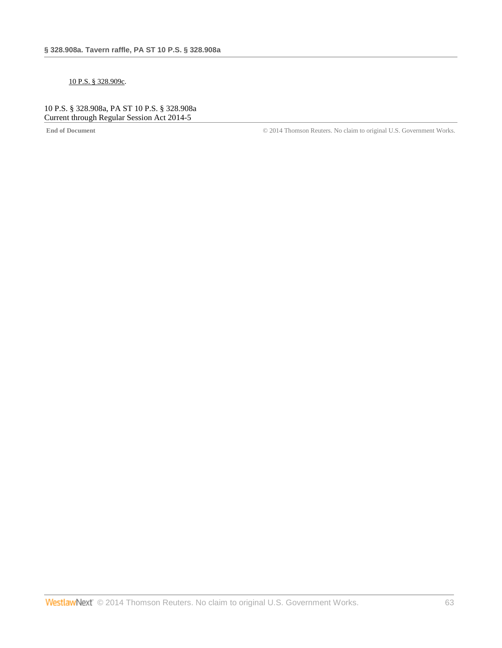### [10 P.S. § 328.909c.](http://www.westlaw.com/Link/Document/FullText?findType=L&pubNum=1000262&cite=PS10S328.909C&originatingDoc=NAA58C1C078A411E39350AFA630FAB3FA&refType=LQ&originationContext=document&vr=3.0&rs=cblt1.0&transitionType=DocumentItem&contextData=(sc.DocLink))

# 10 P.S. § 328.908a, PA ST 10 P.S. § 328.908a Current through Regular Session Act 2014-5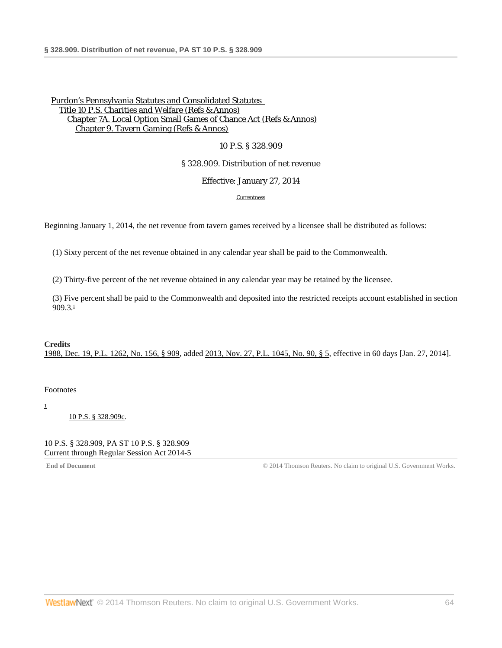### 10 P.S. § 328.909

### § 328.909. Distribution of net revenue

### Effective: January 27, 2014

#### **[Currentness](#page-63-0)**

Beginning January 1, 2014, the net revenue from tavern games received by a licensee shall be distributed as follows:

(1) Sixty percent of the net revenue obtained in any calendar year shall be paid to the Commonwealth.

(2) Thirty-five percent of the net revenue obtained in any calendar year may be retained by the licensee.

<span id="page-63-2"></span>(3) Five percent shall be paid to the Commonwealth and deposited into the restricted receipts account established in section  $909.3<sup>1</sup>$ 

#### **Credits** [1988, Dec. 19, P.L. 1262, No. 156, § 909,](http://www.westlaw.com/Link/Document/FullText?findType=l&pubNum=1077005&cite=UUID(IDEC1AEEDA6-3943769C852-CE98C177453)&originationContext=document&vr=3.0&rs=cblt1.0&transitionType=DocumentItem&contextData=(sc.DocLink)) added [2013, Nov. 27, P.L. 1045, No. 90, § 5,](http://www.westlaw.com/Link/Document/FullText?findType=l&pubNum=1077005&cite=UUID(IE928D4A05E-6211E3AED0A-E211C77CD8A)&originationContext=document&vr=3.0&rs=cblt1.0&transitionType=DocumentItem&contextData=(sc.DocLink)) effective in 60 days [Jan. 27, 2014].

### <span id="page-63-0"></span>Footnotes

<span id="page-63-1"></span>[1](#page-63-2)

[10 P.S. § 328.909c.](http://www.westlaw.com/Link/Document/FullText?findType=L&pubNum=1000262&cite=PS10S328.909C&originatingDoc=NAB49FF9078A411E3B3A7BFBD80104F8A&refType=LQ&originationContext=document&vr=3.0&rs=cblt1.0&transitionType=DocumentItem&contextData=(sc.DocLink))

### 10 P.S. § 328.909, PA ST 10 P.S. § 328.909 Current through Regular Session Act 2014-5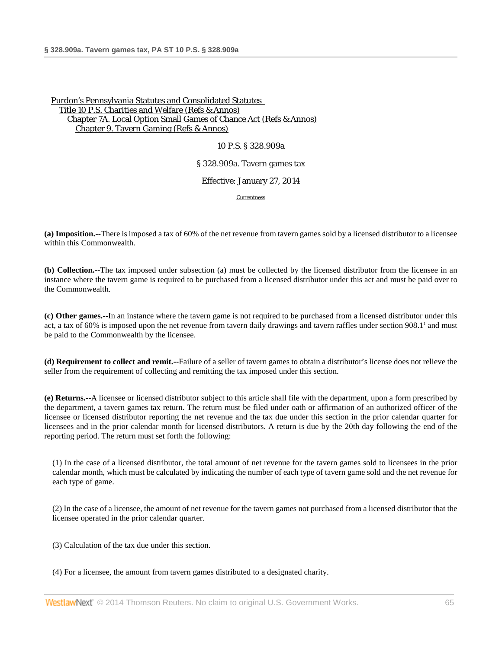#### 10 P.S. § 328.909a

#### § 328.909a. Tavern games tax

### Effective: January 27, 2014

<span id="page-64-0"></span>**[Currentness](#page-65-0)** 

**(a) Imposition.--**There is imposed a tax of 60% of the net revenue from tavern games sold by a licensed distributor to a licensee within this Commonwealth.

**(b) Collection.--**The tax imposed under subsection (a) must be collected by the licensed distributor from the licensee in an instance where the tavern game is required to be purchased from a licensed distributor under this act and must be paid over to the Commonwealth.

**(c) Other games.--**In an instance where the tavern game is not required to be purchased from a licensed distributor under this act, a tax of 60% is imposed upon the net revenue from tavern daily drawings and tavern raffles under section 908.[11](#page-65-1) and must be paid to the Commonwealth by the licensee.

**(d) Requirement to collect and remit.--**Failure of a seller of tavern games to obtain a distributor's license does not relieve the seller from the requirement of collecting and remitting the tax imposed under this section.

**(e) Returns.--**A licensee or licensed distributor subject to this article shall file with the department, upon a form prescribed by the department, a tavern games tax return. The return must be filed under oath or affirmation of an authorized officer of the licensee or licensed distributor reporting the net revenue and the tax due under this section in the prior calendar quarter for licensees and in the prior calendar month for licensed distributors. A return is due by the 20th day following the end of the reporting period. The return must set forth the following:

(1) In the case of a licensed distributor, the total amount of net revenue for the tavern games sold to licensees in the prior calendar month, which must be calculated by indicating the number of each type of tavern game sold and the net revenue for each type of game.

(2) In the case of a licensee, the amount of net revenue for the tavern games not purchased from a licensed distributor that the licensee operated in the prior calendar quarter.

(3) Calculation of the tax due under this section.

(4) For a licensee, the amount from tavern games distributed to a designated charity.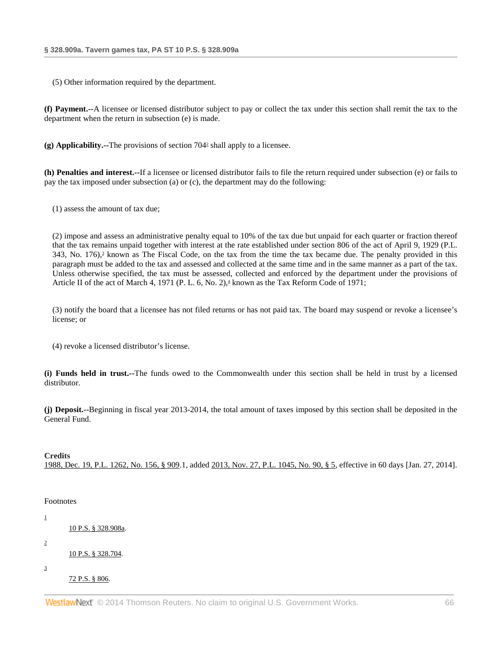(5) Other information required by the department.

**(f) Payment.--**A licensee or licensed distributor subject to pay or collect the tax under this section shall remit the tax to the department when the return in subsection (e) is made.

<span id="page-65-4"></span>**(g) Applicability.--**The provisions of section 70[42](#page-65-2) shall apply to a licensee.

**(h) Penalties and interest.--**If a licensee or licensed distributor fails to file the return required under subsection (e) or fails to pay the tax imposed under subsection (a) or (c), the department may do the following:

(1) assess the amount of tax due;

<span id="page-65-5"></span>(2) impose and assess an administrative penalty equal to 10% of the tax due but unpaid for each quarter or fraction thereof that the tax remains unpaid together with interest at the rate established under section 806 of the act of April 9, 1929 (P.L. 343, No. 176), $\frac{3}{2}$  known as The Fiscal Code, on the tax from the time the tax became due. The penalty provided in this paragraph must be added to the tax and assessed and collected at the same time and in the same manner as a part of the tax. Unless otherwise specified, the tax must be assessed, collected and enforced by the department under the provisions of Article II of the act of March 4, 1971 (P. L. 6, No. 2),<sup>4</sup> known as the Tax Reform Code of 1971;

<span id="page-65-6"></span>(3) notify the board that a licensee has not filed returns or has not paid tax. The board may suspend or revoke a licensee's license; or

(4) revoke a licensed distributor's license.

**(i) Funds held in trust.--**The funds owed to the Commonwealth under this section shall be held in trust by a licensed distributor.

**(j) Deposit.--**Beginning in fiscal year 2013-2014, the total amount of taxes imposed by this section shall be deposited in the General Fund.

### **Credits**

<span id="page-65-0"></span>[1988, Dec. 19, P.L. 1262, No. 156, § 909.](http://www.westlaw.com/Link/Document/FullText?findType=l&pubNum=1077005&cite=UUID(IDEC1AEEDA6-3943769C852-CE98C177453)&originationContext=document&vr=3.0&rs=cblt1.0&transitionType=DocumentItem&contextData=(sc.DocLink))1, added [2013, Nov. 27, P.L. 1045, No. 90, § 5,](http://www.westlaw.com/Link/Document/FullText?findType=l&pubNum=1077005&cite=UUID(IE928D4A05E-6211E3AED0A-E211C77CD8A)&originationContext=document&vr=3.0&rs=cblt1.0&transitionType=DocumentItem&contextData=(sc.DocLink)) effective in 60 days [Jan. 27, 2014].

### Footnotes

<span id="page-65-3"></span><span id="page-65-2"></span><span id="page-65-1"></span>[1](#page-64-0) [10 P.S. § 328.908a.](http://www.westlaw.com/Link/Document/FullText?findType=L&pubNum=1000262&cite=PS10S328.908A&originatingDoc=NA535730078A411E3B3A7BFBD80104F8A&refType=LQ&originationContext=document&vr=3.0&rs=cblt1.0&transitionType=DocumentItem&contextData=(sc.DocLink)) [2](#page-65-4) [10 P.S. § 328.704.](http://www.westlaw.com/Link/Document/FullText?findType=L&pubNum=1000262&cite=PS10S328.704&originatingDoc=NA535730078A411E3B3A7BFBD80104F8A&refType=LQ&originationContext=document&vr=3.0&rs=cblt1.0&transitionType=DocumentItem&contextData=(sc.DocLink)) [3](#page-65-5) [72 P.S. § 806.](http://www.westlaw.com/Link/Document/FullText?findType=L&pubNum=1000262&cite=PS72S806&originatingDoc=NA535730078A411E3B3A7BFBD80104F8A&refType=LQ&originationContext=document&vr=3.0&rs=cblt1.0&transitionType=DocumentItem&contextData=(sc.DocLink))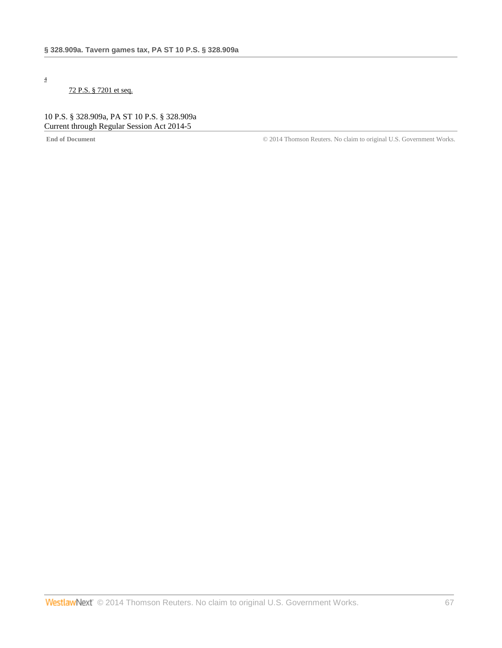<span id="page-66-0"></span>[4](#page-65-6)

# [72 P.S. § 7201 et seq.](http://www.westlaw.com/Link/Document/FullText?findType=L&pubNum=1000262&cite=PS72S7201&originatingDoc=NA535730078A411E3B3A7BFBD80104F8A&refType=LQ&originationContext=document&vr=3.0&rs=cblt1.0&transitionType=DocumentItem&contextData=(sc.DocLink))

10 P.S. § 328.909a, PA ST 10 P.S. § 328.909a Current through Regular Session Act 2014-5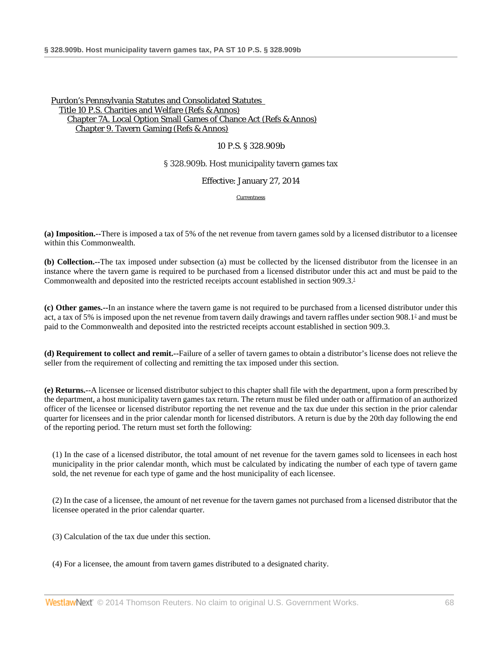## 10 P.S. § 328.909b

### § 328.909b. Host municipality tavern games tax

### Effective: January 27, 2014

<span id="page-67-1"></span><span id="page-67-0"></span>**[Currentness](#page-68-0)** 

**(a) Imposition.--**There is imposed a tax of 5% of the net revenue from tavern games sold by a licensed distributor to a licensee within this Commonwealth.

**(b) Collection.--**The tax imposed under subsection (a) must be collected by the licensed distributor from the licensee in an instance where the tavern game is required to be purchased from a licensed distributor under this act and must be paid to the Commonwealth and deposited into the restricted receipts account established in section 909.3.<sup>1</sup>

**(c) Other games.--**In an instance where the tavern game is not required to be purchased from a licensed distributor under this act, a tax of 5% is imposed upon the net revenue from tavern daily drawings and tavern raffles under section 908.[12](#page-68-2) and must be paid to the Commonwealth and deposited into the restricted receipts account established in section 909.3.

**(d) Requirement to collect and remit.--**Failure of a seller of tavern games to obtain a distributor's license does not relieve the seller from the requirement of collecting and remitting the tax imposed under this section.

**(e) Returns.--**A licensee or licensed distributor subject to this chapter shall file with the department, upon a form prescribed by the department, a host municipality tavern games tax return. The return must be filed under oath or affirmation of an authorized officer of the licensee or licensed distributor reporting the net revenue and the tax due under this section in the prior calendar quarter for licensees and in the prior calendar month for licensed distributors. A return is due by the 20th day following the end of the reporting period. The return must set forth the following:

(1) In the case of a licensed distributor, the total amount of net revenue for the tavern games sold to licensees in each host municipality in the prior calendar month, which must be calculated by indicating the number of each type of tavern game sold, the net revenue for each type of game and the host municipality of each licensee.

(2) In the case of a licensee, the amount of net revenue for the tavern games not purchased from a licensed distributor that the licensee operated in the prior calendar quarter.

- (3) Calculation of the tax due under this section.
- (4) For a licensee, the amount from tavern games distributed to a designated charity.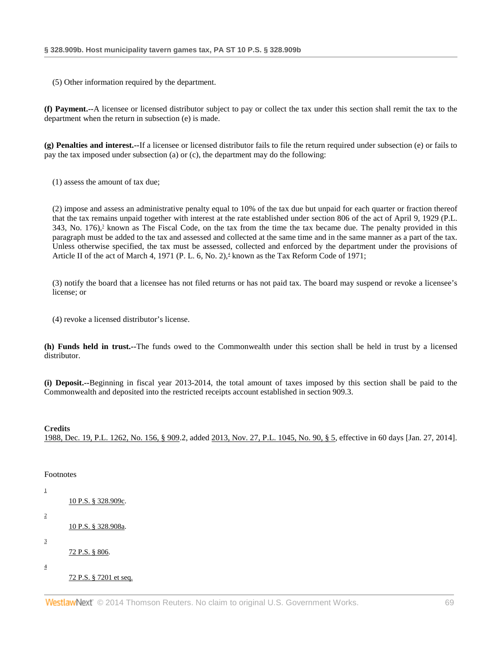(5) Other information required by the department.

**(f) Payment.--**A licensee or licensed distributor subject to pay or collect the tax under this section shall remit the tax to the department when the return in subsection (e) is made.

**(g) Penalties and interest.--**If a licensee or licensed distributor fails to file the return required under subsection (e) or fails to pay the tax imposed under subsection (a) or (c), the department may do the following:

(1) assess the amount of tax due;

<span id="page-68-5"></span>(2) impose and assess an administrative penalty equal to 10% of the tax due but unpaid for each quarter or fraction thereof that the tax remains unpaid together with interest at the rate established under section 806 of the act of April 9, 1929 (P.L. 343, No. 176), $\frac{3}{2}$  known as The Fiscal Code, on the tax from the time the tax became due. The penalty provided in this paragraph must be added to the tax and assessed and collected at the same time and in the same manner as a part of the tax. Unless otherwise specified, the tax must be assessed, collected and enforced by the department under the provisions of Article II of the act of March 4, 1971 (P. L. 6, No. 2), $\pm$  known as the Tax Reform Code of 1971;

<span id="page-68-6"></span>(3) notify the board that a licensee has not filed returns or has not paid tax. The board may suspend or revoke a licensee's license; or

(4) revoke a licensed distributor's license.

**(h) Funds held in trust.--**The funds owed to the Commonwealth under this section shall be held in trust by a licensed distributor.

**(i) Deposit.--**Beginning in fiscal year 2013-2014, the total amount of taxes imposed by this section shall be paid to the Commonwealth and deposited into the restricted receipts account established in section 909.3.

**Credits**

<span id="page-68-0"></span>[1988, Dec. 19, P.L. 1262, No. 156, § 909.](http://www.westlaw.com/Link/Document/FullText?findType=l&pubNum=1077005&cite=UUID(IDEC1AEEDA6-3943769C852-CE98C177453)&originationContext=document&vr=3.0&rs=cblt1.0&transitionType=DocumentItem&contextData=(sc.DocLink))2, added [2013, Nov. 27, P.L. 1045, No. 90, § 5,](http://www.westlaw.com/Link/Document/FullText?findType=l&pubNum=1077005&cite=UUID(IE928D4A05E-6211E3AED0A-E211C77CD8A)&originationContext=document&vr=3.0&rs=cblt1.0&transitionType=DocumentItem&contextData=(sc.DocLink)) effective in 60 days [Jan. 27, 2014].

#### Footnotes

<span id="page-68-4"></span><span id="page-68-3"></span><span id="page-68-2"></span><span id="page-68-1"></span>

| 1                       | <u>10 P.S. § 328.909c.</u> |
|-------------------------|----------------------------|
| $\overline{\mathbf{c}}$ |                            |
|                         | 10 P.S. § 328.908a.        |
| 3                       |                            |
|                         | 72 P.S. § 806.             |
| 4                       | 72 P.S. § 7201 et seq.     |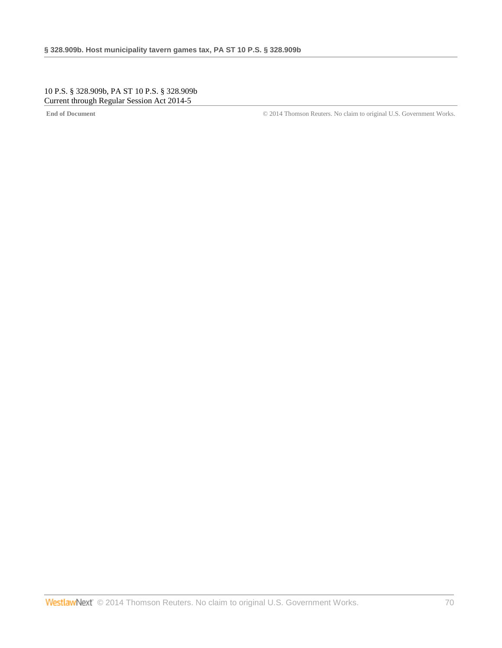10 P.S. § 328.909b, PA ST 10 P.S. § 328.909b Current through Regular Session Act 2014-5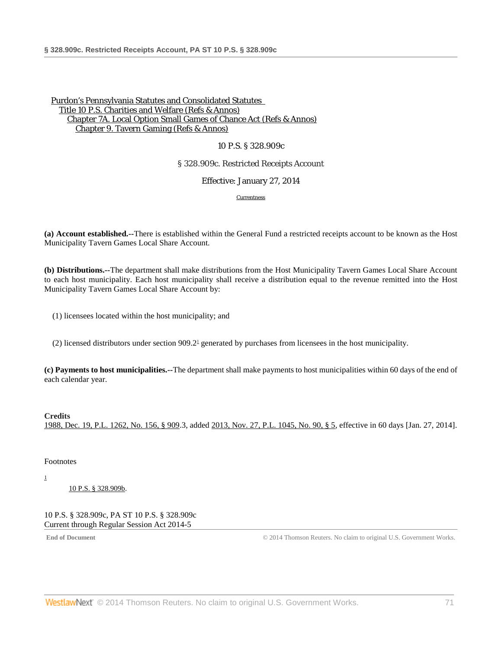### 10 P.S. § 328.909c

### § 328.909c. Restricted Receipts Account

Effective: January 27, 2014

<span id="page-70-2"></span>[Currentness](#page-70-0)

**(a) Account established.--**There is established within the General Fund a restricted receipts account to be known as the Host Municipality Tavern Games Local Share Account.

**(b) Distributions.--**The department shall make distributions from the Host Municipality Tavern Games Local Share Account to each host municipality. Each host municipality shall receive a distribution equal to the revenue remitted into the Host Municipality Tavern Games Local Share Account by:

(1) licensees located within the host municipality; and

(2) licensed distributors under section  $909.2<sup>1</sup>$  generated by purchases from licensees in the host municipality.

**(c) Payments to host municipalities.--**The department shall make payments to host municipalities within 60 days of the end of each calendar year.

### **Credits**

[1988, Dec. 19, P.L. 1262, No. 156, § 909.](http://www.westlaw.com/Link/Document/FullText?findType=l&pubNum=1077005&cite=UUID(IDEC1AEEDA6-3943769C852-CE98C177453)&originationContext=document&vr=3.0&rs=cblt1.0&transitionType=DocumentItem&contextData=(sc.DocLink))3, added [2013, Nov. 27, P.L. 1045, No. 90, § 5,](http://www.westlaw.com/Link/Document/FullText?findType=l&pubNum=1077005&cite=UUID(IE928D4A05E-6211E3AED0A-E211C77CD8A)&originationContext=document&vr=3.0&rs=cblt1.0&transitionType=DocumentItem&contextData=(sc.DocLink)) effective in 60 days [Jan. 27, 2014].

<span id="page-70-0"></span>Footnotes

<span id="page-70-1"></span>[1](#page-70-2)

[10 P.S. § 328.909b.](http://www.westlaw.com/Link/Document/FullText?findType=L&pubNum=1000262&cite=PS10S328.909B&originatingDoc=NAA87C10078A411E3B3A7BFBD80104F8A&refType=LQ&originationContext=document&vr=3.0&rs=cblt1.0&transitionType=DocumentItem&contextData=(sc.DocLink))

10 P.S. § 328.909c, PA ST 10 P.S. § 328.909c Current through Regular Session Act 2014-5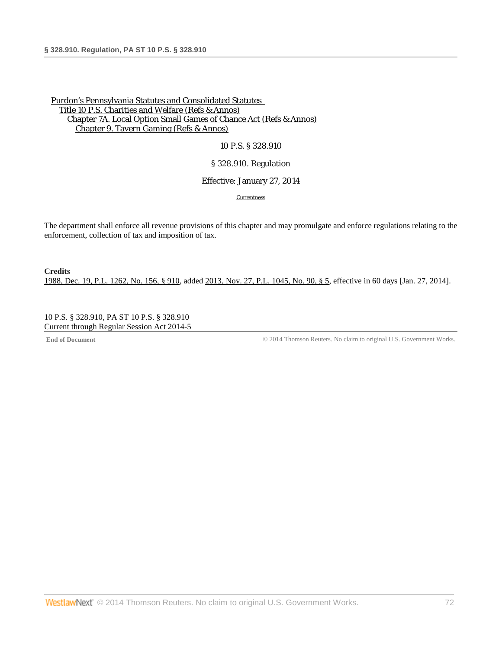### 10 P.S. § 328.910

## § 328.910. Regulation

### Effective: January 27, 2014

**[Currentness](#page-71-0)** 

The department shall enforce all revenue provisions of this chapter and may promulgate and enforce regulations relating to the enforcement, collection of tax and imposition of tax.

**Credits** [1988, Dec. 19, P.L. 1262, No. 156, § 910,](http://www.westlaw.com/Link/Document/FullText?findType=l&pubNum=1077005&cite=UUID(IDEC1AEEDA6-3943769C852-CE98C177453)&originationContext=document&vr=3.0&rs=cblt1.0&transitionType=DocumentItem&contextData=(sc.DocLink)) added [2013, Nov. 27, P.L. 1045, No. 90, § 5,](http://www.westlaw.com/Link/Document/FullText?findType=l&pubNum=1077005&cite=UUID(IE928D4A05E-6211E3AED0A-E211C77CD8A)&originationContext=document&vr=3.0&rs=cblt1.0&transitionType=DocumentItem&contextData=(sc.DocLink)) effective in 60 days [Jan. 27, 2014].

<span id="page-71-0"></span>10 P.S. § 328.910, PA ST 10 P.S. § 328.910 Current through Regular Session Act 2014-5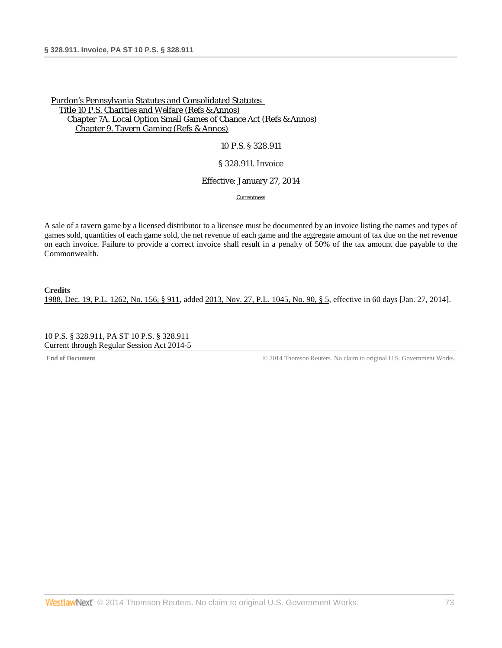10 P.S. § 328.911

## § 328.911. Invoice

# Effective: January 27, 2014

**[Currentness](#page-72-0)** 

A sale of a tavern game by a licensed distributor to a licensee must be documented by an invoice listing the names and types of games sold, quantities of each game sold, the net revenue of each game and the aggregate amount of tax due on the net revenue on each invoice. Failure to provide a correct invoice shall result in a penalty of 50% of the tax amount due payable to the Commonwealth.

**Credits** [1988, Dec. 19, P.L. 1262, No. 156, § 911,](http://www.westlaw.com/Link/Document/FullText?findType=l&pubNum=1077005&cite=UUID(IDEC1AEEDA6-3943769C852-CE98C177453)&originationContext=document&vr=3.0&rs=cblt1.0&transitionType=DocumentItem&contextData=(sc.DocLink)) added [2013, Nov. 27, P.L. 1045, No. 90, § 5,](http://www.westlaw.com/Link/Document/FullText?findType=l&pubNum=1077005&cite=UUID(IE928D4A05E-6211E3AED0A-E211C77CD8A)&originationContext=document&vr=3.0&rs=cblt1.0&transitionType=DocumentItem&contextData=(sc.DocLink)) effective in 60 days [Jan. 27, 2014].

<span id="page-72-0"></span>10 P.S. § 328.911, PA ST 10 P.S. § 328.911 Current through Regular Session Act 2014-5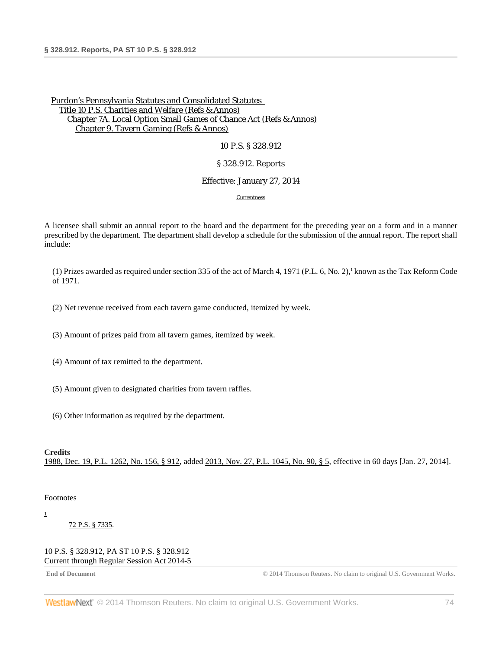#### 10 P.S. § 328.912

#### § 328.912. Reports

#### Effective: January 27, 2014

<span id="page-73-2"></span>[Currentness](#page-73-0)

A licensee shall submit an annual report to the board and the department for the preceding year on a form and in a manner prescribed by the department. The department shall develop a schedule for the submission of the annual report. The report shall include:

(1) Prizes awarded as required under section 335 of the act of March 4, 1971 (P.L. 6, No. 2), known as the Tax Reform Code of 1971.

(2) Net revenue received from each tavern game conducted, itemized by week.

(3) Amount of prizes paid from all tavern games, itemized by week.

(4) Amount of tax remitted to the department.

(5) Amount given to designated charities from tavern raffles.

(6) Other information as required by the department.

#### **Credits**

<span id="page-73-0"></span>[1988, Dec. 19, P.L. 1262, No. 156, § 912,](http://www.westlaw.com/Link/Document/FullText?findType=l&pubNum=1077005&cite=UUID(IDEC1AEEDA6-3943769C852-CE98C177453)&originationContext=document&vr=3.0&rs=cblt1.0&transitionType=DocumentItem&contextData=(sc.DocLink)) added [2013, Nov. 27, P.L. 1045, No. 90, § 5,](http://www.westlaw.com/Link/Document/FullText?findType=l&pubNum=1077005&cite=UUID(IE928D4A05E-6211E3AED0A-E211C77CD8A)&originationContext=document&vr=3.0&rs=cblt1.0&transitionType=DocumentItem&contextData=(sc.DocLink)) effective in 60 days [Jan. 27, 2014].

#### Footnotes

<span id="page-73-1"></span>[1](#page-73-2)

[72 P.S. § 7335.](http://www.westlaw.com/Link/Document/FullText?findType=L&pubNum=1000262&cite=PS72S7335&originatingDoc=NA5CCA9F078A411E39350AFA630FAB3FA&refType=LQ&originationContext=document&vr=3.0&rs=cblt1.0&transitionType=DocumentItem&contextData=(sc.DocLink))

#### 10 P.S. § 328.912, PA ST 10 P.S. § 328.912 Current through Regular Session Act 2014-5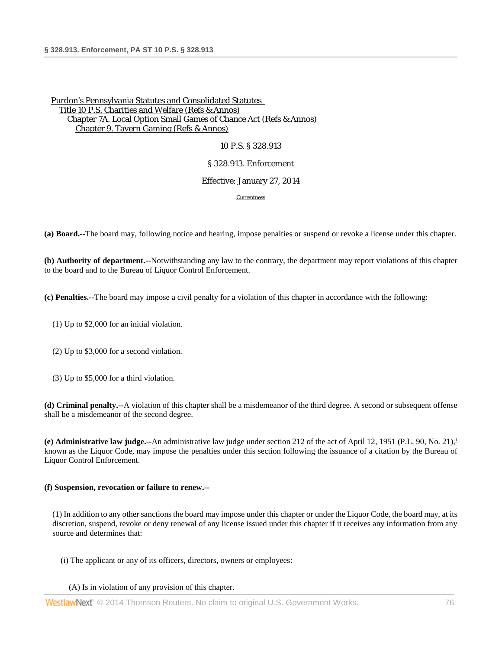## 10 P.S. § 328.913

### § 328.913. Enforcement

## Effective: January 27, 2014

<span id="page-75-0"></span>[Currentness](#page-76-0)

**(a) Board.--**The board may, following notice and hearing, impose penalties or suspend or revoke a license under this chapter.

**(b) Authority of department.--**Notwithstanding any law to the contrary, the department may report violations of this chapter to the board and to the Bureau of Liquor Control Enforcement.

**(c) Penalties.--**The board may impose a civil penalty for a violation of this chapter in accordance with the following:

- (1) Up to \$2,000 for an initial violation.
- (2) Up to \$3,000 for a second violation.
- (3) Up to \$5,000 for a third violation.

**(d) Criminal penalty.--**A violation of this chapter shall be a misdemeanor of the third degree. A second or subsequent offense shall be a misdemeanor of the second degree.

**(e) Administrative law judge.--**An administrative law judge under section 212 of the act of April 12, 1951 (P.L. 90, No. 21[\),1](#page-76-1) known as the Liquor Code, may impose the penalties under this section following the issuance of a citation by the Bureau of Liquor Control Enforcement.

### **(f) Suspension, revocation or failure to renew.--**

(1) In addition to any other sanctions the board may impose under this chapter or under the Liquor Code, the board may, at its discretion, suspend, revoke or deny renewal of any license issued under this chapter if it receives any information from any source and determines that:

(i) The applicant or any of its officers, directors, owners or employees:

(A) Is in violation of any provision of this chapter.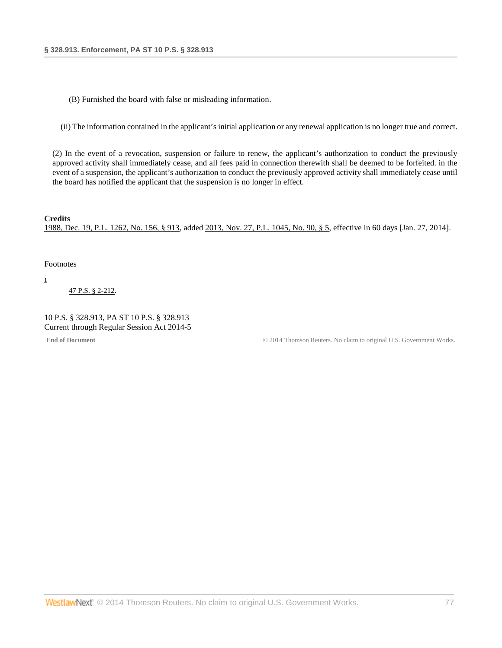(B) Furnished the board with false or misleading information.

(ii) The information contained in the applicant's initial application or any renewal application is no longer true and correct.

(2) In the event of a revocation, suspension or failure to renew, the applicant's authorization to conduct the previously approved activity shall immediately cease, and all fees paid in connection therewith shall be deemed to be forfeited. in the event of a suspension, the applicant's authorization to conduct the previously approved activity shall immediately cease until the board has notified the applicant that the suspension is no longer in effect.

**Credits** [1988, Dec. 19, P.L. 1262, No. 156, § 913,](http://www.westlaw.com/Link/Document/FullText?findType=l&pubNum=1077005&cite=UUID(IDEC1AEEDA6-3943769C852-CE98C177453)&originationContext=document&vr=3.0&rs=cblt1.0&transitionType=DocumentItem&contextData=(sc.DocLink)) added [2013, Nov. 27, P.L. 1045, No. 90, § 5,](http://www.westlaw.com/Link/Document/FullText?findType=l&pubNum=1077005&cite=UUID(IE928D4A05E-6211E3AED0A-E211C77CD8A)&originationContext=document&vr=3.0&rs=cblt1.0&transitionType=DocumentItem&contextData=(sc.DocLink)) effective in 60 days [Jan. 27, 2014].

<span id="page-76-0"></span>Footnotes

<span id="page-76-1"></span>[1](#page-75-0)

[47 P.S. § 2-212.](http://www.westlaw.com/Link/Document/FullText?findType=L&pubNum=1000262&cite=PS47S2-212&originatingDoc=NAAE45FF078A411E39977B8BBA3353497&refType=LQ&originationContext=document&vr=3.0&rs=cblt1.0&transitionType=DocumentItem&contextData=(sc.DocLink))

10 P.S. § 328.913, PA ST 10 P.S. § 328.913 Current through Regular Session Act 2014-5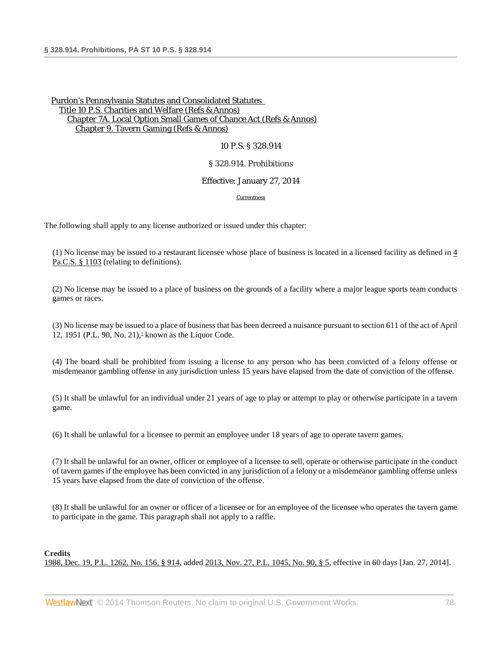## 10 P.S. § 328.914

## § 328.914. Prohibitions

## Effective: January 27, 2014

#### [Currentness](#page-77-0)

The following shall apply to any license authorized or issued under this chapter:

(1) No license may be issued to a restaurant licensee whose place of business is located in a licensed facility as defined in  $\frac{4}{3}$ [Pa.C.S. § 1103](http://www.westlaw.com/Link/Document/FullText?findType=L&pubNum=1000262&cite=PA04S1103&originatingDoc=NA9BEF2C078A411E39350AFA630FAB3FA&refType=LQ&originationContext=document&vr=3.0&rs=cblt1.0&transitionType=DocumentItem&contextData=(sc.DocLink)) (relating to definitions).

(2) No license may be issued to a place of business on the grounds of a facility where a major league sports team conducts games or races.

<span id="page-77-1"></span>(3) No license may be issued to a place of business that has been decreed a nuisance pursuant to section 611 of the act of April 12, 1951 (P.L. 90, No. 21),<sup> $\perp$ </sup> known as the Liquor Code.

(4) The board shall be prohibited from issuing a license to any person who has been convicted of a felony offense or misdemeanor gambling offense in any jurisdiction unless 15 years have elapsed from the date of conviction of the offense.

(5) It shall be unlawful for an individual under 21 years of age to play or attempt to play or otherwise participate in a tavern game.

(6) It shall be unlawful for a licensee to permit an employee under 18 years of age to operate tavern games.

(7) It shall be unlawful for an owner, officer or employee of a licensee to sell, operate or otherwise participate in the conduct of tavern games if the employee has been convicted in any jurisdiction of a felony or a misdemeanor gambling offense unless 15 years have elapsed from the date of conviction of the offense.

(8) It shall be unlawful for an owner or officer of a licensee or for an employee of the licensee who operates the tavern game to participate in the game. This paragraph shall not apply to a raffle.

# <span id="page-77-0"></span>**Credits** [1988, Dec. 19, P.L. 1262, No. 156, § 914,](http://www.westlaw.com/Link/Document/FullText?findType=l&pubNum=1077005&cite=UUID(IDEC1AEEDA6-3943769C852-CE98C177453)&originationContext=document&vr=3.0&rs=cblt1.0&transitionType=DocumentItem&contextData=(sc.DocLink)) added [2013, Nov. 27, P.L. 1045, No. 90, § 5,](http://www.westlaw.com/Link/Document/FullText?findType=l&pubNum=1077005&cite=UUID(IE928D4A05E-6211E3AED0A-E211C77CD8A)&originationContext=document&vr=3.0&rs=cblt1.0&transitionType=DocumentItem&contextData=(sc.DocLink)) effective in 60 days [Jan. 27, 2014].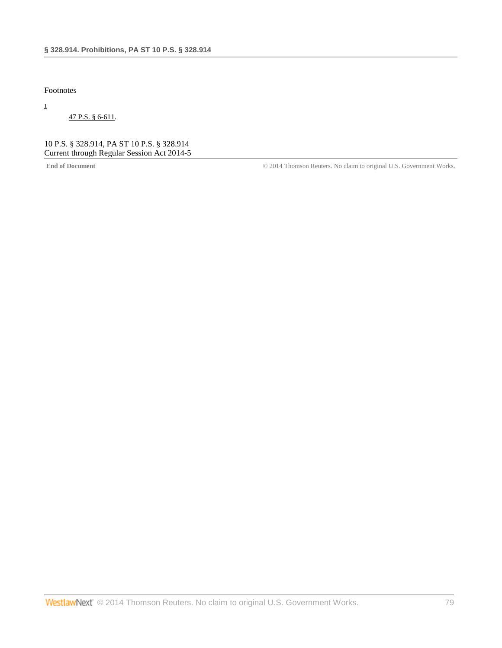Footnotes

<span id="page-78-0"></span>[1](#page-77-1)

[47 P.S. § 6-611.](http://www.westlaw.com/Link/Document/FullText?findType=L&pubNum=1000262&cite=PS47S6-611&originatingDoc=NA9BEF2C078A411E39350AFA630FAB3FA&refType=LQ&originationContext=document&vr=3.0&rs=cblt1.0&transitionType=DocumentItem&contextData=(sc.DocLink))

10 P.S. § 328.914, PA ST 10 P.S. § 328.914 Current through Regular Session Act 2014-5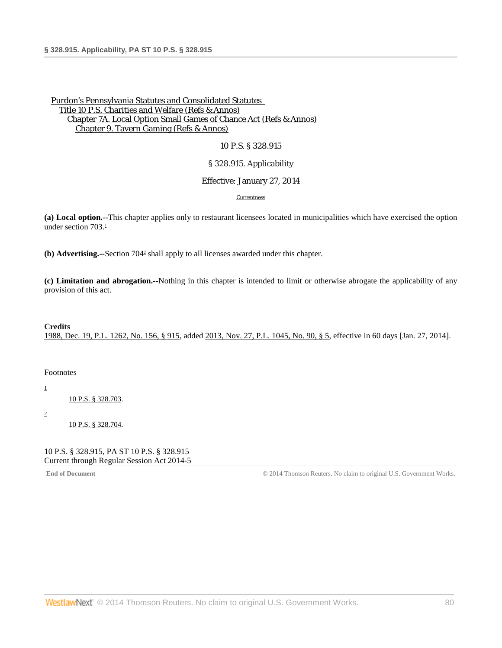## 10 P.S. § 328.915

## § 328.915. Applicability

### <span id="page-79-4"></span>Effective: January 27, 2014

#### [Currentness](#page-79-0)

<span id="page-79-3"></span>**(a) Local option.--**This chapter applies only to restaurant licensees located in municipalities which have exercised the option under section  $703.1$  $703.1$ 

**(b) Advertising.--**Section 70[42](#page-79-2) shall apply to all licenses awarded under this chapter.

**(c) Limitation and abrogation.--**Nothing in this chapter is intended to limit or otherwise abrogate the applicability of any provision of this act.

### **Credits**

<span id="page-79-0"></span>[1988, Dec. 19, P.L. 1262, No. 156, § 915,](http://www.westlaw.com/Link/Document/FullText?findType=l&pubNum=1077005&cite=UUID(IDEC1AEEDA6-3943769C852-CE98C177453)&originationContext=document&vr=3.0&rs=cblt1.0&transitionType=DocumentItem&contextData=(sc.DocLink)) added [2013, Nov. 27, P.L. 1045, No. 90, § 5,](http://www.westlaw.com/Link/Document/FullText?findType=l&pubNum=1077005&cite=UUID(IE928D4A05E-6211E3AED0A-E211C77CD8A)&originationContext=document&vr=3.0&rs=cblt1.0&transitionType=DocumentItem&contextData=(sc.DocLink)) effective in 60 days [Jan. 27, 2014].

### Footnotes

<span id="page-79-1"></span>[1](#page-79-3)

[10 P.S. § 328.703.](http://www.westlaw.com/Link/Document/FullText?findType=L&pubNum=1000262&cite=PS10S328.703&originatingDoc=NA565D1D078A411E3B3A7BFBD80104F8A&refType=LQ&originationContext=document&vr=3.0&rs=cblt1.0&transitionType=DocumentItem&contextData=(sc.DocLink))

<span id="page-79-2"></span>[2](#page-79-4)

[10 P.S. § 328.704.](http://www.westlaw.com/Link/Document/FullText?findType=L&pubNum=1000262&cite=PS10S328.704&originatingDoc=NA565D1D078A411E3B3A7BFBD80104F8A&refType=LQ&originationContext=document&vr=3.0&rs=cblt1.0&transitionType=DocumentItem&contextData=(sc.DocLink))

#### 10 P.S. § 328.915, PA ST 10 P.S. § 328.915 Current through Regular Session Act 2014-5